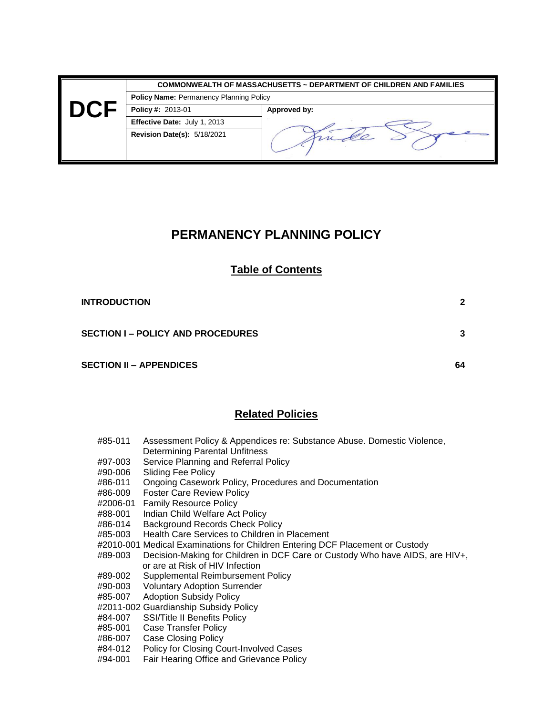|      |                                                | <b>COMMONWEALTH OF MASSACHUSETTS ~ DEPARTMENT OF CHILDREN AND FAMILIES</b> |  |
|------|------------------------------------------------|----------------------------------------------------------------------------|--|
|      | <b>Policy Name: Permanency Planning Policy</b> |                                                                            |  |
| DC 1 | <b>Policy #: 2013-01</b>                       | Approved by:                                                               |  |
|      | Effective Date: July 1, 2013                   |                                                                            |  |
|      | <b>Revision Date(s): 5/18/2021</b>             |                                                                            |  |

## **PERMANENCY PLANNING POLICY**

## **Table of Contents**

| <b>INTRODUCTION</b>                      | 2  |
|------------------------------------------|----|
| <b>SECTION I – POLICY AND PROCEDURES</b> | 3  |
| <b>SECTION II – APPENDICES</b>           | 64 |

## **Related Policies**

| #85-011                            | Assessment Policy & Appendices re: Substance Abuse. Domestic Violence. |
|------------------------------------|------------------------------------------------------------------------|
|                                    | Determining Parental Unfitness                                         |
| #97-003                            | Service Planning and Referral Policy                                   |
| $\overline{1100}$ $\overline{200}$ | Olisia - Fac Dallace                                                   |

- #90-006 Sliding Fee Policy
- #86-011 Ongoing Casework Policy, Procedures and Documentation
- #86-009 Foster Care Review Policy
- #2006-01 Family Resource Policy
- #88-001 Indian Child Welfare Act Policy
- #86-014 Background Records Check Policy
- #85-003 Health Care Services to Children in Placement
- #2010-001 Medical Examinations for Children Entering DCF Placement or Custody
- #89-003 Decision-Making for Children in DCF Care or Custody Who have AIDS, are HIV+, or are at Risk of HIV Infection<br>#89-002 Supplemental Reimbursemen
- #89-002 Supplemental Reimbursement Policy
- **Voluntary Adoption Surrender**
- #85-007 Adoption Subsidy Policy
- #2011-002 Guardianship Subsidy Policy
- #84-007 SSI/Title II Benefits Policy
- #85-001 Case Transfer Policy
- #86-007 Case Closing Policy
- #84-012 Policy for Closing Court-Involved Cases
- #94-001 Fair Hearing Office and Grievance Policy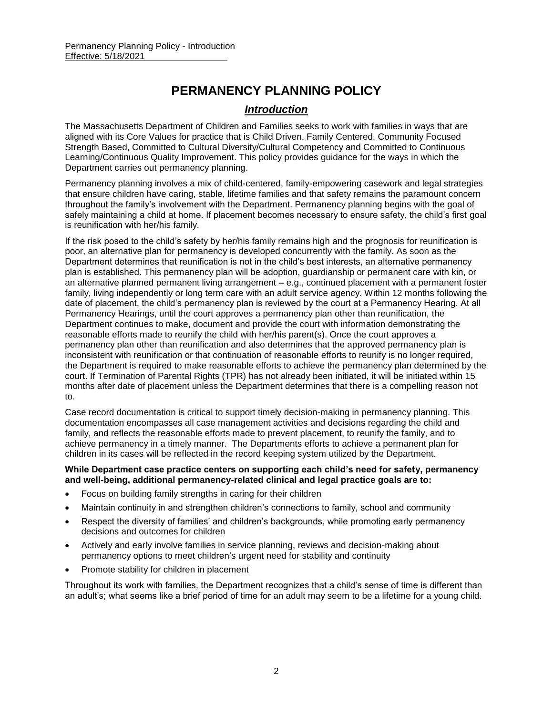## **PERMANENCY PLANNING POLICY**

## *Introduction*

The Massachusetts Department of Children and Families seeks to work with families in ways that are aligned with its Core Values for practice that is Child Driven, Family Centered, Community Focused Strength Based, Committed to Cultural Diversity/Cultural Competency and Committed to Continuous Learning/Continuous Quality Improvement. This policy provides guidance for the ways in which the Department carries out permanency planning.

Permanency planning involves a mix of child-centered, family-empowering casework and legal strategies that ensure children have caring, stable, lifetime families and that safety remains the paramount concern throughout the family's involvement with the Department. Permanency planning begins with the goal of safely maintaining a child at home. If placement becomes necessary to ensure safety, the child's first goal is reunification with her/his family.

If the risk posed to the child's safety by her/his family remains high and the prognosis for reunification is poor, an alternative plan for permanency is developed concurrently with the family. As soon as the Department determines that reunification is not in the child's best interests, an alternative permanency plan is established. This permanency plan will be adoption, guardianship or permanent care with kin, or an alternative planned permanent living arrangement – e.g., continued placement with a permanent foster family, living independently or long term care with an adult service agency. Within 12 months following the date of placement, the child's permanency plan is reviewed by the court at a Permanency Hearing. At all Permanency Hearings, until the court approves a permanency plan other than reunification, the Department continues to make, document and provide the court with information demonstrating the reasonable efforts made to reunify the child with her/his parent(s). Once the court approves a permanency plan other than reunification and also determines that the approved permanency plan is inconsistent with reunification or that continuation of reasonable efforts to reunify is no longer required, the Department is required to make reasonable efforts to achieve the permanency plan determined by the court. If Termination of Parental Rights (TPR) has not already been initiated, it will be initiated within 15 months after date of placement unless the Department determines that there is a compelling reason not to.

Case record documentation is critical to support timely decision-making in permanency planning. This documentation encompasses all case management activities and decisions regarding the child and family, and reflects the reasonable efforts made to prevent placement, to reunify the family, and to achieve permanency in a timely manner. The Departments efforts to achieve a permanent plan for children in its cases will be reflected in the record keeping system utilized by the Department.

#### **While Department case practice centers on supporting each child's need for safety, permanency and well-being, additional permanency-related clinical and legal practice goals are to:**

- Focus on building family strengths in caring for their children
- Maintain continuity in and strengthen children's connections to family, school and community
- Respect the diversity of families' and children's backgrounds, while promoting early permanency decisions and outcomes for children
- Actively and early involve families in service planning, reviews and decision-making about permanency options to meet children's urgent need for stability and continuity
- Promote stability for children in placement

Throughout its work with families, the Department recognizes that a child's sense of time is different than an adult's; what seems like a brief period of time for an adult may seem to be a lifetime for a young child.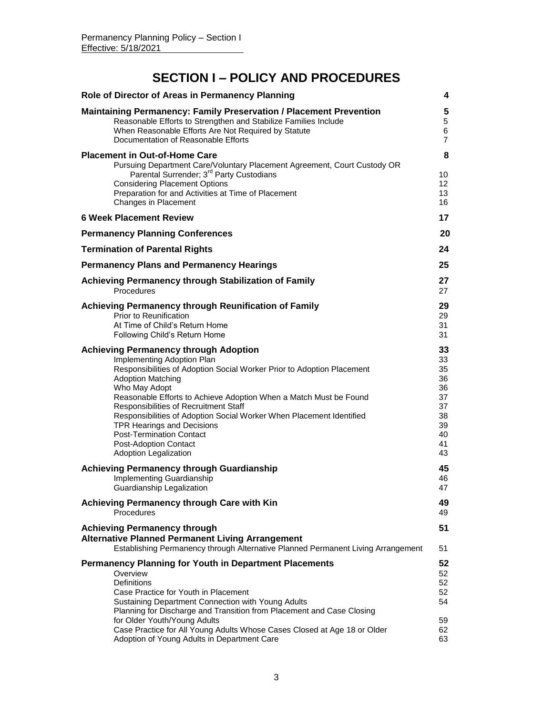# **SECTION I – POLICY AND PROCEDURES**

| Role of Director of Areas in Permanency Planning                                                                                                                                                                                                                                                                                                                                                                                                                                                                  | 4                                                                    |
|-------------------------------------------------------------------------------------------------------------------------------------------------------------------------------------------------------------------------------------------------------------------------------------------------------------------------------------------------------------------------------------------------------------------------------------------------------------------------------------------------------------------|----------------------------------------------------------------------|
| <b>Maintaining Permanency: Family Preservation / Placement Prevention</b><br>Reasonable Efforts to Strengthen and Stabilize Families Include<br>When Reasonable Efforts Are Not Required by Statute<br>Documentation of Reasonable Efforts                                                                                                                                                                                                                                                                        | 5<br>5<br>6<br>$\overline{7}$                                        |
| <b>Placement in Out-of-Home Care</b><br>Pursuing Department Care/Voluntary Placement Agreement, Court Custody OR<br>Parental Surrender; 3 <sup>rd</sup> Party Custodians<br><b>Considering Placement Options</b><br>Preparation for and Activities at Time of Placement<br>Changes in Placement                                                                                                                                                                                                                   | 8<br>10<br>12<br>13<br>16                                            |
| <b>6 Week Placement Review</b>                                                                                                                                                                                                                                                                                                                                                                                                                                                                                    | 17                                                                   |
| <b>Permanency Planning Conferences</b>                                                                                                                                                                                                                                                                                                                                                                                                                                                                            | 20                                                                   |
| <b>Termination of Parental Rights</b>                                                                                                                                                                                                                                                                                                                                                                                                                                                                             | 24                                                                   |
| <b>Permanency Plans and Permanency Hearings</b>                                                                                                                                                                                                                                                                                                                                                                                                                                                                   | 25                                                                   |
| Achieving Permanency through Stabilization of Family<br>Procedures                                                                                                                                                                                                                                                                                                                                                                                                                                                | 27<br>27                                                             |
| Achieving Permanency through Reunification of Family<br>Prior to Reunification<br>At Time of Child's Return Home<br>Following Child's Return Home                                                                                                                                                                                                                                                                                                                                                                 | 29<br>29<br>31<br>31                                                 |
| <b>Achieving Permanency through Adoption</b><br>Implementing Adoption Plan<br>Responsibilities of Adoption Social Worker Prior to Adoption Placement<br><b>Adoption Matching</b><br>Who May Adopt<br>Reasonable Efforts to Achieve Adoption When a Match Must be Found<br>Responsibilities of Recruitment Staff<br>Responsibilities of Adoption Social Worker When Placement Identified<br><b>TPR Hearings and Decisions</b><br><b>Post-Termination Contact</b><br>Post-Adoption Contact<br>Adoption Legalization | 33<br>33<br>35<br>36<br>36<br>37<br>37<br>38<br>39<br>40<br>41<br>43 |
| <b>Achieving Permanency through Guardianship</b><br>Implementing Guardianship<br>Guardianship Legalization                                                                                                                                                                                                                                                                                                                                                                                                        | 45<br>46<br>47                                                       |
| Achieving Permanency through Care with Kin<br>Procedures                                                                                                                                                                                                                                                                                                                                                                                                                                                          | 49<br>49                                                             |
| <b>Achieving Permanency through</b><br><b>Alternative Planned Permanent Living Arrangement</b><br>Establishing Permanency through Alternative Planned Permanent Living Arrangement                                                                                                                                                                                                                                                                                                                                | 51<br>51                                                             |
| <b>Permanency Planning for Youth in Department Placements</b><br>Overview<br><b>Definitions</b><br>Case Practice for Youth in Placement<br>Sustaining Department Connection with Young Adults<br>Planning for Discharge and Transition from Placement and Case Closing<br>for Older Youth/Young Adults<br>Case Practice for All Young Adults Whose Cases Closed at Age 18 or Older<br>Adoption of Young Adults in Department Care                                                                                 | 52<br>52<br>52<br>52<br>54<br>59<br>62<br>63                         |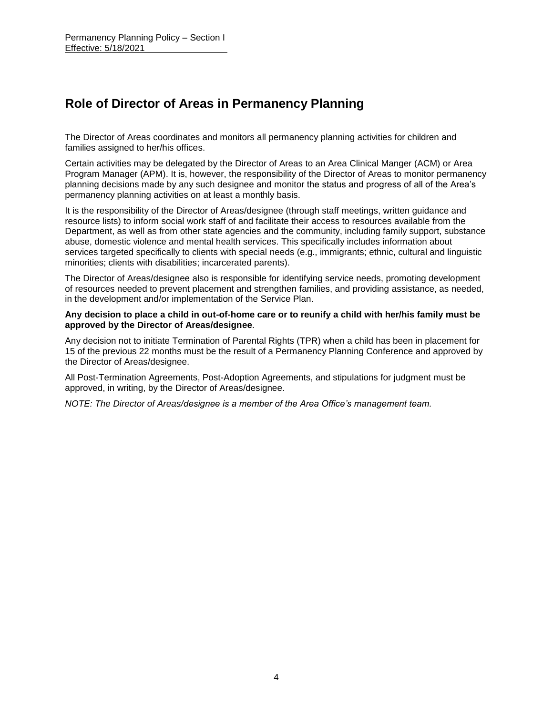## **Role of Director of Areas in Permanency Planning**

The Director of Areas coordinates and monitors all permanency planning activities for children and families assigned to her/his offices.

Certain activities may be delegated by the Director of Areas to an Area Clinical Manger (ACM) or Area Program Manager (APM). It is, however, the responsibility of the Director of Areas to monitor permanency planning decisions made by any such designee and monitor the status and progress of all of the Area's permanency planning activities on at least a monthly basis.

It is the responsibility of the Director of Areas/designee (through staff meetings, written guidance and resource lists) to inform social work staff of and facilitate their access to resources available from the Department, as well as from other state agencies and the community, including family support, substance abuse, domestic violence and mental health services. This specifically includes information about services targeted specifically to clients with special needs (e.g., immigrants; ethnic, cultural and linguistic minorities; clients with disabilities; incarcerated parents).

The Director of Areas/designee also is responsible for identifying service needs, promoting development of resources needed to prevent placement and strengthen families, and providing assistance, as needed, in the development and/or implementation of the Service Plan.

#### **Any decision to place a child in out-of-home care or to reunify a child with her/his family must be approved by the Director of Areas/designee**.

Any decision not to initiate Termination of Parental Rights (TPR) when a child has been in placement for 15 of the previous 22 months must be the result of a Permanency Planning Conference and approved by the Director of Areas/designee.

All Post-Termination Agreements, Post-Adoption Agreements, and stipulations for judgment must be approved, in writing, by the Director of Areas/designee.

*NOTE: The Director of Areas/designee is a member of the Area Office's management team.*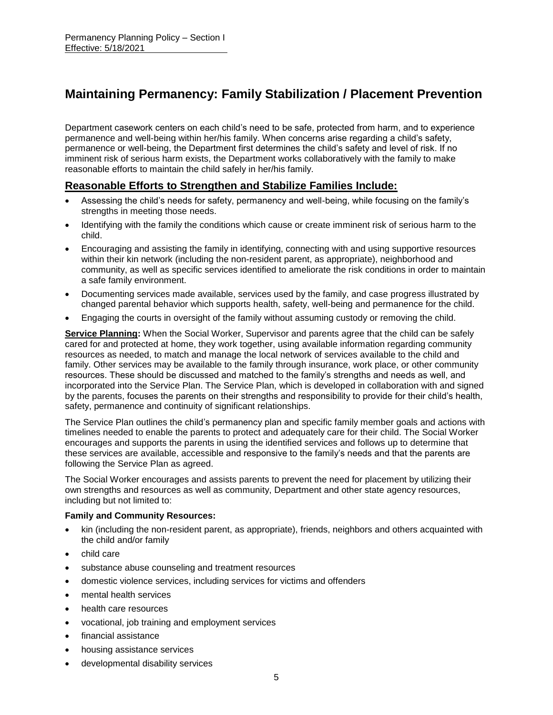# **Maintaining Permanency: Family Stabilization / Placement Prevention**

Department casework centers on each child's need to be safe, protected from harm, and to experience permanence and well-being within her/his family. When concerns arise regarding a child's safety, permanence or well-being, the Department first determines the child's safety and level of risk. If no imminent risk of serious harm exists, the Department works collaboratively with the family to make reasonable efforts to maintain the child safely in her/his family.

## **Reasonable Efforts to Strengthen and Stabilize Families Include:**

- Assessing the child's needs for safety, permanency and well-being, while focusing on the family's strengths in meeting those needs.
- Identifying with the family the conditions which cause or create imminent risk of serious harm to the child.
- Encouraging and assisting the family in identifying, connecting with and using supportive resources within their kin network (including the non-resident parent, as appropriate), neighborhood and community, as well as specific services identified to ameliorate the risk conditions in order to maintain a safe family environment.
- Documenting services made available, services used by the family, and case progress illustrated by changed parental behavior which supports health, safety, well-being and permanence for the child.
- Engaging the courts in oversight of the family without assuming custody or removing the child.

**Service Planning:** When the Social Worker, Supervisor and parents agree that the child can be safely cared for and protected at home, they work together, using available information regarding community resources as needed, to match and manage the local network of services available to the child and family. Other services may be available to the family through insurance, work place, or other community resources. These should be discussed and matched to the family's strengths and needs as well, and incorporated into the Service Plan. The Service Plan, which is developed in collaboration with and signed by the parents, focuses the parents on their strengths and responsibility to provide for their child's health, safety, permanence and continuity of significant relationships.

The Service Plan outlines the child's permanency plan and specific family member goals and actions with timelines needed to enable the parents to protect and adequately care for their child. The Social Worker encourages and supports the parents in using the identified services and follows up to determine that these services are available, accessible and responsive to the family's needs and that the parents are following the Service Plan as agreed.

The Social Worker encourages and assists parents to prevent the need for placement by utilizing their own strengths and resources as well as community, Department and other state agency resources, including but not limited to:

#### **Family and Community Resources:**

- kin (including the non-resident parent, as appropriate), friends, neighbors and others acquainted with the child and/or family
- child care
- substance abuse counseling and treatment resources
- domestic violence services, including services for victims and offenders
- mental health services
- health care resources
- vocational, job training and employment services
- financial assistance
- housing assistance services
- developmental disability services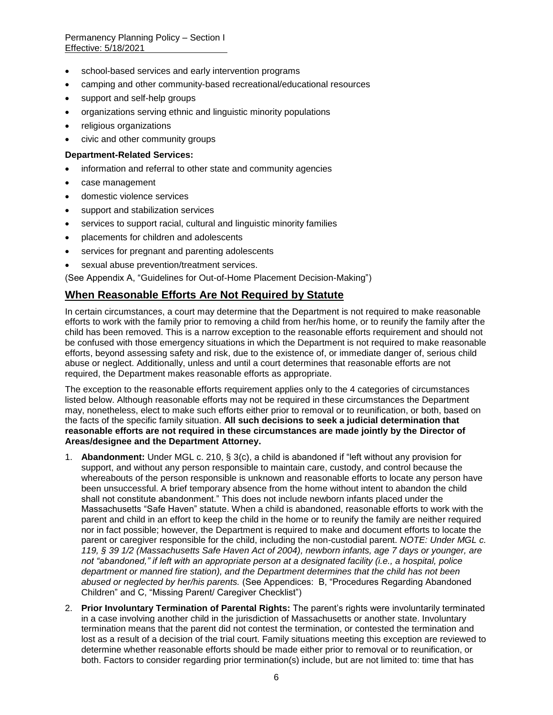- school-based services and early intervention programs
- camping and other community-based recreational/educational resources
- support and self-help groups
- organizations serving ethnic and linguistic minority populations
- religious organizations
- civic and other community groups

#### **Department-Related Services:**

- information and referral to other state and community agencies
- case management
- domestic violence services
- support and stabilization services
- services to support racial, cultural and linguistic minority families
- placements for children and adolescents
- services for pregnant and parenting adolescents
- sexual abuse prevention/treatment services.

(See Appendix A, "Guidelines for Out-of-Home Placement Decision-Making")

### **When Reasonable Efforts Are Not Required by Statute**

In certain circumstances, a court may determine that the Department is not required to make reasonable efforts to work with the family prior to removing a child from her/his home, or to reunify the family after the child has been removed. This is a narrow exception to the reasonable efforts requirement and should not be confused with those emergency situations in which the Department is not required to make reasonable efforts, beyond assessing safety and risk, due to the existence of, or immediate danger of, serious child abuse or neglect. Additionally, unless and until a court determines that reasonable efforts are not required, the Department makes reasonable efforts as appropriate.

The exception to the reasonable efforts requirement applies only to the 4 categories of circumstances listed below. Although reasonable efforts may not be required in these circumstances the Department may, nonetheless, elect to make such efforts either prior to removal or to reunification, or both, based on the facts of the specific family situation. **All such decisions to seek a judicial determination that reasonable efforts are not required in these circumstances are made jointly by the Director of Areas/designee and the Department Attorney.** 

- 1. **Abandonment:** Under MGL c. 210, § 3(c), a child is abandoned if "left without any provision for support, and without any person responsible to maintain care, custody, and control because the whereabouts of the person responsible is unknown and reasonable efforts to locate any person have been unsuccessful. A brief temporary absence from the home without intent to abandon the child shall not constitute abandonment." This does not include newborn infants placed under the Massachusetts "Safe Haven" statute. When a child is abandoned, reasonable efforts to work with the parent and child in an effort to keep the child in the home or to reunify the family are neither required nor in fact possible; however, the Department is required to make and document efforts to locate the parent or caregiver responsible for the child, including the non-custodial parent. *NOTE: Under MGL c. 119, § 39 1/2 (Massachusetts Safe Haven Act of 2004), newborn infants, age 7 days or younger, are not "abandoned," if left with an appropriate person at a designated facility (i.e., a hospital, police department or manned fire station), and the Department determines that the child has not been abused or neglected by her/his parents.* (See Appendices: B, "Procedures Regarding Abandoned Children" and C, "Missing Parent/ Caregiver Checklist")
- 2. **Prior Involuntary Termination of Parental Rights:** The parent's rights were involuntarily terminated in a case involving another child in the jurisdiction of Massachusetts or another state. Involuntary termination means that the parent did not contest the termination, or contested the termination and lost as a result of a decision of the trial court. Family situations meeting this exception are reviewed to determine whether reasonable efforts should be made either prior to removal or to reunification, or both. Factors to consider regarding prior termination(s) include, but are not limited to: time that has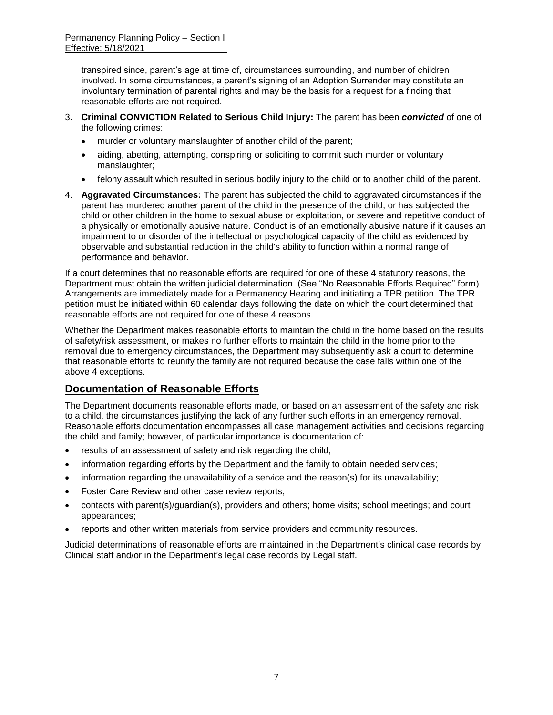transpired since, parent's age at time of, circumstances surrounding, and number of children involved. In some circumstances, a parent's signing of an Adoption Surrender may constitute an involuntary termination of parental rights and may be the basis for a request for a finding that reasonable efforts are not required.

- 3. **Criminal CONVICTION Related to Serious Child Injury:** The parent has been *convicted* of one of the following crimes:
	- murder or voluntary manslaughter of another child of the parent;
	- aiding, abetting, attempting, conspiring or soliciting to commit such murder or voluntary manslaughter;
	- felony assault which resulted in serious bodily injury to the child or to another child of the parent.
- 4. **Aggravated Circumstances:** The parent has subjected the child to aggravated circumstances if the parent has murdered another parent of the child in the presence of the child, or has subjected the child or other children in the home to sexual abuse or exploitation, or severe and repetitive conduct of a physically or emotionally abusive nature. Conduct is of an emotionally abusive nature if it causes an impairment to or disorder of the intellectual or psychological capacity of the child as evidenced by observable and substantial reduction in the child's ability to function within a normal range of performance and behavior.

If a court determines that no reasonable efforts are required for one of these 4 statutory reasons, the Department must obtain the written judicial determination. (See "No Reasonable Efforts Required" form) Arrangements are immediately made for a Permanency Hearing and initiating a TPR petition. The TPR petition must be initiated within 60 calendar days following the date on which the court determined that reasonable efforts are not required for one of these 4 reasons.

Whether the Department makes reasonable efforts to maintain the child in the home based on the results of safety/risk assessment, or makes no further efforts to maintain the child in the home prior to the removal due to emergency circumstances, the Department may subsequently ask a court to determine that reasonable efforts to reunify the family are not required because the case falls within one of the above 4 exceptions.

## **Documentation of Reasonable Efforts**

The Department documents reasonable efforts made, or based on an assessment of the safety and risk to a child, the circumstances justifying the lack of any further such efforts in an emergency removal. Reasonable efforts documentation encompasses all case management activities and decisions regarding the child and family; however, of particular importance is documentation of:

- results of an assessment of safety and risk regarding the child;
- information regarding efforts by the Department and the family to obtain needed services;
- information regarding the unavailability of a service and the reason(s) for its unavailability;
- Foster Care Review and other case review reports;
- contacts with parent(s)/guardian(s), providers and others; home visits; school meetings; and court appearances;
- reports and other written materials from service providers and community resources.

Judicial determinations of reasonable efforts are maintained in the Department's clinical case records by Clinical staff and/or in the Department's legal case records by Legal staff.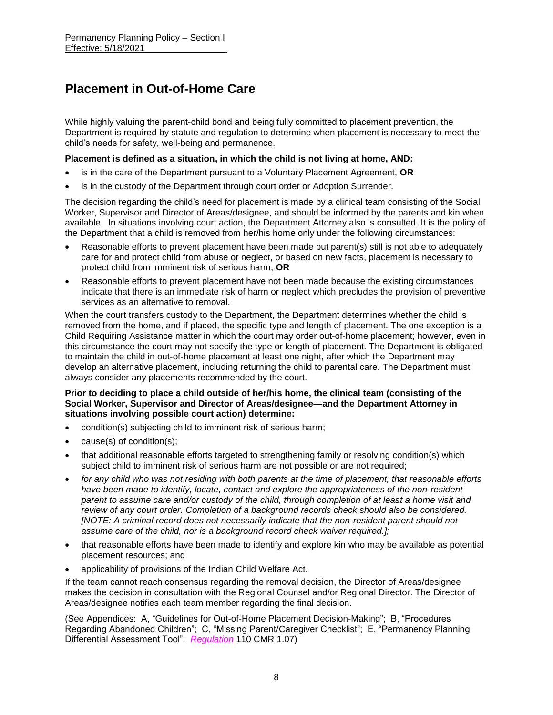# **Placement in Out-of-Home Care**

While highly valuing the parent-child bond and being fully committed to placement prevention, the Department is required by statute and regulation to determine when placement is necessary to meet the child's needs for safety, well-being and permanence.

#### **Placement is defined as a situation, in which the child is not living at home, AND:**

- is in the care of the Department pursuant to a Voluntary Placement Agreement, **OR**
- is in the custody of the Department through court order or Adoption Surrender.

The decision regarding the child's need for placement is made by a clinical team consisting of the Social Worker, Supervisor and Director of Areas/designee, and should be informed by the parents and kin when available. In situations involving court action, the Department Attorney also is consulted. It is the policy of the Department that a child is removed from her/his home only under the following circumstances:

- Reasonable efforts to prevent placement have been made but parent(s) still is not able to adequately care for and protect child from abuse or neglect, or based on new facts, placement is necessary to protect child from imminent risk of serious harm, **OR**
- Reasonable efforts to prevent placement have not been made because the existing circumstances indicate that there is an immediate risk of harm or neglect which precludes the provision of preventive services as an alternative to removal.

When the court transfers custody to the Department, the Department determines whether the child is removed from the home, and if placed, the specific type and length of placement. The one exception is a Child Requiring Assistance matter in which the court may order out-of-home placement; however, even in this circumstance the court may not specify the type or length of placement. The Department is obligated to maintain the child in out-of-home placement at least one night, after which the Department may develop an alternative placement, including returning the child to parental care. The Department must always consider any placements recommended by the court.

#### **Prior to deciding to place a child outside of her/his home, the clinical team (consisting of the Social Worker, Supervisor and Director of Areas/designee—and the Department Attorney in situations involving possible court action) determine:**

- condition(s) subjecting child to imminent risk of serious harm;
- cause(s) of condition(s);
- that additional reasonable efforts targeted to strengthening family or resolving condition(s) which subject child to imminent risk of serious harm are not possible or are not required;
- *for any child who was not residing with both parents at the time of placement, that reasonable efforts have been made to identify, locate, contact and explore the appropriateness of the non-resident parent to assume care and/or custody of the child, through completion of at least a home visit and review of any court order. Completion of a background records check should also be considered. [NOTE: A criminal record does not necessarily indicate that the non-resident parent should not assume care of the child, nor is a background record check waiver required.];*
- that reasonable efforts have been made to identify and explore kin who may be available as potential placement resources; and
- applicability of provisions of the Indian Child Welfare Act.

If the team cannot reach consensus regarding the removal decision, the Director of Areas/designee makes the decision in consultation with the Regional Counsel and/or Regional Director. The Director of Areas/designee notifies each team member regarding the final decision.

(See Appendices: A, "Guidelines for Out-of-Home Placement Decision-Making"; B, "Procedures Regarding Abandoned Children"; C, "Missing Parent/Caregiver Checklist"; E, "Permanency Planning Differential Assessment Tool"; *Regulation* 110 CMR 1.07)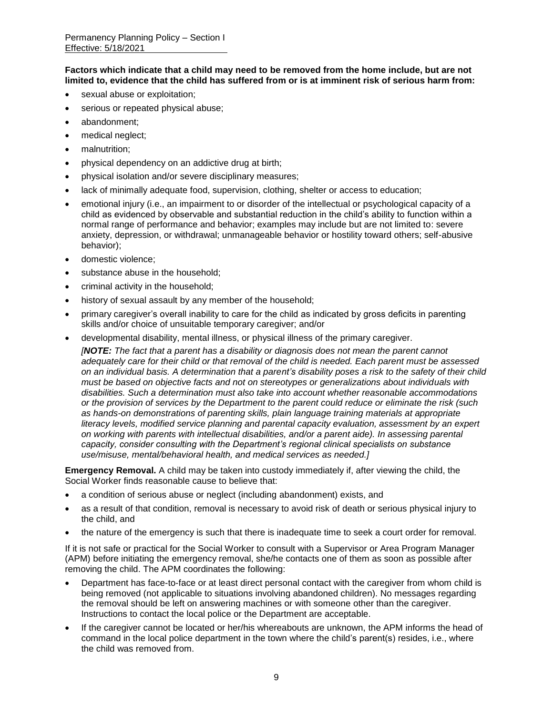**Factors which indicate that a child may need to be removed from the home include, but are not limited to, evidence that the child has suffered from or is at imminent risk of serious harm from:**

- sexual abuse or exploitation;
- serious or repeated physical abuse;
- abandonment;
- medical neglect;
- malnutrition;
- physical dependency on an addictive drug at birth;
- physical isolation and/or severe disciplinary measures;
- lack of minimally adequate food, supervision, clothing, shelter or access to education;
- emotional injury (i.e., an impairment to or disorder of the intellectual or psychological capacity of a child as evidenced by observable and substantial reduction in the child's ability to function within a normal range of performance and behavior; examples may include but are not limited to: severe anxiety, depression, or withdrawal; unmanageable behavior or hostility toward others; self-abusive behavior);
- domestic violence;
- substance abuse in the household;
- criminal activity in the household;
- history of sexual assault by any member of the household;
- primary caregiver's overall inability to care for the child as indicated by gross deficits in parenting skills and/or choice of unsuitable temporary caregiver; and/or
- developmental disability, mental illness, or physical illness of the primary caregiver.

*[NOTE: The fact that a parent has a disability or diagnosis does not mean the parent cannot adequately care for their child or that removal of the child is needed. Each parent must be assessed on an individual basis. A determination that a parent's disability poses a risk to the safety of their child must be based on objective facts and not on stereotypes or generalizations about individuals with disabilities. Such a determination must also take into account whether reasonable accommodations or the provision of services by the Department to the parent could reduce or eliminate the risk (such as hands-on demonstrations of parenting skills, plain language training materials at appropriate literacy levels, modified service planning and parental capacity evaluation, assessment by an expert on working with parents with intellectual disabilities, and/or a parent aide). In assessing parental capacity, consider consulting with the Department's regional clinical specialists on substance use/misuse, mental/behavioral health, and medical services as needed.]*

**Emergency Removal.** A child may be taken into custody immediately if, after viewing the child, the Social Worker finds reasonable cause to believe that:

- a condition of serious abuse or neglect (including abandonment) exists, and
- as a result of that condition, removal is necessary to avoid risk of death or serious physical injury to the child, and
- the nature of the emergency is such that there is inadequate time to seek a court order for removal.

If it is not safe or practical for the Social Worker to consult with a Supervisor or Area Program Manager (APM) before initiating the emergency removal, she/he contacts one of them as soon as possible after removing the child. The APM coordinates the following:

- Department has face-to-face or at least direct personal contact with the caregiver from whom child is being removed (not applicable to situations involving abandoned children). No messages regarding the removal should be left on answering machines or with someone other than the caregiver. Instructions to contact the local police or the Department are acceptable.
- If the caregiver cannot be located or her/his whereabouts are unknown, the APM informs the head of command in the local police department in the town where the child's parent(s) resides, i.e., where the child was removed from.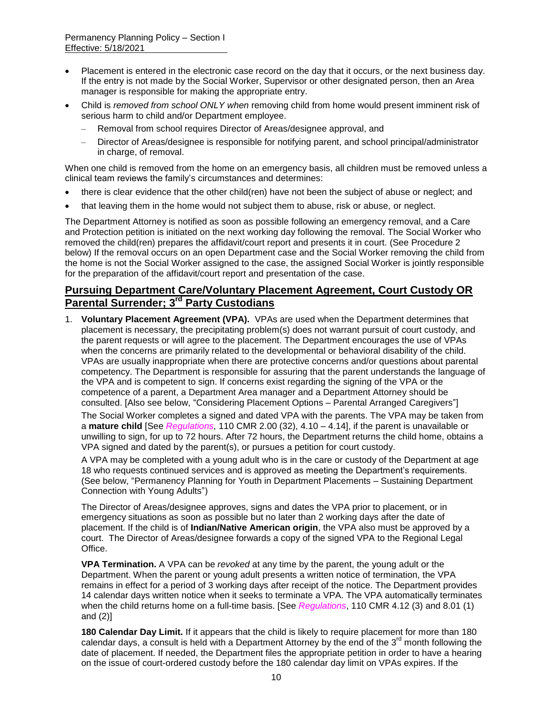- Placement is entered in the electronic case record on the day that it occurs, or the next business day. If the entry is not made by the Social Worker, Supervisor or other designated person, then an Area manager is responsible for making the appropriate entry.
- Child is *removed from school ONLY when* removing child from home would present imminent risk of serious harm to child and/or Department employee.
	- Removal from school requires Director of Areas/designee approval, and
	- Director of Areas/designee is responsible for notifying parent, and school principal/administrator in charge, of removal.

When one child is removed from the home on an emergency basis, all children must be removed unless a clinical team reviews the family's circumstances and determines:

- there is clear evidence that the other child(ren) have not been the subject of abuse or neglect; and
- that leaving them in the home would not subject them to abuse, risk or abuse, or neglect.

The Department Attorney is notified as soon as possible following an emergency removal, and a Care and Protection petition is initiated on the next working day following the removal. The Social Worker who removed the child(ren) prepares the affidavit/court report and presents it in court. (See Procedure 2 below) If the removal occurs on an open Department case and the Social Worker removing the child from the home is not the Social Worker assigned to the case, the assigned Social Worker is jointly responsible for the preparation of the affidavit/court report and presentation of the case.

### **Pursuing Department Care/Voluntary Placement Agreement, Court Custody OR Parental Surrender; 3rd Party Custodians**

1. **Voluntary Placement Agreement (VPA).** VPAs are used when the Department determines that placement is necessary, the precipitating problem(s) does not warrant pursuit of court custody, and the parent requests or will agree to the placement. The Department encourages the use of VPAs when the concerns are primarily related to the developmental or behavioral disability of the child. VPAs are usually inappropriate when there are protective concerns and/or questions about parental competency. The Department is responsible for assuring that the parent understands the language of the VPA and is competent to sign. If concerns exist regarding the signing of the VPA or the competence of a parent, a Department Area manager and a Department Attorney should be consulted. [Also see below, "Considering Placement Options – Parental Arranged Caregivers"]

The Social Worker completes a signed and dated VPA with the parents. The VPA may be taken from a **mature child** [See *Regulations,* 110 CMR 2.00 (32), 4.10 – 4.14], if the parent is unavailable or unwilling to sign, for up to 72 hours. After 72 hours, the Department returns the child home, obtains a VPA signed and dated by the parent(s), or pursues a petition for court custody.

A VPA may be completed with a young adult who is in the care or custody of the Department at age 18 who requests continued services and is approved as meeting the Department's requirements. (See below, "Permanency Planning for Youth in Department Placements – Sustaining Department Connection with Young Adults")

The Director of Areas/designee approves, signs and dates the VPA prior to placement, or in emergency situations as soon as possible but no later than 2 working days after the date of placement. If the child is of **Indian/Native American origin**, the VPA also must be approved by a court. The Director of Areas/designee forwards a copy of the signed VPA to the Regional Legal Office.

**VPA Termination.** A VPA can be *revoked* at any time by the parent, the young adult or the Department. When the parent or young adult presents a written notice of termination, the VPA remains in effect for a period of 3 working days after receipt of the notice. The Department provides 14 calendar days written notice when it seeks to terminate a VPA. The VPA automatically terminates when the child returns home on a full-time basis. [See *Regulations*, 110 CMR 4.12 (3) and 8.01 (1) and (2)]

**180 Calendar Day Limit.** If it appears that the child is likely to require placement for more than 180 calendar days, a consult is held with a Department Attorney by the end of the 3 $^{\text{rd}}$  month following the date of placement. If needed, the Department files the appropriate petition in order to have a hearing on the issue of court-ordered custody before the 180 calendar day limit on VPAs expires. If the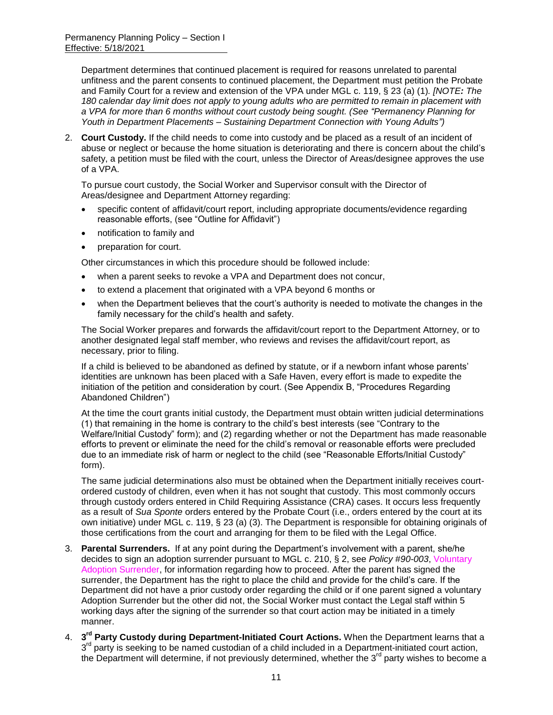Department determines that continued placement is required for reasons unrelated to parental unfitness and the parent consents to continued placement, the Department must petition the Probate and Family Court for a review and extension of the VPA under MGL c. 119, § 23 (a) (1)*. [NOTE: The 180 calendar day limit does not apply to young adults who are permitted to remain in placement with a VPA for more than 6 months without court custody being sought. (See "Permanency Planning for Youth in Department Placements – Sustaining Department Connection with Young Adults")*

2. **Court Custody.** If the child needs to come into custody and be placed as a result of an incident of abuse or neglect or because the home situation is deteriorating and there is concern about the child's safety, a petition must be filed with the court, unless the Director of Areas/designee approves the use of a VPA.

To pursue court custody, the Social Worker and Supervisor consult with the Director of Areas/designee and Department Attorney regarding:

- specific content of affidavit/court report, including appropriate documents/evidence regarding reasonable efforts, (see "Outline for Affidavit")
- notification to family and
- preparation for court.

Other circumstances in which this procedure should be followed include:

- when a parent seeks to revoke a VPA and Department does not concur,
- to extend a placement that originated with a VPA beyond 6 months or
- when the Department believes that the court's authority is needed to motivate the changes in the family necessary for the child's health and safety.

The Social Worker prepares and forwards the affidavit/court report to the Department Attorney, or to another designated legal staff member, who reviews and revises the affidavit/court report, as necessary, prior to filing.

If a child is believed to be abandoned as defined by statute, or if a newborn infant whose parents' identities are unknown has been placed with a Safe Haven, every effort is made to expedite the initiation of the petition and consideration by court. (See Appendix B, "Procedures Regarding Abandoned Children")

At the time the court grants initial custody, the Department must obtain written judicial determinations (1) that remaining in the home is contrary to the child's best interests (see "Contrary to the Welfare/Initial Custody" form); and (2) regarding whether or not the Department has made reasonable efforts to prevent or eliminate the need for the child's removal or reasonable efforts were precluded due to an immediate risk of harm or neglect to the child (see "Reasonable Efforts/Initial Custody" form).

The same judicial determinations also must be obtained when the Department initially receives courtordered custody of children, even when it has not sought that custody. This most commonly occurs through custody orders entered in Child Requiring Assistance (CRA) cases. It occurs less frequently as a result of *Sua Sponte* orders entered by the Probate Court (i.e., orders entered by the court at its own initiative) under MGL c. 119, § 23 (a) (3). The Department is responsible for obtaining originals of those certifications from the court and arranging for them to be filed with the Legal Office.

- 3. **Parental Surrenders.** If at any point during the Department's involvement with a parent, she/he decides to sign an adoption surrender pursuant to MGL c. 210, § 2, see *Policy* #*90-003*, Voluntary Adoption Surrender, for information regarding how to proceed. After the parent has signed the surrender, the Department has the right to place the child and provide for the child's care. If the Department did not have a prior custody order regarding the child or if one parent signed a voluntary Adoption Surrender but the other did not, the Social Worker must contact the Legal staff within 5 working days after the signing of the surrender so that court action may be initiated in a timely manner.
- 4. **3 rd Party Custody during Department-Initiated Court Actions.** When the Department learns that a 3<sup>rd</sup> party is seeking to be named custodian of a child included in a Department-initiated court action, the Department will determine, if not previously determined, whether the 3<sup>rd</sup> party wishes to become a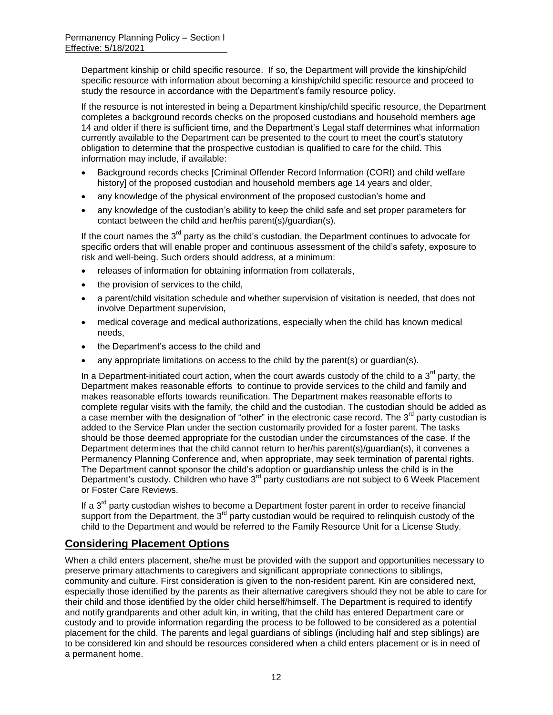Department kinship or child specific resource. If so, the Department will provide the kinship/child specific resource with information about becoming a kinship/child specific resource and proceed to study the resource in accordance with the Department's family resource policy.

If the resource is not interested in being a Department kinship/child specific resource, the Department completes a background records checks on the proposed custodians and household members age 14 and older if there is sufficient time, and the Department's Legal staff determines what information currently available to the Department can be presented to the court to meet the court's statutory obligation to determine that the prospective custodian is qualified to care for the child. This information may include, if available:

- Background records checks [Criminal Offender Record Information (CORI) and child welfare history] of the proposed custodian and household members age 14 years and older,
- any knowledge of the physical environment of the proposed custodian's home and
- any knowledge of the custodian's ability to keep the child safe and set proper parameters for contact between the child and her/his parent(s)/guardian(s).

If the court names the  $3<sup>rd</sup>$  party as the child's custodian, the Department continues to advocate for specific orders that will enable proper and continuous assessment of the child's safety, exposure to risk and well-being. Such orders should address, at a minimum:

- releases of information for obtaining information from collaterals,
- the provision of services to the child,
- a parent/child visitation schedule and whether supervision of visitation is needed, that does not involve Department supervision,
- medical coverage and medical authorizations, especially when the child has known medical needs,
- the Department's access to the child and
- any appropriate limitations on access to the child by the parent(s) or guardian(s).

In a Department-initiated court action, when the court awards custody of the child to a  $3<sup>rd</sup>$  party, the Department makes reasonable efforts to continue to provide services to the child and family and makes reasonable efforts towards reunification. The Department makes reasonable efforts to complete regular visits with the family, the child and the custodian. The custodian should be added as a case member with the designation of "other" in the electronic case record. The  $3<sup>rd</sup>$  party custodian is added to the Service Plan under the section customarily provided for a foster parent. The tasks should be those deemed appropriate for the custodian under the circumstances of the case. If the Department determines that the child cannot return to her/his parent(s)/guardian(s), it convenes a Permanency Planning Conference and, when appropriate, may seek termination of parental rights. The Department cannot sponsor the child's adoption or guardianship unless the child is in the Department's custody. Children who have  $3<sup>rd</sup>$  party custodians are not subject to 6 Week Placement or Foster Care Reviews.

If a  $3<sup>rd</sup>$  party custodian wishes to become a Department foster parent in order to receive financial support from the Department, the  $3<sup>rd</sup>$  party custodian would be required to relinquish custody of the child to the Department and would be referred to the Family Resource Unit for a License Study.

## **Considering Placement Options**

When a child enters placement, she/he must be provided with the support and opportunities necessary to preserve primary attachments to caregivers and significant appropriate connections to siblings, community and culture. First consideration is given to the non-resident parent. Kin are considered next, especially those identified by the parents as their alternative caregivers should they not be able to care for their child and those identified by the older child herself/himself. The Department is required to identify and notify grandparents and other adult kin, in writing, that the child has entered Department care or custody and to provide information regarding the process to be followed to be considered as a potential placement for the child. The parents and legal guardians of siblings (including half and step siblings) are to be considered kin and should be resources considered when a child enters placement or is in need of a permanent home.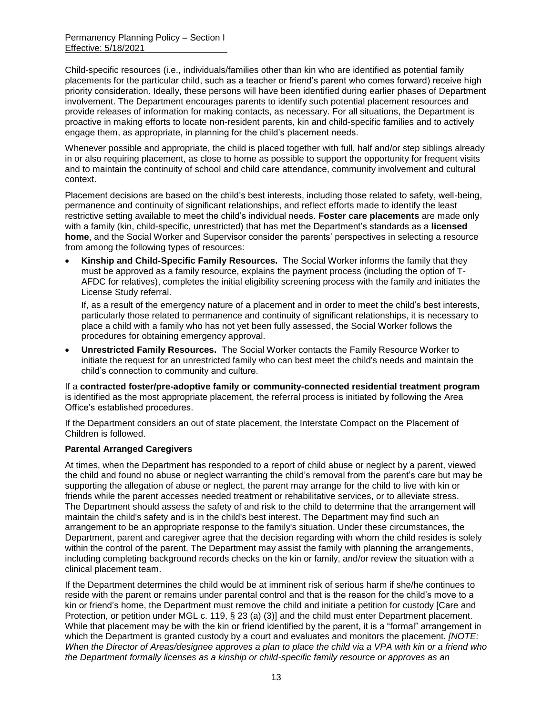Child-specific resources (i.e., individuals/families other than kin who are identified as potential family placements for the particular child, such as a teacher or friend's parent who comes forward) receive high priority consideration. Ideally, these persons will have been identified during earlier phases of Department involvement. The Department encourages parents to identify such potential placement resources and provide releases of information for making contacts, as necessary. For all situations, the Department is proactive in making efforts to locate non-resident parents, kin and child-specific families and to actively engage them, as appropriate, in planning for the child's placement needs.

Whenever possible and appropriate, the child is placed together with full, half and/or step siblings already in or also requiring placement, as close to home as possible to support the opportunity for frequent visits and to maintain the continuity of school and child care attendance, community involvement and cultural context.

Placement decisions are based on the child's best interests, including those related to safety, well-being, permanence and continuity of significant relationships, and reflect efforts made to identify the least restrictive setting available to meet the child's individual needs. **Foster care placements** are made only with a family (kin, child-specific, unrestricted) that has met the Department's standards as a **licensed home**, and the Social Worker and Supervisor consider the parents' perspectives in selecting a resource from among the following types of resources:

 **Kinship and Child-Specific Family Resources.** The Social Worker informs the family that they must be approved as a family resource, explains the payment process (including the option of T-AFDC for relatives), completes the initial eligibility screening process with the family and initiates the License Study referral.

If, as a result of the emergency nature of a placement and in order to meet the child's best interests, particularly those related to permanence and continuity of significant relationships, it is necessary to place a child with a family who has not yet been fully assessed, the Social Worker follows the procedures for obtaining emergency approval.

 **Unrestricted Family Resources.** The Social Worker contacts the Family Resource Worker to initiate the request for an unrestricted family who can best meet the child's needs and maintain the child's connection to community and culture.

If a **contracted foster/pre-adoptive family or community-connected residential treatment program** is identified as the most appropriate placement, the referral process is initiated by following the Area Office's established procedures.

If the Department considers an out of state placement, the Interstate Compact on the Placement of Children is followed.

### **Parental Arranged Caregivers**

At times, when the Department has responded to a report of child abuse or neglect by a parent, viewed the child and found no abuse or neglect warranting the child's removal from the parent's care but may be supporting the allegation of abuse or neglect, the parent may arrange for the child to live with kin or friends while the parent accesses needed treatment or rehabilitative services, or to alleviate stress. The Department should assess the safety of and risk to the child to determine that the arrangement will maintain the child's safety and is in the child's best interest. The Department may find such an arrangement to be an appropriate response to the family's situation. Under these circumstances, the Department, parent and caregiver agree that the decision regarding with whom the child resides is solely within the control of the parent. The Department may assist the family with planning the arrangements, including completing background records checks on the kin or family, and/or review the situation with a clinical placement team.

If the Department determines the child would be at imminent risk of serious harm if she/he continues to reside with the parent or remains under parental control and that is the reason for the child's move to a kin or friend's home, the Department must remove the child and initiate a petition for custody [Care and Protection, or petition under MGL c. 119, § 23 (a) (3)] and the child must enter Department placement. While that placement may be with the kin or friend identified by the parent, it is a "formal" arrangement in which the Department is granted custody by a court and evaluates and monitors the placement. *[NOTE: When the Director of Areas/designee approves a plan to place the child via a VPA with kin or a friend who the Department formally licenses as a kinship or child-specific family resource or approves as an*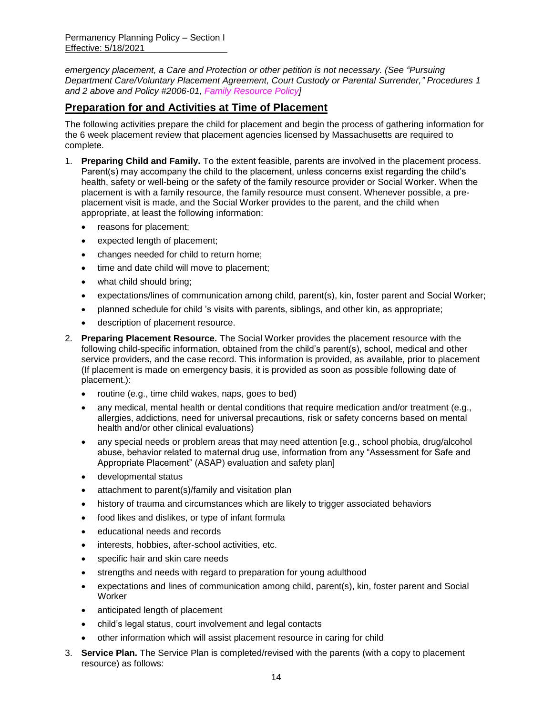*emergency placement, a Care and Protection or other petition is not necessary. (See "Pursuing Department Care/Voluntary Placement Agreement, Court Custody or Parental Surrender," Procedures 1 and 2 above and Policy #2006-01, Family Resource Policy]*

## **Preparation for and Activities at Time of Placement**

The following activities prepare the child for placement and begin the process of gathering information for the 6 week placement review that placement agencies licensed by Massachusetts are required to complete.

- 1. **Preparing Child and Family.** To the extent feasible, parents are involved in the placement process. Parent(s) may accompany the child to the placement, unless concerns exist regarding the child's health, safety or well-being or the safety of the family resource provider or Social Worker. When the placement is with a family resource, the family resource must consent. Whenever possible, a preplacement visit is made, and the Social Worker provides to the parent, and the child when appropriate, at least the following information:
	- reasons for placement;
	- expected length of placement;
	- changes needed for child to return home;
	- time and date child will move to placement;
	- what child should bring;
	- expectations/lines of communication among child, parent(s), kin, foster parent and Social Worker;
	- planned schedule for child 's visits with parents, siblings, and other kin, as appropriate;
	- description of placement resource.
- 2. **Preparing Placement Resource.** The Social Worker provides the placement resource with the following child-specific information, obtained from the child's parent(s), school, medical and other service providers, and the case record. This information is provided, as available, prior to placement (If placement is made on emergency basis, it is provided as soon as possible following date of placement.):
	- routine (e.g., time child wakes, naps, goes to bed)
	- any medical, mental health or dental conditions that require medication and/or treatment (e.g., allergies, addictions, need for universal precautions, risk or safety concerns based on mental health and/or other clinical evaluations)
	- any special needs or problem areas that may need attention [e.g., school phobia, drug/alcohol abuse, behavior related to maternal drug use, information from any "Assessment for Safe and Appropriate Placement" (ASAP) evaluation and safety plan]
	- developmental status
	- attachment to parent(s)/family and visitation plan
	- history of trauma and circumstances which are likely to trigger associated behaviors
	- food likes and dislikes, or type of infant formula
	- educational needs and records
	- interests, hobbies, after-school activities, etc.
	- specific hair and skin care needs
	- strengths and needs with regard to preparation for young adulthood
	- expectations and lines of communication among child, parent(s), kin, foster parent and Social Worker
	- anticipated length of placement
	- child's legal status, court involvement and legal contacts
	- other information which will assist placement resource in caring for child
- 3. **Service Plan.** The Service Plan is completed/revised with the parents (with a copy to placement resource) as follows: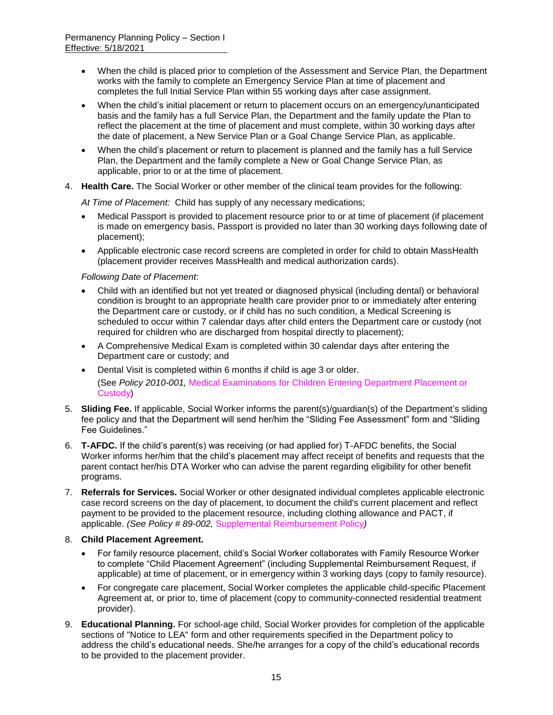- When the child is placed prior to completion of the Assessment and Service Plan, the Department works with the family to complete an Emergency Service Plan at time of placement and completes the full Initial Service Plan within 55 working days after case assignment.
- When the child's initial placement or return to placement occurs on an emergency/unanticipated basis and the family has a full Service Plan, the Department and the family update the Plan to reflect the placement at the time of placement and must complete, within 30 working days after the date of placement, a New Service Plan or a Goal Change Service Plan, as applicable.
- When the child's placement or return to placement is planned and the family has a full Service Plan, the Department and the family complete a New or Goal Change Service Plan, as applicable, prior to or at the time of placement.
- 4. **Health Care.** The Social Worker or other member of the clinical team provides for the following:

*At Time of Placement:* Child has supply of any necessary medications;

- Medical Passport is provided to placement resource prior to or at time of placement (if placement is made on emergency basis, Passport is provided no later than 30 working days following date of placement);
- Applicable electronic case record screens are completed in order for child to obtain MassHealth (placement provider receives MassHealth and medical authorization cards).

#### *Following Date of Placement*:

- Child with an identified but not yet treated or diagnosed physical (including dental) or behavioral condition is brought to an appropriate health care provider prior to or immediately after entering the Department care or custody, or if child has no such condition, a Medical Screening is scheduled to occur within 7 calendar days after child enters the Department care or custody (not required for children who are discharged from hospital directly to placement);
- A Comprehensive Medical Exam is completed within 30 calendar days after entering the Department care or custody; and
- Dental Visit is completed within 6 months if child is age 3 or older. (See *Policy 2010-001,* Medical Examinations for Children Entering Department Placement or Custody)
- 5. **Sliding Fee.** If applicable, Social Worker informs the parent(s)/guardian(s) of the Department's sliding fee policy and that the Department will send her/him the "Sliding Fee Assessment" form and "Sliding Fee Guidelines."
- 6. **T-AFDC.** If the child's parent(s) was receiving (or had applied for) T-AFDC benefits, the Social Worker informs her/him that the child's placement may affect receipt of benefits and requests that the parent contact her/his DTA Worker who can advise the parent regarding eligibility for other benefit programs.
- 7. **Referrals for Services.** Social Worker or other designated individual completes applicable electronic case record screens on the day of placement, to document the child's current placement and reflect payment to be provided to the placement resource, including clothing allowance and PACT, if applicable. *(See Policy # 89-002,* Supplemental Reimbursement Policy*)*

#### 8. **Child Placement Agreement.**

- For family resource placement, child's Social Worker collaborates with Family Resource Worker to complete "Child Placement Agreement" (including Supplemental Reimbursement Request, if applicable) at time of placement, or in emergency within 3 working days (copy to family resource).
- For congregate care placement, Social Worker completes the applicable child-specific Placement Agreement at, or prior to, time of placement (copy to community-connected residential treatment provider).
- 9. **Educational Planning.** For school-age child, Social Worker provides for completion of the applicable sections of "Notice to LEA" form and other requirements specified in the Department policy to address the child's educational needs. She/he arranges for a copy of the child's educational records to be provided to the placement provider.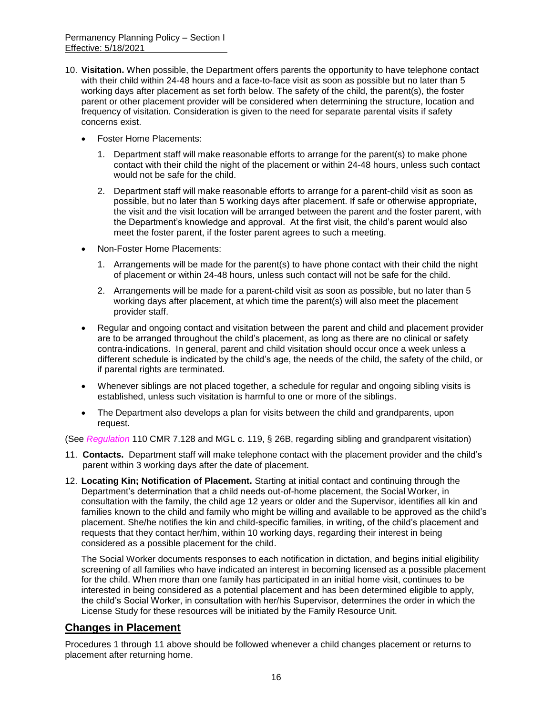- 10. **Visitation.** When possible, the Department offers parents the opportunity to have telephone contact with their child within 24-48 hours and a face-to-face visit as soon as possible but no later than 5 working days after placement as set forth below. The safety of the child, the parent(s), the foster parent or other placement provider will be considered when determining the structure, location and frequency of visitation. Consideration is given to the need for separate parental visits if safety concerns exist.
	- Foster Home Placements:
		- 1. Department staff will make reasonable efforts to arrange for the parent(s) to make phone contact with their child the night of the placement or within 24-48 hours, unless such contact would not be safe for the child.
		- 2. Department staff will make reasonable efforts to arrange for a parent-child visit as soon as possible, but no later than 5 working days after placement. If safe or otherwise appropriate, the visit and the visit location will be arranged between the parent and the foster parent, with the Department's knowledge and approval. At the first visit, the child's parent would also meet the foster parent, if the foster parent agrees to such a meeting.
	- Non-Foster Home Placements:
		- 1. Arrangements will be made for the parent(s) to have phone contact with their child the night of placement or within 24-48 hours, unless such contact will not be safe for the child.
		- 2. Arrangements will be made for a parent-child visit as soon as possible, but no later than 5 working days after placement, at which time the parent(s) will also meet the placement provider staff.
	- Regular and ongoing contact and visitation between the parent and child and placement provider are to be arranged throughout the child's placement, as long as there are no clinical or safety contra-indications. In general, parent and child visitation should occur once a week unless a different schedule is indicated by the child's age, the needs of the child, the safety of the child, or if parental rights are terminated.
	- Whenever siblings are not placed together, a schedule for regular and ongoing sibling visits is established, unless such visitation is harmful to one or more of the siblings.
	- The Department also develops a plan for visits between the child and grandparents, upon request.

(See *Regulation* 110 CMR 7.128 and MGL c. 119, § 26B, regarding sibling and grandparent visitation)

- 11. **Contacts.** Department staff will make telephone contact with the placement provider and the child's parent within 3 working days after the date of placement.
- 12. **Locating Kin; Notification of Placement.** Starting at initial contact and continuing through the Department's determination that a child needs out-of-home placement, the Social Worker, in consultation with the family, the child age 12 years or older and the Supervisor, identifies all kin and families known to the child and family who might be willing and available to be approved as the child's placement. She/he notifies the kin and child-specific families, in writing, of the child's placement and requests that they contact her/him, within 10 working days, regarding their interest in being considered as a possible placement for the child.

The Social Worker documents responses to each notification in dictation, and begins initial eligibility screening of all families who have indicated an interest in becoming licensed as a possible placement for the child. When more than one family has participated in an initial home visit, continues to be interested in being considered as a potential placement and has been determined eligible to apply, the child's Social Worker, in consultation with her/his Supervisor, determines the order in which the License Study for these resources will be initiated by the Family Resource Unit.

## **Changes in Placement**

Procedures 1 through 11 above should be followed whenever a child changes placement or returns to placement after returning home.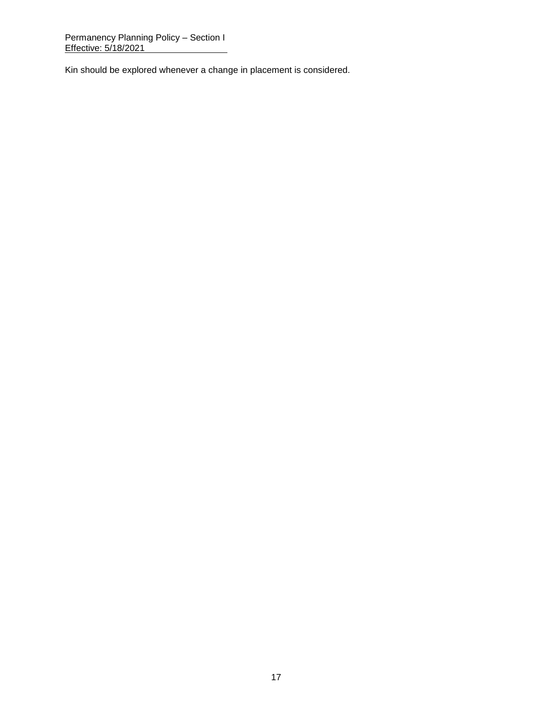Kin should be explored whenever a change in placement is considered.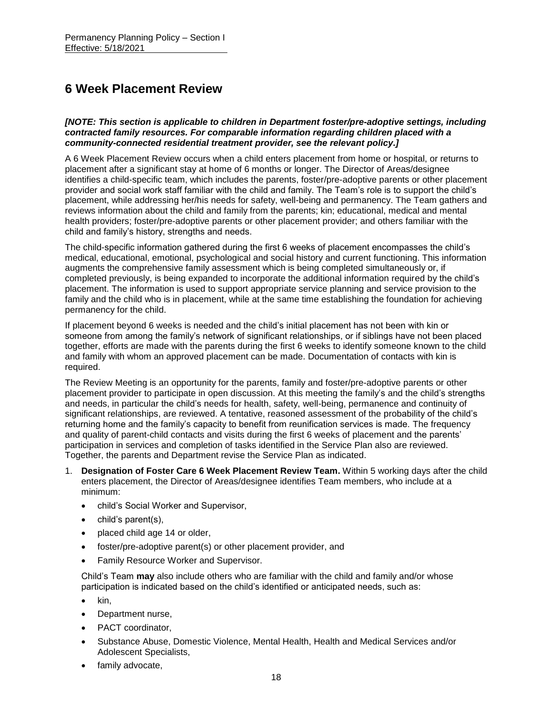## **6 Week Placement Review**

*[NOTE: This section is applicable to children in Department foster/pre-adoptive settings, including contracted family resources. For comparable information regarding children placed with a community-connected residential treatment provider, see the relevant policy.]*

A 6 Week Placement Review occurs when a child enters placement from home or hospital, or returns to placement after a significant stay at home of 6 months or longer. The Director of Areas/designee identifies a child-specific team, which includes the parents, foster/pre-adoptive parents or other placement provider and social work staff familiar with the child and family. The Team's role is to support the child's placement, while addressing her/his needs for safety, well-being and permanency. The Team gathers and reviews information about the child and family from the parents; kin; educational, medical and mental health providers; foster/pre-adoptive parents or other placement provider; and others familiar with the child and family's history, strengths and needs.

The child-specific information gathered during the first 6 weeks of placement encompasses the child's medical, educational, emotional, psychological and social history and current functioning. This information augments the comprehensive family assessment which is being completed simultaneously or, if completed previously, is being expanded to incorporate the additional information required by the child's placement. The information is used to support appropriate service planning and service provision to the family and the child who is in placement, while at the same time establishing the foundation for achieving permanency for the child.

If placement beyond 6 weeks is needed and the child's initial placement has not been with kin or someone from among the family's network of significant relationships, or if siblings have not been placed together, efforts are made with the parents during the first 6 weeks to identify someone known to the child and family with whom an approved placement can be made. Documentation of contacts with kin is required.

The Review Meeting is an opportunity for the parents, family and foster/pre-adoptive parents or other placement provider to participate in open discussion. At this meeting the family's and the child's strengths and needs, in particular the child's needs for health, safety, well-being, permanence and continuity of significant relationships, are reviewed. A tentative, reasoned assessment of the probability of the child's returning home and the family's capacity to benefit from reunification services is made. The frequency and quality of parent-child contacts and visits during the first 6 weeks of placement and the parents' participation in services and completion of tasks identified in the Service Plan also are reviewed. Together, the parents and Department revise the Service Plan as indicated.

- 1. **Designation of Foster Care 6 Week Placement Review Team.** Within 5 working days after the child enters placement, the Director of Areas/designee identifies Team members, who include at a minimum:
	- child's Social Worker and Supervisor,
	- child's parent(s),
	- placed child age 14 or older,
	- foster/pre-adoptive parent(s) or other placement provider, and
	- **•** Family Resource Worker and Supervisor.

Child's Team **may** also include others who are familiar with the child and family and/or whose participation is indicated based on the child's identified or anticipated needs, such as:

- $\bullet$  kin.
- Department nurse,
- PACT coordinator.
- Substance Abuse, Domestic Violence, Mental Health, Health and Medical Services and/or Adolescent Specialists,
- family advocate,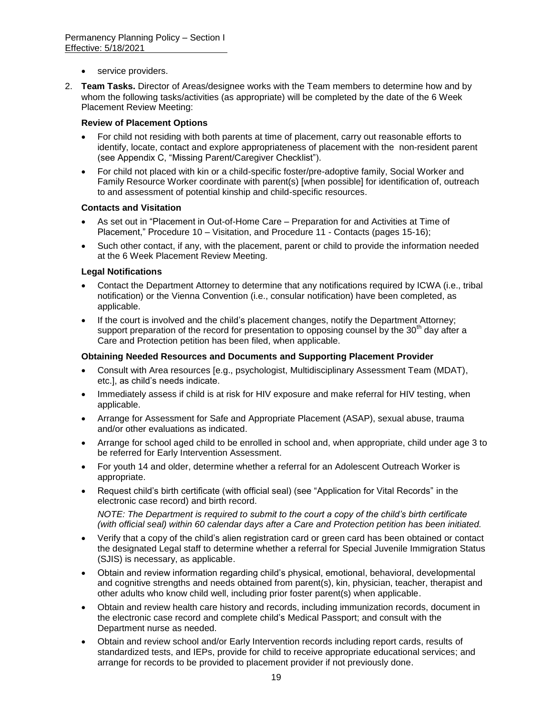- service providers.
- 2. **Team Tasks.** Director of Areas/designee works with the Team members to determine how and by whom the following tasks/activities (as appropriate) will be completed by the date of the 6 Week Placement Review Meeting:

#### **Review of Placement Options**

- For child not residing with both parents at time of placement, carry out reasonable efforts to identify, locate, contact and explore appropriateness of placement with the non-resident parent (see Appendix C, "Missing Parent/Caregiver Checklist").
- For child not placed with kin or a child-specific foster/pre-adoptive family, Social Worker and Family Resource Worker coordinate with parent(s) [when possible] for identification of, outreach to and assessment of potential kinship and child-specific resources.

#### **Contacts and Visitation**

- As set out in "Placement in Out-of-Home Care Preparation for and Activities at Time of Placement," Procedure 10 – Visitation, and Procedure 11 - Contacts (pages 15-16);
- Such other contact, if any, with the placement, parent or child to provide the information needed at the 6 Week Placement Review Meeting.

#### **Legal Notifications**

- Contact the Department Attorney to determine that any notifications required by ICWA (i.e., tribal notification) or the Vienna Convention (i.e., consular notification) have been completed, as applicable.
- If the court is involved and the child's placement changes, notify the Department Attorney; support preparation of the record for presentation to opposing counsel by the 30<sup>th</sup> day after a Care and Protection petition has been filed, when applicable.

#### **Obtaining Needed Resources and Documents and Supporting Placement Provider**

- Consult with Area resources [e.g., psychologist, Multidisciplinary Assessment Team (MDAT), etc.], as child's needs indicate.
- Immediately assess if child is at risk for HIV exposure and make referral for HIV testing, when applicable.
- Arrange for Assessment for Safe and Appropriate Placement (ASAP), sexual abuse, trauma and/or other evaluations as indicated.
- Arrange for school aged child to be enrolled in school and, when appropriate, child under age 3 to be referred for Early Intervention Assessment.
- For youth 14 and older, determine whether a referral for an Adolescent Outreach Worker is appropriate.
- Request child's birth certificate (with official seal) (see "Application for Vital Records" in the electronic case record) and birth record.

*NOTE: The Department is required to submit to the court a copy of the child's birth certificate (with official seal) within 60 calendar days after a Care and Protection petition has been initiated.*

- Verify that a copy of the child's alien registration card or green card has been obtained or contact the designated Legal staff to determine whether a referral for Special Juvenile Immigration Status (SJIS) is necessary, as applicable.
- Obtain and review information regarding child's physical, emotional, behavioral, developmental and cognitive strengths and needs obtained from parent(s), kin, physician, teacher, therapist and other adults who know child well, including prior foster parent(s) when applicable.
- Obtain and review health care history and records, including immunization records, document in the electronic case record and complete child's Medical Passport; and consult with the Department nurse as needed.
- Obtain and review school and/or Early Intervention records including report cards, results of standardized tests, and IEPs, provide for child to receive appropriate educational services; and arrange for records to be provided to placement provider if not previously done.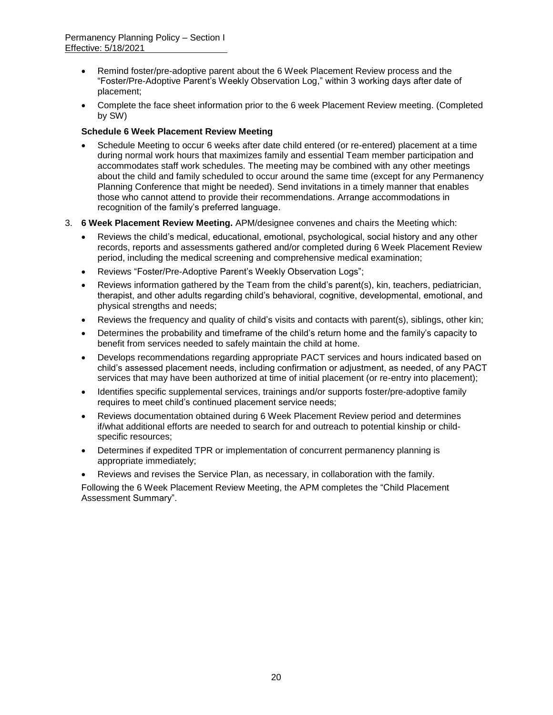- Remind foster/pre-adoptive parent about the 6 Week Placement Review process and the "Foster/Pre-Adoptive Parent's Weekly Observation Log," within 3 working days after date of placement;
- Complete the face sheet information prior to the 6 week Placement Review meeting. (Completed by SW)

#### **Schedule 6 Week Placement Review Meeting**

- Schedule Meeting to occur 6 weeks after date child entered (or re-entered) placement at a time during normal work hours that maximizes family and essential Team member participation and accommodates staff work schedules. The meeting may be combined with any other meetings about the child and family scheduled to occur around the same time (except for any Permanency Planning Conference that might be needed). Send invitations in a timely manner that enables those who cannot attend to provide their recommendations. Arrange accommodations in recognition of the family's preferred language.
- 3. **6 Week Placement Review Meeting.** APM/designee convenes and chairs the Meeting which:
	- Reviews the child's medical, educational, emotional, psychological, social history and any other records, reports and assessments gathered and/or completed during 6 Week Placement Review period, including the medical screening and comprehensive medical examination;
	- Reviews "Foster/Pre-Adoptive Parent's Weekly Observation Logs";
	- Reviews information gathered by the Team from the child's parent(s), kin, teachers, pediatrician, therapist, and other adults regarding child's behavioral, cognitive, developmental, emotional, and physical strengths and needs;
	- Reviews the frequency and quality of child's visits and contacts with parent(s), siblings, other kin;
	- Determines the probability and timeframe of the child's return home and the family's capacity to benefit from services needed to safely maintain the child at home.
	- Develops recommendations regarding appropriate PACT services and hours indicated based on child's assessed placement needs, including confirmation or adjustment, as needed, of any PACT services that may have been authorized at time of initial placement (or re-entry into placement);
	- Identifies specific supplemental services, trainings and/or supports foster/pre-adoptive family requires to meet child's continued placement service needs;
	- Reviews documentation obtained during 6 Week Placement Review period and determines if/what additional efforts are needed to search for and outreach to potential kinship or childspecific resources;
	- Determines if expedited TPR or implementation of concurrent permanency planning is appropriate immediately;
	- Reviews and revises the Service Plan, as necessary, in collaboration with the family.

Following the 6 Week Placement Review Meeting, the APM completes the "Child Placement Assessment Summary".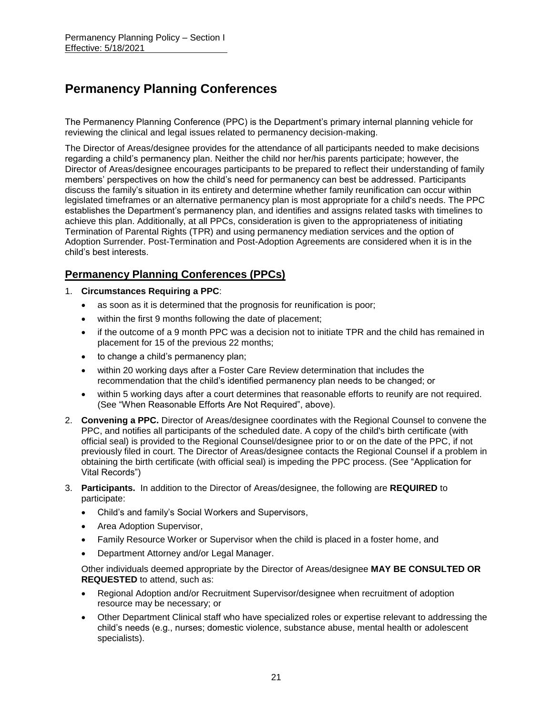## **Permanency Planning Conferences**

The Permanency Planning Conference (PPC) is the Department's primary internal planning vehicle for reviewing the clinical and legal issues related to permanency decision-making.

The Director of Areas/designee provides for the attendance of all participants needed to make decisions regarding a child's permanency plan. Neither the child nor her/his parents participate; however, the Director of Areas/designee encourages participants to be prepared to reflect their understanding of family members' perspectives on how the child's need for permanency can best be addressed. Participants discuss the family's situation in its entirety and determine whether family reunification can occur within legislated timeframes or an alternative permanency plan is most appropriate for a child's needs. The PPC establishes the Department's permanency plan, and identifies and assigns related tasks with timelines to achieve this plan. Additionally, at all PPCs, consideration is given to the appropriateness of initiating Termination of Parental Rights (TPR) and using permanency mediation services and the option of Adoption Surrender. Post-Termination and Post-Adoption Agreements are considered when it is in the child's best interests.

## **Permanency Planning Conferences (PPCs)**

- 1. **Circumstances Requiring a PPC**:
	- as soon as it is determined that the prognosis for reunification is poor;
	- within the first 9 months following the date of placement;
	- if the outcome of a 9 month PPC was a decision not to initiate TPR and the child has remained in placement for 15 of the previous 22 months;
	- to change a child's permanency plan;
	- within 20 working days after a Foster Care Review determination that includes the recommendation that the child's identified permanency plan needs to be changed; or
	- within 5 working days after a court determines that reasonable efforts to reunify are not required. (See "When Reasonable Efforts Are Not Required", above).
- 2. **Convening a PPC.** Director of Areas/designee coordinates with the Regional Counsel to convene the PPC, and notifies all participants of the scheduled date. A copy of the child's birth certificate (with official seal) is provided to the Regional Counsel/designee prior to or on the date of the PPC, if not previously filed in court. The Director of Areas/designee contacts the Regional Counsel if a problem in obtaining the birth certificate (with official seal) is impeding the PPC process. (See "Application for Vital Records")
- 3. **Participants.** In addition to the Director of Areas/designee, the following are **REQUIRED** to participate:
	- Child's and family's Social Workers and Supervisors,
	- Area Adoption Supervisor,
	- Family Resource Worker or Supervisor when the child is placed in a foster home, and
	- Department Attorney and/or Legal Manager.

Other individuals deemed appropriate by the Director of Areas/designee **MAY BE CONSULTED OR REQUESTED** to attend, such as:

- Regional Adoption and/or Recruitment Supervisor/designee when recruitment of adoption resource may be necessary; or
- Other Department Clinical staff who have specialized roles or expertise relevant to addressing the child's needs (e.g., nurses; domestic violence, substance abuse, mental health or adolescent specialists).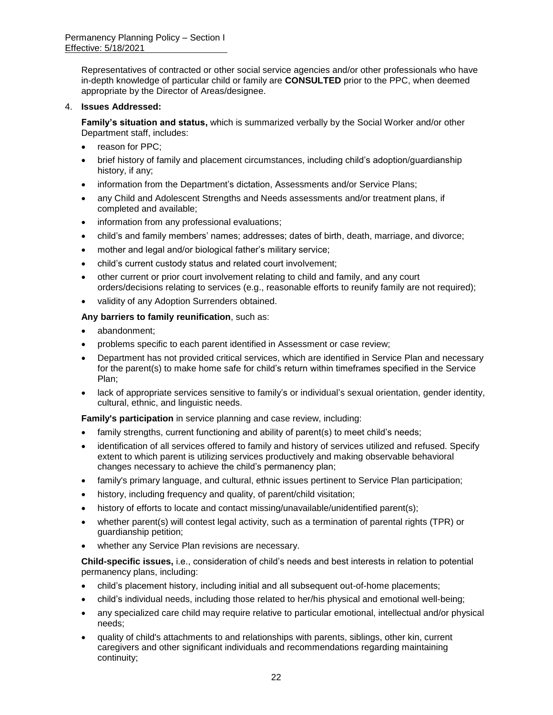Representatives of contracted or other social service agencies and/or other professionals who have in-depth knowledge of particular child or family are **CONSULTED** prior to the PPC, when deemed appropriate by the Director of Areas/designee.

#### 4. **Issues Addressed:**

**Family's situation and status,** which is summarized verbally by the Social Worker and/or other Department staff, includes:

- reason for PPC:
- brief history of family and placement circumstances, including child's adoption/guardianship history, if any;
- information from the Department's dictation, Assessments and/or Service Plans;
- any Child and Adolescent Strengths and Needs assessments and/or treatment plans, if completed and available;
- information from any professional evaluations;
- child's and family members' names; addresses; dates of birth, death, marriage, and divorce;
- mother and legal and/or biological father's military service;
- child's current custody status and related court involvement;
- other current or prior court involvement relating to child and family, and any court orders/decisions relating to services (e.g., reasonable efforts to reunify family are not required);
- validity of any Adoption Surrenders obtained.

#### **Any barriers to family reunification**, such as:

- abandonment;
- problems specific to each parent identified in Assessment or case review;
- Department has not provided critical services, which are identified in Service Plan and necessary for the parent(s) to make home safe for child's return within timeframes specified in the Service Plan;
- lack of appropriate services sensitive to family's or individual's sexual orientation, gender identity, cultural, ethnic, and linguistic needs.

**Family's participation** in service planning and case review, including:

- family strengths, current functioning and ability of parent(s) to meet child's needs;
- identification of all services offered to family and history of services utilized and refused. Specify extent to which parent is utilizing services productively and making observable behavioral changes necessary to achieve the child's permanency plan;
- family's primary language, and cultural, ethnic issues pertinent to Service Plan participation;
- history, including frequency and quality, of parent/child visitation;
- history of efforts to locate and contact missing/unavailable/unidentified parent(s);
- whether parent(s) will contest legal activity, such as a termination of parental rights (TPR) or guardianship petition;
- whether any Service Plan revisions are necessary.

**Child-specific issues,** i.e., consideration of child's needs and best interests in relation to potential permanency plans, including:

- child's placement history, including initial and all subsequent out-of-home placements;
- child's individual needs, including those related to her/his physical and emotional well-being;
- any specialized care child may require relative to particular emotional, intellectual and/or physical needs;
- quality of child's attachments to and relationships with parents, siblings, other kin, current caregivers and other significant individuals and recommendations regarding maintaining continuity;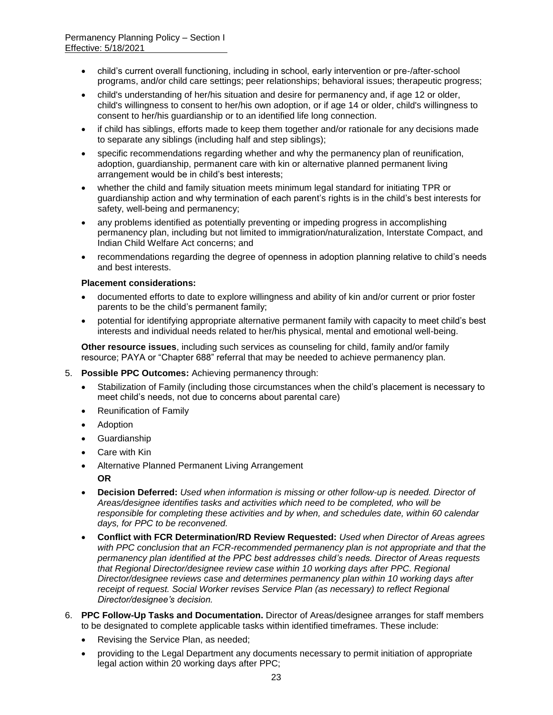- child's current overall functioning, including in school, early intervention or pre-/after-school programs, and/or child care settings; peer relationships; behavioral issues; therapeutic progress;
- child's understanding of her/his situation and desire for permanency and, if age 12 or older, child's willingness to consent to her/his own adoption, or if age 14 or older, child's willingness to consent to her/his guardianship or to an identified life long connection.
- if child has siblings, efforts made to keep them together and/or rationale for any decisions made to separate any siblings (including half and step siblings);
- specific recommendations regarding whether and why the permanency plan of reunification, adoption, guardianship, permanent care with kin or alternative planned permanent living arrangement would be in child's best interests;
- whether the child and family situation meets minimum legal standard for initiating TPR or guardianship action and why termination of each parent's rights is in the child's best interests for safety, well-being and permanency;
- any problems identified as potentially preventing or impeding progress in accomplishing permanency plan, including but not limited to immigration/naturalization, Interstate Compact, and Indian Child Welfare Act concerns; and
- recommendations regarding the degree of openness in adoption planning relative to child's needs and best interests.

#### **Placement considerations:**

- documented efforts to date to explore willingness and ability of kin and/or current or prior foster parents to be the child's permanent family;
- potential for identifying appropriate alternative permanent family with capacity to meet child's best interests and individual needs related to her/his physical, mental and emotional well-being.

**Other resource issues**, including such services as counseling for child, family and/or family resource; PAYA or "Chapter 688" referral that may be needed to achieve permanency plan.

- 5. **Possible PPC Outcomes:** Achieving permanency through:
	- Stabilization of Family (including those circumstances when the child's placement is necessary to meet child's needs, not due to concerns about parental care)
	- Reunification of Family
	- Adoption
	- Guardianship
	- Care with Kin
	- Alternative Planned Permanent Living Arrangement **OR**
	- **Decision Deferred:** *Used when information is missing or other follow-up is needed. Director of Areas/designee identifies tasks and activities which need to be completed, who will be responsible for completing these activities and by when, and schedules date, within 60 calendar days, for PPC to be reconvened.*
	- **Conflict with FCR Determination/RD Review Requested:** *Used when Director of Areas agrees with PPC conclusion that an FCR-recommended permanency plan is not appropriate and that the permanency plan identified at the PPC best addresses child's needs. Director of Areas requests that Regional Director/designee review case within 10 working days after PPC. Regional Director/designee reviews case and determines permanency plan within 10 working days after receipt of request. Social Worker revises Service Plan (as necessary) to reflect Regional Director/designee's decision.*
- 6. **PPC Follow-Up Tasks and Documentation.** Director of Areas/designee arranges for staff members to be designated to complete applicable tasks within identified timeframes. These include:
	- Revising the Service Plan, as needed:
	- providing to the Legal Department any documents necessary to permit initiation of appropriate legal action within 20 working days after PPC;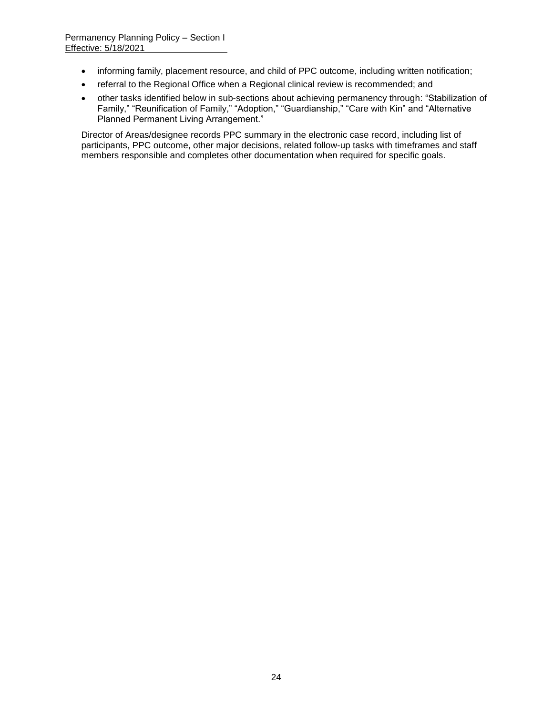- informing family, placement resource, and child of PPC outcome, including written notification;
- referral to the Regional Office when a Regional clinical review is recommended; and
- other tasks identified below in sub-sections about achieving permanency through: "Stabilization of Family," "Reunification of Family," "Adoption," "Guardianship," "Care with Kin" and "Alternative Planned Permanent Living Arrangement."

Director of Areas/designee records PPC summary in the electronic case record, including list of participants, PPC outcome, other major decisions, related follow-up tasks with timeframes and staff members responsible and completes other documentation when required for specific goals.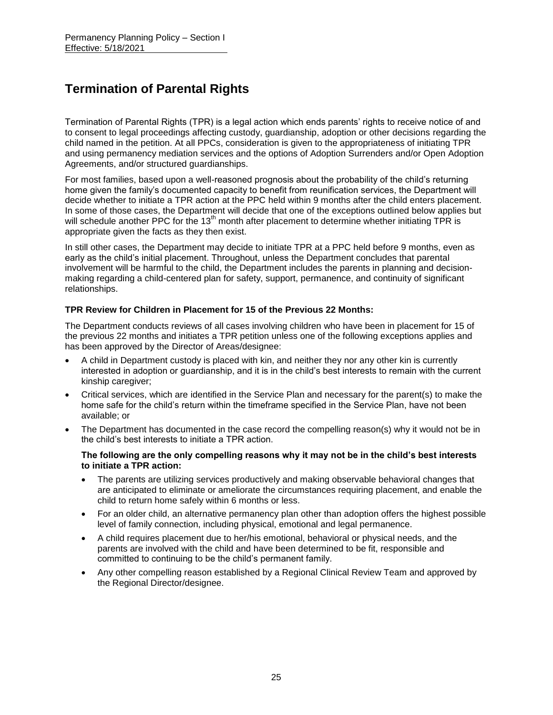# **Termination of Parental Rights**

Termination of Parental Rights (TPR) is a legal action which ends parents' rights to receive notice of and to consent to legal proceedings affecting custody, guardianship, adoption or other decisions regarding the child named in the petition. At all PPCs, consideration is given to the appropriateness of initiating TPR and using permanency mediation services and the options of Adoption Surrenders and/or Open Adoption Agreements, and/or structured guardianships.

For most families, based upon a well-reasoned prognosis about the probability of the child's returning home given the family's documented capacity to benefit from reunification services, the Department will decide whether to initiate a TPR action at the PPC held within 9 months after the child enters placement. In some of those cases, the Department will decide that one of the exceptions outlined below applies but will schedule another PPC for the  $13<sup>th</sup>$  month after placement to determine whether initiating TPR is appropriate given the facts as they then exist.

In still other cases, the Department may decide to initiate TPR at a PPC held before 9 months, even as early as the child's initial placement. Throughout, unless the Department concludes that parental involvement will be harmful to the child, the Department includes the parents in planning and decisionmaking regarding a child-centered plan for safety, support, permanence, and continuity of significant relationships.

#### **TPR Review for Children in Placement for 15 of the Previous 22 Months:**

The Department conducts reviews of all cases involving children who have been in placement for 15 of the previous 22 months and initiates a TPR petition unless one of the following exceptions applies and has been approved by the Director of Areas/designee:

- A child in Department custody is placed with kin, and neither they nor any other kin is currently interested in adoption or guardianship, and it is in the child's best interests to remain with the current kinship caregiver;
- Critical services, which are identified in the Service Plan and necessary for the parent(s) to make the home safe for the child's return within the timeframe specified in the Service Plan, have not been available; or
- The Department has documented in the case record the compelling reason(s) why it would not be in the child's best interests to initiate a TPR action.

#### **The following are the only compelling reasons why it may not be in the child's best interests to initiate a TPR action:**

- The parents are utilizing services productively and making observable behavioral changes that are anticipated to eliminate or ameliorate the circumstances requiring placement, and enable the child to return home safely within 6 months or less.
- For an older child, an alternative permanency plan other than adoption offers the highest possible level of family connection, including physical, emotional and legal permanence.
- A child requires placement due to her/his emotional, behavioral or physical needs, and the parents are involved with the child and have been determined to be fit, responsible and committed to continuing to be the child's permanent family.
- Any other compelling reason established by a Regional Clinical Review Team and approved by the Regional Director/designee.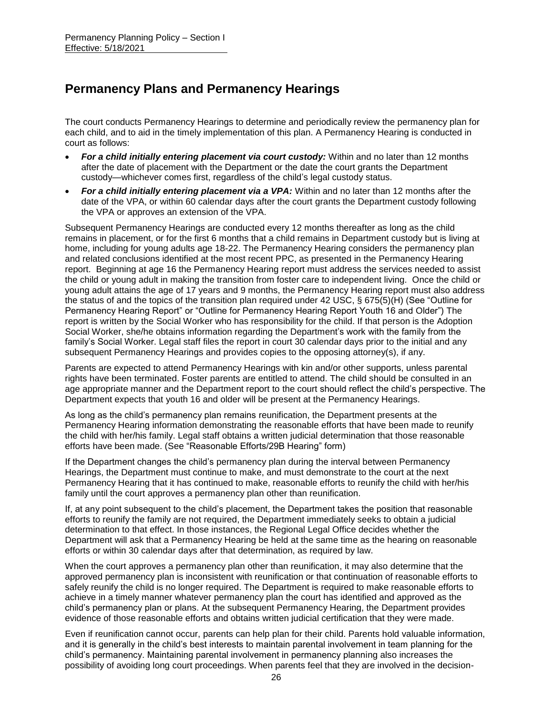## **Permanency Plans and Permanency Hearings**

The court conducts Permanency Hearings to determine and periodically review the permanency plan for each child, and to aid in the timely implementation of this plan. A Permanency Hearing is conducted in court as follows:

- *For a child initially entering placement via court custody:* Within and no later than 12 months after the date of placement with the Department or the date the court grants the Department custody—whichever comes first, regardless of the child's legal custody status.
- *For a child initially entering placement via a VPA:* Within and no later than 12 months after the date of the VPA, or within 60 calendar days after the court grants the Department custody following the VPA or approves an extension of the VPA.

Subsequent Permanency Hearings are conducted every 12 months thereafter as long as the child remains in placement, or for the first 6 months that a child remains in Department custody but is living at home, including for young adults age 18-22. The Permanency Hearing considers the permanency plan and related conclusions identified at the most recent PPC, as presented in the Permanency Hearing report. Beginning at age 16 the Permanency Hearing report must address the services needed to assist the child or young adult in making the transition from foster care to independent living. Once the child or young adult attains the age of 17 years and 9 months, the Permanency Hearing report must also address the status of and the topics of the transition plan required under 42 USC, § 675(5)(H) (See "Outline for Permanency Hearing Report" or "Outline for Permanency Hearing Report Youth 16 and Older") The report is written by the Social Worker who has responsibility for the child. If that person is the Adoption Social Worker, she/he obtains information regarding the Department's work with the family from the family's Social Worker. Legal staff files the report in court 30 calendar days prior to the initial and any subsequent Permanency Hearings and provides copies to the opposing attorney(s), if any.

Parents are expected to attend Permanency Hearings with kin and/or other supports, unless parental rights have been terminated. Foster parents are entitled to attend. The child should be consulted in an age appropriate manner and the Department report to the court should reflect the child's perspective. The Department expects that youth 16 and older will be present at the Permanency Hearings.

As long as the child's permanency plan remains reunification, the Department presents at the Permanency Hearing information demonstrating the reasonable efforts that have been made to reunify the child with her/his family. Legal staff obtains a written judicial determination that those reasonable efforts have been made. (See "Reasonable Efforts/29B Hearing" form)

If the Department changes the child's permanency plan during the interval between Permanency Hearings, the Department must continue to make, and must demonstrate to the court at the next Permanency Hearing that it has continued to make, reasonable efforts to reunify the child with her/his family until the court approves a permanency plan other than reunification.

If, at any point subsequent to the child's placement, the Department takes the position that reasonable efforts to reunify the family are not required, the Department immediately seeks to obtain a judicial determination to that effect. In those instances, the Regional Legal Office decides whether the Department will ask that a Permanency Hearing be held at the same time as the hearing on reasonable efforts or within 30 calendar days after that determination, as required by law.

When the court approves a permanency plan other than reunification, it may also determine that the approved permanency plan is inconsistent with reunification or that continuation of reasonable efforts to safely reunify the child is no longer required. The Department is required to make reasonable efforts to achieve in a timely manner whatever permanency plan the court has identified and approved as the child's permanency plan or plans. At the subsequent Permanency Hearing, the Department provides evidence of those reasonable efforts and obtains written judicial certification that they were made.

Even if reunification cannot occur, parents can help plan for their child. Parents hold valuable information, and it is generally in the child's best interests to maintain parental involvement in team planning for the child's permanency. Maintaining parental involvement in permanency planning also increases the possibility of avoiding long court proceedings. When parents feel that they are involved in the decision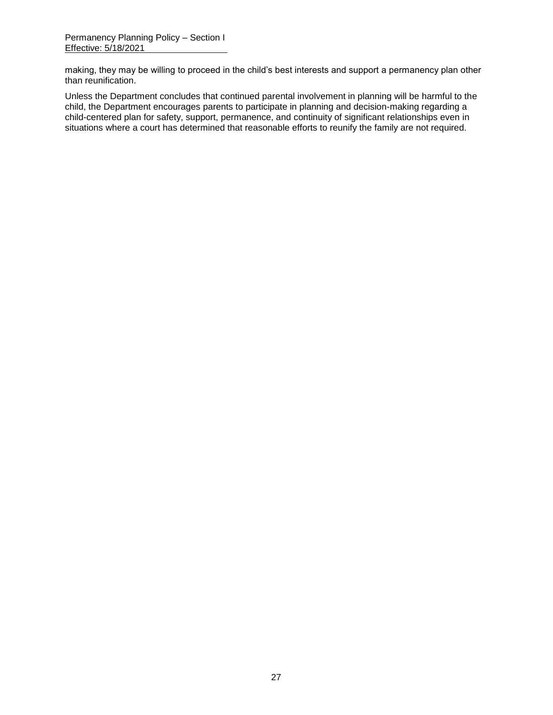making, they may be willing to proceed in the child's best interests and support a permanency plan other than reunification.

Unless the Department concludes that continued parental involvement in planning will be harmful to the child, the Department encourages parents to participate in planning and decision-making regarding a child-centered plan for safety, support, permanence, and continuity of significant relationships even in situations where a court has determined that reasonable efforts to reunify the family are not required.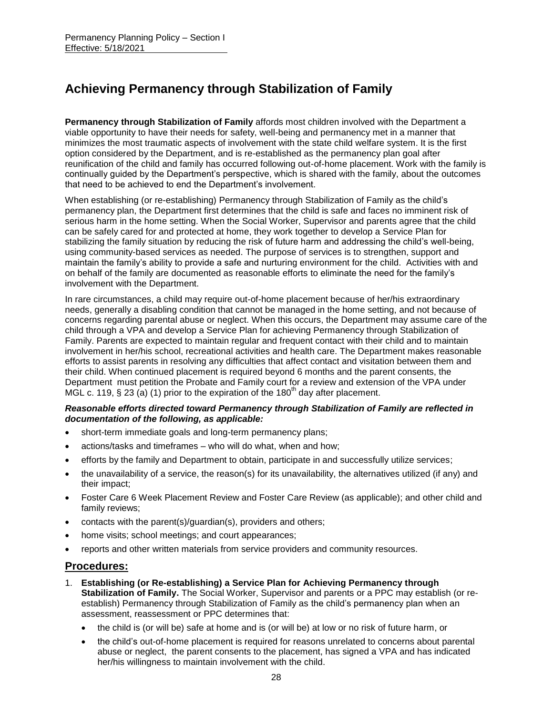# **Achieving Permanency through Stabilization of Family**

**Permanency through Stabilization of Family** affords most children involved with the Department a viable opportunity to have their needs for safety, well-being and permanency met in a manner that minimizes the most traumatic aspects of involvement with the state child welfare system. It is the first option considered by the Department, and is re-established as the permanency plan goal after reunification of the child and family has occurred following out-of-home placement. Work with the family is continually guided by the Department's perspective, which is shared with the family, about the outcomes that need to be achieved to end the Department's involvement.

When establishing (or re-establishing) Permanency through Stabilization of Family as the child's permanency plan, the Department first determines that the child is safe and faces no imminent risk of serious harm in the home setting. When the Social Worker, Supervisor and parents agree that the child can be safely cared for and protected at home, they work together to develop a Service Plan for stabilizing the family situation by reducing the risk of future harm and addressing the child's well-being, using community-based services as needed. The purpose of services is to strengthen, support and maintain the family's ability to provide a safe and nurturing environment for the child. Activities with and on behalf of the family are documented as reasonable efforts to eliminate the need for the family's involvement with the Department.

In rare circumstances, a child may require out-of-home placement because of her/his extraordinary needs, generally a disabling condition that cannot be managed in the home setting, and not because of concerns regarding parental abuse or neglect. When this occurs, the Department may assume care of the child through a VPA and develop a Service Plan for achieving Permanency through Stabilization of Family. Parents are expected to maintain regular and frequent contact with their child and to maintain involvement in her/his school, recreational activities and health care. The Department makes reasonable efforts to assist parents in resolving any difficulties that affect contact and visitation between them and their child. When continued placement is required beyond 6 months and the parent consents, the Department must petition the Probate and Family court for a review and extension of the VPA under MGL c. 119, § 23 (a) (1) prior to the expiration of the 180<sup>th</sup> day after placement.

#### *Reasonable efforts directed toward Permanency through Stabilization of Family are reflected in documentation of the following, as applicable:*

- short-term immediate goals and long-term permanency plans;
- actions/tasks and timeframes who will do what, when and how;
- efforts by the family and Department to obtain, participate in and successfully utilize services;
- $\bullet$  the unavailability of a service, the reason(s) for its unavailability, the alternatives utilized (if any) and their impact;
- Foster Care 6 Week Placement Review and Foster Care Review (as applicable); and other child and family reviews;
- contacts with the parent(s)/guardian(s), providers and others;
- home visits; school meetings; and court appearances;
- reports and other written materials from service providers and community resources.

#### **Procedures:**

- 1. **Establishing (or Re-establishing) a Service Plan for Achieving Permanency through Stabilization of Family.** The Social Worker, Supervisor and parents or a PPC may establish (or reestablish) Permanency through Stabilization of Family as the child's permanency plan when an assessment, reassessment or PPC determines that:
	- the child is (or will be) safe at home and is (or will be) at low or no risk of future harm, or
	- the child's out-of-home placement is required for reasons unrelated to concerns about parental abuse or neglect, the parent consents to the placement, has signed a VPA and has indicated her/his willingness to maintain involvement with the child.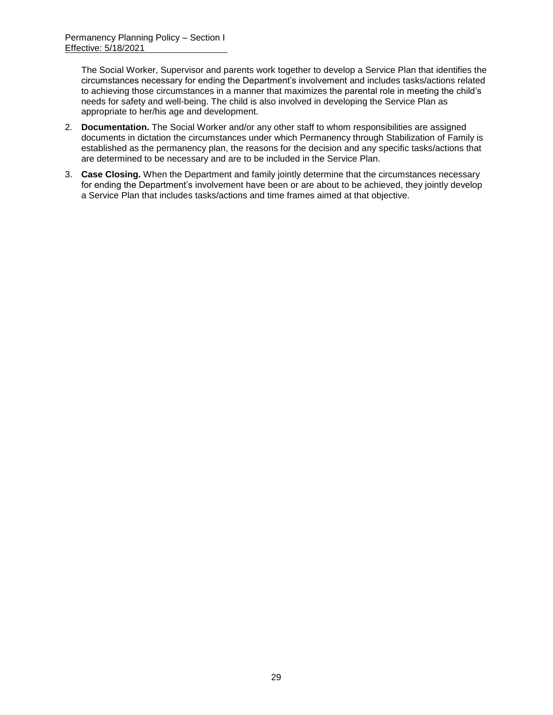The Social Worker, Supervisor and parents work together to develop a Service Plan that identifies the circumstances necessary for ending the Department's involvement and includes tasks/actions related to achieving those circumstances in a manner that maximizes the parental role in meeting the child's needs for safety and well-being. The child is also involved in developing the Service Plan as appropriate to her/his age and development.

- 2. **Documentation.** The Social Worker and/or any other staff to whom responsibilities are assigned documents in dictation the circumstances under which Permanency through Stabilization of Family is established as the permanency plan, the reasons for the decision and any specific tasks/actions that are determined to be necessary and are to be included in the Service Plan.
- 3. **Case Closing.** When the Department and family jointly determine that the circumstances necessary for ending the Department's involvement have been or are about to be achieved, they jointly develop a Service Plan that includes tasks/actions and time frames aimed at that objective.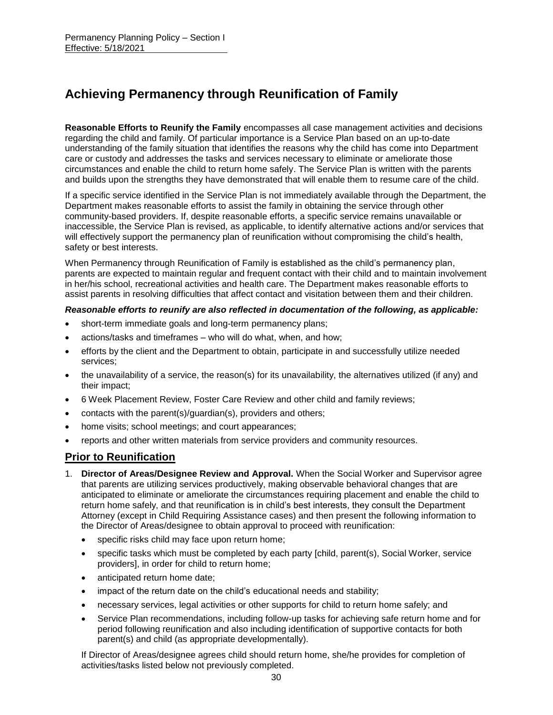# **Achieving Permanency through Reunification of Family**

**Reasonable Efforts to Reunify the Family** encompasses all case management activities and decisions regarding the child and family. Of particular importance is a Service Plan based on an up-to-date understanding of the family situation that identifies the reasons why the child has come into Department care or custody and addresses the tasks and services necessary to eliminate or ameliorate those circumstances and enable the child to return home safely. The Service Plan is written with the parents and builds upon the strengths they have demonstrated that will enable them to resume care of the child.

If a specific service identified in the Service Plan is not immediately available through the Department, the Department makes reasonable efforts to assist the family in obtaining the service through other community-based providers. If, despite reasonable efforts, a specific service remains unavailable or inaccessible, the Service Plan is revised, as applicable, to identify alternative actions and/or services that will effectively support the permanency plan of reunification without compromising the child's health, safety or best interests.

When Permanency through Reunification of Family is established as the child's permanency plan, parents are expected to maintain regular and frequent contact with their child and to maintain involvement in her/his school, recreational activities and health care. The Department makes reasonable efforts to assist parents in resolving difficulties that affect contact and visitation between them and their children.

#### *Reasonable efforts to reunify are also reflected in documentation of the following, as applicable:*

- short-term immediate goals and long-term permanency plans;
- actions/tasks and timeframes who will do what, when, and how;
- efforts by the client and the Department to obtain, participate in and successfully utilize needed services;
- the unavailability of a service, the reason(s) for its unavailability, the alternatives utilized (if any) and their impact;
- 6 Week Placement Review, Foster Care Review and other child and family reviews;
- contacts with the parent(s)/guardian(s), providers and others;
- home visits; school meetings; and court appearances;
- reports and other written materials from service providers and community resources.

## **Prior to Reunification**

- 1. **Director of Areas/Designee Review and Approval.** When the Social Worker and Supervisor agree that parents are utilizing services productively, making observable behavioral changes that are anticipated to eliminate or ameliorate the circumstances requiring placement and enable the child to return home safely, and that reunification is in child's best interests, they consult the Department Attorney (except in Child Requiring Assistance cases) and then present the following information to the Director of Areas/designee to obtain approval to proceed with reunification:
	- specific risks child may face upon return home;
	- specific tasks which must be completed by each party [child, parent(s), Social Worker, service providers], in order for child to return home;
	- anticipated return home date;
	- impact of the return date on the child's educational needs and stability;
	- necessary services, legal activities or other supports for child to return home safely; and
	- Service Plan recommendations, including follow-up tasks for achieving safe return home and for period following reunification and also including identification of supportive contacts for both parent(s) and child (as appropriate developmentally).

If Director of Areas/designee agrees child should return home, she/he provides for completion of activities/tasks listed below not previously completed.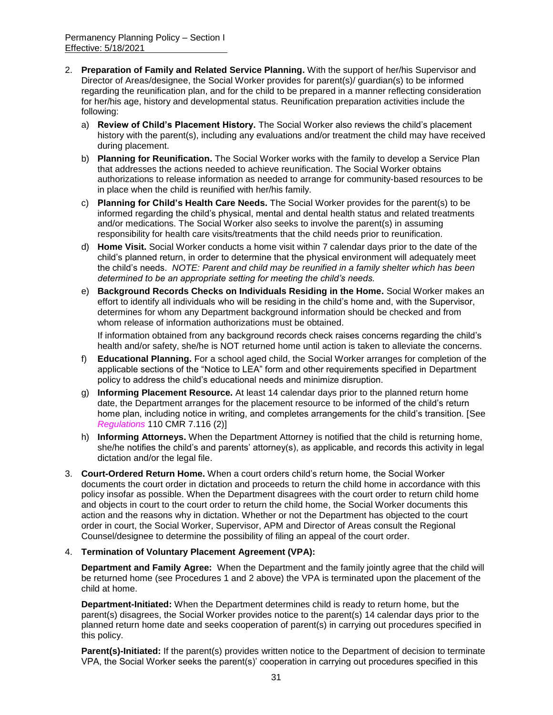- 2. **Preparation of Family and Related Service Planning.** With the support of her/his Supervisor and Director of Areas/designee, the Social Worker provides for parent(s)/ guardian(s) to be informed regarding the reunification plan, and for the child to be prepared in a manner reflecting consideration for her/his age, history and developmental status. Reunification preparation activities include the following:
	- a) **Review of Child's Placement History.** The Social Worker also reviews the child's placement history with the parent(s), including any evaluations and/or treatment the child may have received during placement.
	- b) **Planning for Reunification.** The Social Worker works with the family to develop a Service Plan that addresses the actions needed to achieve reunification. The Social Worker obtains authorizations to release information as needed to arrange for community-based resources to be in place when the child is reunified with her/his family.
	- c) **Planning for Child's Health Care Needs.** The Social Worker provides for the parent(s) to be informed regarding the child's physical, mental and dental health status and related treatments and/or medications. The Social Worker also seeks to involve the parent(s) in assuming responsibility for health care visits/treatments that the child needs prior to reunification.
	- d) **Home Visit.** Social Worker conducts a home visit within 7 calendar days prior to the date of the child's planned return, in order to determine that the physical environment will adequately meet the child's needs. *NOTE: Parent and child may be reunified in a family shelter which has been determined to be an appropriate setting for meeting the child's needs.*
	- e) **Background Records Checks on Individuals Residing in the Home.** Social Worker makes an effort to identify all individuals who will be residing in the child's home and, with the Supervisor, determines for whom any Department background information should be checked and from whom release of information authorizations must be obtained.

If information obtained from any background records check raises concerns regarding the child's health and/or safety, she/he is NOT returned home until action is taken to alleviate the concerns.

- f) **Educational Planning.** For a school aged child, the Social Worker arranges for completion of the applicable sections of the "Notice to LEA" form and other requirements specified in Department policy to address the child's educational needs and minimize disruption.
- g) **Informing Placement Resource.** At least 14 calendar days prior to the planned return home date, the Department arranges for the placement resource to be informed of the child's return home plan, including notice in writing, and completes arrangements for the child's transition. [See *Regulations* 110 CMR 7.116 (2)]
- h) **Informing Attorneys.** When the Department Attorney is notified that the child is returning home, she/he notifies the child's and parents' attorney(s), as applicable, and records this activity in legal dictation and/or the legal file.
- 3. **Court-Ordered Return Home.** When a court orders child's return home, the Social Worker documents the court order in dictation and proceeds to return the child home in accordance with this policy insofar as possible. When the Department disagrees with the court order to return child home and objects in court to the court order to return the child home, the Social Worker documents this action and the reasons why in dictation. Whether or not the Department has objected to the court order in court, the Social Worker, Supervisor, APM and Director of Areas consult the Regional Counsel/designee to determine the possibility of filing an appeal of the court order.

#### 4. **Termination of Voluntary Placement Agreement (VPA):**

**Department and Family Agree:** When the Department and the family jointly agree that the child will be returned home (see Procedures 1 and 2 above) the VPA is terminated upon the placement of the child at home.

**Department-Initiated:** When the Department determines child is ready to return home, but the parent(s) disagrees, the Social Worker provides notice to the parent(s) 14 calendar days prior to the planned return home date and seeks cooperation of parent(s) in carrying out procedures specified in this policy.

**Parent(s)-Initiated:** If the parent(s) provides written notice to the Department of decision to terminate VPA, the Social Worker seeks the parent(s)' cooperation in carrying out procedures specified in this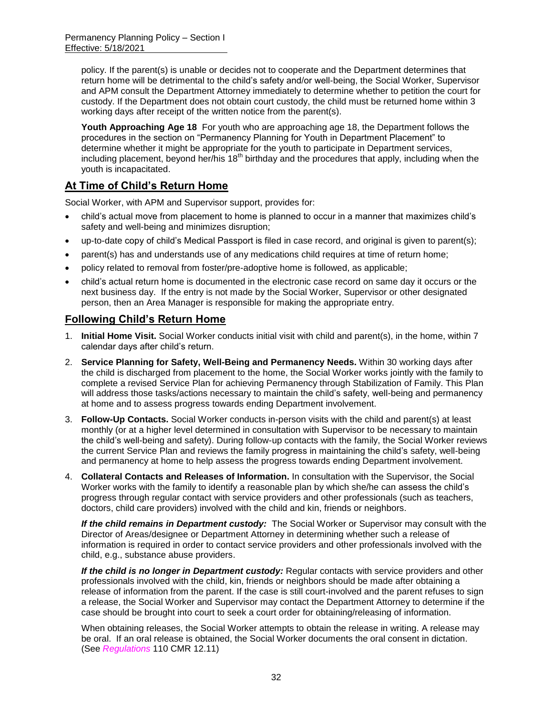policy. If the parent(s) is unable or decides not to cooperate and the Department determines that return home will be detrimental to the child's safety and/or well-being, the Social Worker, Supervisor and APM consult the Department Attorney immediately to determine whether to petition the court for custody. If the Department does not obtain court custody, the child must be returned home within 3 working days after receipt of the written notice from the parent(s).

**Youth Approaching Age 18** For youth who are approaching age 18, the Department follows the procedures in the section on "Permanency Planning for Youth in Department Placement" to determine whether it might be appropriate for the youth to participate in Department services, including placement, beyond her/his  $18<sup>th</sup>$  birthday and the procedures that apply, including when the youth is incapacitated.

## **At Time of Child's Return Home**

Social Worker, with APM and Supervisor support, provides for:

- child's actual move from placement to home is planned to occur in a manner that maximizes child's safety and well-being and minimizes disruption;
- up-to-date copy of child's Medical Passport is filed in case record, and original is given to parent(s);
- parent(s) has and understands use of any medications child requires at time of return home;
- policy related to removal from foster/pre-adoptive home is followed, as applicable;
- child's actual return home is documented in the electronic case record on same day it occurs or the next business day. If the entry is not made by the Social Worker, Supervisor or other designated person, then an Area Manager is responsible for making the appropriate entry.

## **Following Child's Return Home**

- 1. **Initial Home Visit.** Social Worker conducts initial visit with child and parent(s), in the home, within 7 calendar days after child's return.
- 2. **Service Planning for Safety, Well-Being and Permanency Needs.** Within 30 working days after the child is discharged from placement to the home, the Social Worker works jointly with the family to complete a revised Service Plan for achieving Permanency through Stabilization of Family. This Plan will address those tasks/actions necessary to maintain the child's safety, well-being and permanency at home and to assess progress towards ending Department involvement.
- 3. **Follow-Up Contacts.** Social Worker conducts in-person visits with the child and parent(s) at least monthly (or at a higher level determined in consultation with Supervisor to be necessary to maintain the child's well-being and safety). During follow-up contacts with the family, the Social Worker reviews the current Service Plan and reviews the family progress in maintaining the child's safety, well-being and permanency at home to help assess the progress towards ending Department involvement.
- 4. **Collateral Contacts and Releases of Information.** In consultation with the Supervisor, the Social Worker works with the family to identify a reasonable plan by which she/he can assess the child's progress through regular contact with service providers and other professionals (such as teachers, doctors, child care providers) involved with the child and kin, friends or neighbors.

*If the child remains in Department custody:* The Social Worker or Supervisor may consult with the Director of Areas/designee or Department Attorney in determining whether such a release of information is required in order to contact service providers and other professionals involved with the child, e.g., substance abuse providers.

*If the child is no longer in Department custody:* Regular contacts with service providers and other professionals involved with the child, kin, friends or neighbors should be made after obtaining a release of information from the parent. If the case is still court-involved and the parent refuses to sign a release, the Social Worker and Supervisor may contact the Department Attorney to determine if the case should be brought into court to seek a court order for obtaining/releasing of information.

When obtaining releases, the Social Worker attempts to obtain the release in writing. A release may be oral. If an oral release is obtained, the Social Worker documents the oral consent in dictation. (See *Regulations* 110 CMR 12.11)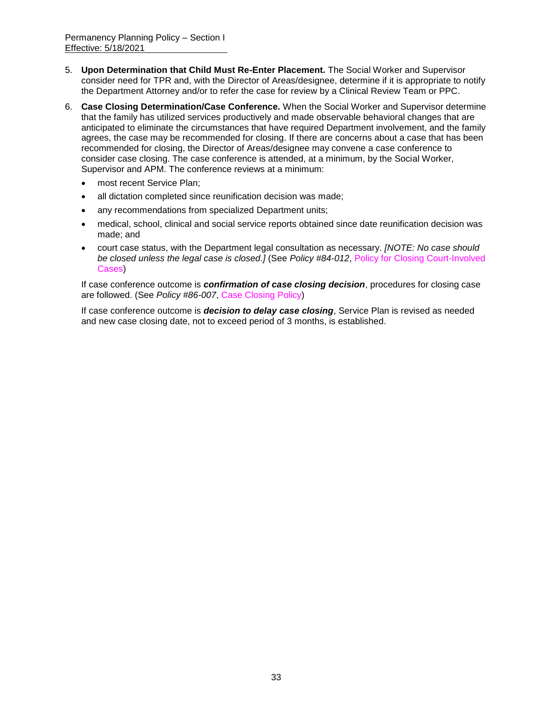- 5. **Upon Determination that Child Must Re-Enter Placement.** The Social Worker and Supervisor consider need for TPR and, with the Director of Areas/designee, determine if it is appropriate to notify the Department Attorney and/or to refer the case for review by a Clinical Review Team or PPC.
- 6. **Case Closing Determination/Case Conference.** When the Social Worker and Supervisor determine that the family has utilized services productively and made observable behavioral changes that are anticipated to eliminate the circumstances that have required Department involvement, and the family agrees, the case may be recommended for closing. If there are concerns about a case that has been recommended for closing, the Director of Areas/designee may convene a case conference to consider case closing. The case conference is attended, at a minimum, by the Social Worker, Supervisor and APM. The conference reviews at a minimum:
	- most recent Service Plan;
	- all dictation completed since reunification decision was made;
	- any recommendations from specialized Department units;
	- medical, school, clinical and social service reports obtained since date reunification decision was made; and
	- court case status, with the Department legal consultation as necessary. *[NOTE: No case should be closed unless the legal case is closed.]* (See *Policy #84-012*, Policy for Closing Court-Involved Cases)

If case conference outcome is *confirmation of case closing decision*, procedures for closing case are followed. (See *Policy #86-007*, Case Closing Policy)

If case conference outcome is *decision to delay case closing*, Service Plan is revised as needed and new case closing date, not to exceed period of 3 months, is established.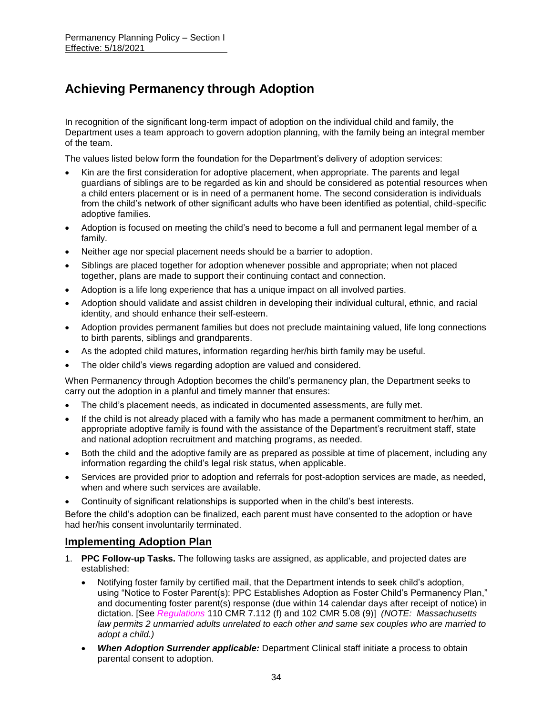# **Achieving Permanency through Adoption**

In recognition of the significant long-term impact of adoption on the individual child and family, the Department uses a team approach to govern adoption planning, with the family being an integral member of the team.

The values listed below form the foundation for the Department's delivery of adoption services:

- Kin are the first consideration for adoptive placement, when appropriate. The parents and legal guardians of siblings are to be regarded as kin and should be considered as potential resources when a child enters placement or is in need of a permanent home. The second consideration is individuals from the child's network of other significant adults who have been identified as potential, child-specific adoptive families.
- Adoption is focused on meeting the child's need to become a full and permanent legal member of a family.
- Neither age nor special placement needs should be a barrier to adoption.
- Siblings are placed together for adoption whenever possible and appropriate; when not placed together, plans are made to support their continuing contact and connection.
- Adoption is a life long experience that has a unique impact on all involved parties.
- Adoption should validate and assist children in developing their individual cultural, ethnic, and racial identity, and should enhance their self-esteem.
- Adoption provides permanent families but does not preclude maintaining valued, life long connections to birth parents, siblings and grandparents.
- As the adopted child matures, information regarding her/his birth family may be useful.
- The older child's views regarding adoption are valued and considered.

When Permanency through Adoption becomes the child's permanency plan, the Department seeks to carry out the adoption in a planful and timely manner that ensures:

- The child's placement needs, as indicated in documented assessments, are fully met.
- If the child is not already placed with a family who has made a permanent commitment to her/him, an appropriate adoptive family is found with the assistance of the Department's recruitment staff, state and national adoption recruitment and matching programs, as needed.
- Both the child and the adoptive family are as prepared as possible at time of placement, including any information regarding the child's legal risk status, when applicable.
- Services are provided prior to adoption and referrals for post-adoption services are made, as needed, when and where such services are available.
- Continuity of significant relationships is supported when in the child's best interests.

Before the child's adoption can be finalized, each parent must have consented to the adoption or have had her/his consent involuntarily terminated.

### **Implementing Adoption Plan**

- 1. **PPC Follow-up Tasks.** The following tasks are assigned, as applicable, and projected dates are established:
	- Notifying foster family by certified mail, that the Department intends to seek child's adoption, using "Notice to Foster Parent(s): PPC Establishes Adoption as Foster Child's Permanency Plan," and documenting foster parent(s) response (due within 14 calendar days after receipt of notice) in dictation. [See *Regulations* 110 CMR 7.112 (f) and 102 CMR 5.08 (9)] *(NOTE: Massachusetts law permits 2 unmarried adults unrelated to each other and same sex couples who are married to adopt a child.)*
	- *When Adoption Surrender applicable:* Department Clinical staff initiate a process to obtain parental consent to adoption.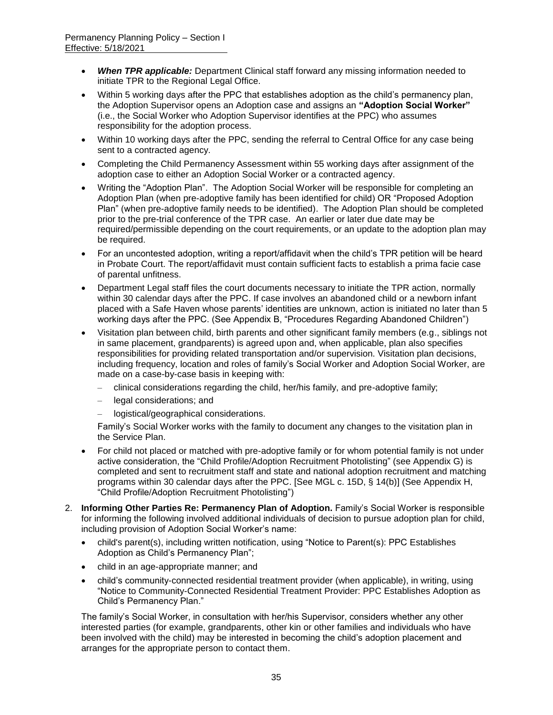- *When TPR applicable:* Department Clinical staff forward any missing information needed to initiate TPR to the Regional Legal Office.
- Within 5 working days after the PPC that establishes adoption as the child's permanency plan, the Adoption Supervisor opens an Adoption case and assigns an **"Adoption Social Worker"** (i.e., the Social Worker who Adoption Supervisor identifies at the PPC) who assumes responsibility for the adoption process.
- Within 10 working days after the PPC, sending the referral to Central Office for any case being sent to a contracted agency.
- Completing the Child Permanency Assessment within 55 working days after assignment of the adoption case to either an Adoption Social Worker or a contracted agency.
- Writing the "Adoption Plan". The Adoption Social Worker will be responsible for completing an Adoption Plan (when pre-adoptive family has been identified for child) OR "Proposed Adoption Plan" (when pre-adoptive family needs to be identified). The Adoption Plan should be completed prior to the pre-trial conference of the TPR case. An earlier or later due date may be required/permissible depending on the court requirements, or an update to the adoption plan may be required.
- For an uncontested adoption, writing a report/affidavit when the child's TPR petition will be heard in Probate Court. The report/affidavit must contain sufficient facts to establish a prima facie case of parental unfitness.
- Department Legal staff files the court documents necessary to initiate the TPR action, normally within 30 calendar days after the PPC. If case involves an abandoned child or a newborn infant placed with a Safe Haven whose parents' identities are unknown, action is initiated no later than 5 working days after the PPC. (See Appendix B, "Procedures Regarding Abandoned Children")
- Visitation plan between child, birth parents and other significant family members (e.g., siblings not in same placement, grandparents) is agreed upon and, when applicable, plan also specifies responsibilities for providing related transportation and/or supervision. Visitation plan decisions, including frequency, location and roles of family's Social Worker and Adoption Social Worker, are made on a case-by-case basis in keeping with:
	- clinical considerations regarding the child, her/his family, and pre-adoptive family;
	- legal considerations; and
	- logistical/geographical considerations.

Family's Social Worker works with the family to document any changes to the visitation plan in the Service Plan.

- For child not placed or matched with pre-adoptive family or for whom potential family is not under active consideration, the "Child Profile/Adoption Recruitment Photolisting" (see Appendix G) is completed and sent to recruitment staff and state and national adoption recruitment and matching programs within 30 calendar days after the PPC. [See MGL c. 15D, § 14(b)] (See Appendix H, "Child Profile/Adoption Recruitment Photolisting")
- 2. **Informing Other Parties Re: Permanency Plan of Adoption.** Family's Social Worker is responsible for informing the following involved additional individuals of decision to pursue adoption plan for child, including provision of Adoption Social Worker's name:
	- child's parent(s), including written notification, using "Notice to Parent(s): PPC Establishes Adoption as Child's Permanency Plan";
	- child in an age-appropriate manner; and
	- child's community-connected residential treatment provider (when applicable), in writing, using "Notice to Community-Connected Residential Treatment Provider: PPC Establishes Adoption as Child's Permanency Plan."

The family's Social Worker, in consultation with her/his Supervisor, considers whether any other interested parties (for example, grandparents, other kin or other families and individuals who have been involved with the child) may be interested in becoming the child's adoption placement and arranges for the appropriate person to contact them.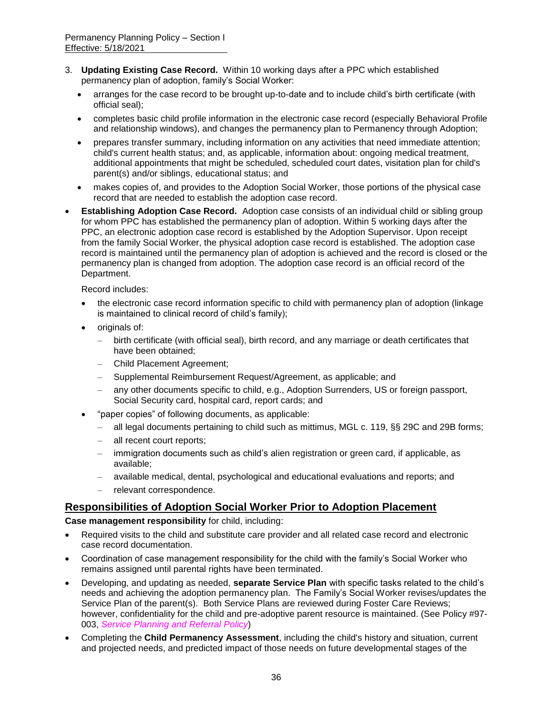- 3. **Updating Existing Case Record.** Within 10 working days after a PPC which established permanency plan of adoption, family's Social Worker:
	- arranges for the case record to be brought up-to-date and to include child's birth certificate (with official seal);
	- completes basic child profile information in the electronic case record (especially Behavioral Profile and relationship windows), and changes the permanency plan to Permanency through Adoption;
	- prepares transfer summary, including information on any activities that need immediate attention; child's current health status; and, as applicable, information about: ongoing medical treatment, additional appointments that might be scheduled, scheduled court dates, visitation plan for child's parent(s) and/or siblings, educational status; and
	- makes copies of, and provides to the Adoption Social Worker, those portions of the physical case record that are needed to establish the adoption case record.
- **Establishing Adoption Case Record.** Adoption case consists of an individual child or sibling group for whom PPC has established the permanency plan of adoption. Within 5 working days after the PPC, an electronic adoption case record is established by the Adoption Supervisor. Upon receipt from the family Social Worker, the physical adoption case record is established. The adoption case record is maintained until the permanency plan of adoption is achieved and the record is closed or the permanency plan is changed from adoption. The adoption case record is an official record of the Department.

Record includes:

- the electronic case record information specific to child with permanency plan of adoption (linkage is maintained to clinical record of child's family);
- originals of:
	- birth certificate (with official seal), birth record, and any marriage or death certificates that have been obtained;
	- Child Placement Agreement;
	- Supplemental Reimbursement Request/Agreement, as applicable; and
	- any other documents specific to child, e.g., Adoption Surrenders, US or foreign passport, Social Security card, hospital card, report cards; and
- "paper copies" of following documents, as applicable:
	- all legal documents pertaining to child such as mittimus, MGL c. 119, §§ 29C and 29B forms;
	- all recent court reports;
	- immigration documents such as child's alien registration or green card, if applicable, as available;
	- available medical, dental, psychological and educational evaluations and reports; and
	- relevant correspondence.

### **Responsibilities of Adoption Social Worker Prior to Adoption Placement**

**Case management responsibility** for child, including:

- Required visits to the child and substitute care provider and all related case record and electronic case record documentation.
- Coordination of case management responsibility for the child with the family's Social Worker who remains assigned until parental rights have been terminated.
- Developing, and updating as needed, **separate Service Plan** with specific tasks related to the child's needs and achieving the adoption permanency plan. The Family's Social Worker revises/updates the Service Plan of the parent(s). Both Service Plans are reviewed during Foster Care Reviews; however, confidentiality for the child and pre-adoptive parent resource is maintained. (See Policy #97- 003, *Service Planning and Referral Policy*)
- Completing the **Child Permanency Assessment**, including the child's history and situation, current and projected needs, and predicted impact of those needs on future developmental stages of the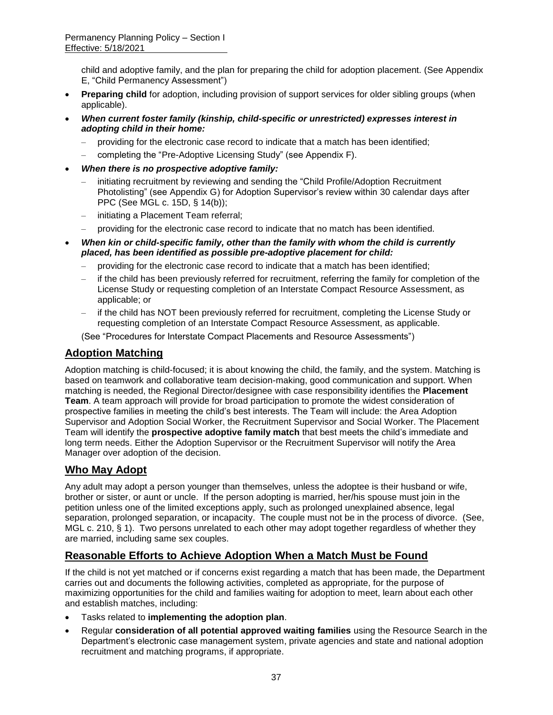child and adoptive family, and the plan for preparing the child for adoption placement. (See Appendix E, "Child Permanency Assessment")

- **Preparing child** for adoption, including provision of support services for older sibling groups (when applicable).
- *When current foster family (kinship, child-specific or unrestricted) expresses interest in adopting child in their home:* 
	- providing for the electronic case record to indicate that a match has been identified;
	- completing the "Pre-Adoptive Licensing Study" (see Appendix F).
- *When there is no prospective adoptive family:*
	- initiating recruitment by reviewing and sending the "Child Profile/Adoption Recruitment Photolisting" (see Appendix G) for Adoption Supervisor's review within 30 calendar days after PPC (See MGL c. 15D, § 14(b));
	- initiating a Placement Team referral;
	- providing for the electronic case record to indicate that no match has been identified.
- *When kin or child-specific family, other than the family with whom the child is currently placed, has been identified as possible pre-adoptive placement for child:* 
	- providing for the electronic case record to indicate that a match has been identified;
	- if the child has been previously referred for recruitment, referring the family for completion of the License Study or requesting completion of an Interstate Compact Resource Assessment, as applicable; or
	- if the child has NOT been previously referred for recruitment, completing the License Study or requesting completion of an Interstate Compact Resource Assessment, as applicable.

(See "Procedures for Interstate Compact Placements and Resource Assessments")

# **Adoption Matching**

Adoption matching is child-focused; it is about knowing the child, the family, and the system. Matching is based on teamwork and collaborative team decision-making, good communication and support. When matching is needed, the Regional Director/designee with case responsibility identifies the **Placement Team**. A team approach will provide for broad participation to promote the widest consideration of prospective families in meeting the child's best interests. The Team will include: the Area Adoption Supervisor and Adoption Social Worker, the Recruitment Supervisor and Social Worker. The Placement Team will identify the **prospective adoptive family match** that best meets the child's immediate and long term needs. Either the Adoption Supervisor or the Recruitment Supervisor will notify the Area Manager over adoption of the decision.

## **Who May Adopt**

Any adult may adopt a person younger than themselves, unless the adoptee is their husband or wife, brother or sister, or aunt or uncle. If the person adopting is married, her/his spouse must join in the petition unless one of the limited exceptions apply, such as prolonged unexplained absence, legal separation, prolonged separation, or incapacity. The couple must not be in the process of divorce. (See, MGL c. 210, § 1). Two persons unrelated to each other may adopt together regardless of whether they are married, including same sex couples.

# **Reasonable Efforts to Achieve Adoption When a Match Must be Found**

If the child is not yet matched or if concerns exist regarding a match that has been made, the Department carries out and documents the following activities, completed as appropriate, for the purpose of maximizing opportunities for the child and families waiting for adoption to meet, learn about each other and establish matches, including:

- Tasks related to **implementing the adoption plan**.
- Regular **consideration of all potential approved waiting families** using the Resource Search in the Department's electronic case management system, private agencies and state and national adoption recruitment and matching programs, if appropriate.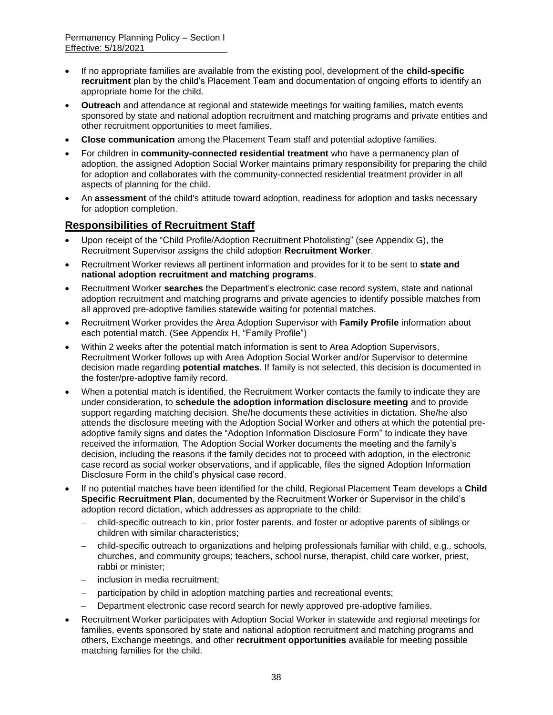- If no appropriate families are available from the existing pool, development of the **child-specific recruitment** plan by the child's Placement Team and documentation of ongoing efforts to identify an appropriate home for the child.
- **Outreach** and attendance at regional and statewide meetings for waiting families, match events sponsored by state and national adoption recruitment and matching programs and private entities and other recruitment opportunities to meet families.
- **Close communication** among the Placement Team staff and potential adoptive families.
- For children in **community-connected residential treatment** who have a permanency plan of adoption, the assigned Adoption Social Worker maintains primary responsibility for preparing the child for adoption and collaborates with the community-connected residential treatment provider in all aspects of planning for the child.
- An **assessment** of the child's attitude toward adoption, readiness for adoption and tasks necessary for adoption completion.

## **Responsibilities of Recruitment Staff**

- Upon receipt of the "Child Profile/Adoption Recruitment Photolisting" (see Appendix G), the Recruitment Supervisor assigns the child adoption **Recruitment Worker**.
- Recruitment Worker reviews all pertinent information and provides for it to be sent to **state and national adoption recruitment and matching programs**.
- Recruitment Worker **searches** the Department's electronic case record system, state and national adoption recruitment and matching programs and private agencies to identify possible matches from all approved pre-adoptive families statewide waiting for potential matches.
- Recruitment Worker provides the Area Adoption Supervisor with **Family Profile** information about each potential match. (See Appendix H, "Family Profile")
- Within 2 weeks after the potential match information is sent to Area Adoption Supervisors, Recruitment Worker follows up with Area Adoption Social Worker and/or Supervisor to determine decision made regarding **potential matches**. If family is not selected, this decision is documented in the foster/pre-adoptive family record.
- When a potential match is identified, the Recruitment Worker contacts the family to indicate they are under consideration, to **schedule the adoption information disclosure meeting** and to provide support regarding matching decision. She/he documents these activities in dictation. She/he also attends the disclosure meeting with the Adoption Social Worker and others at which the potential preadoptive family signs and dates the "Adoption Information Disclosure Form" to indicate they have received the information. The Adoption Social Worker documents the meeting and the family's decision, including the reasons if the family decides not to proceed with adoption, in the electronic case record as social worker observations, and if applicable, files the signed Adoption Information Disclosure Form in the child's physical case record.
- If no potential matches have been identified for the child, Regional Placement Team develops a **Child Specific Recruitment Plan**, documented by the Recruitment Worker or Supervisor in the child's adoption record dictation, which addresses as appropriate to the child:
	- child-specific outreach to kin, prior foster parents, and foster or adoptive parents of siblings or children with similar characteristics;
	- child-specific outreach to organizations and helping professionals familiar with child, e.g., schools, churches, and community groups; teachers, school nurse, therapist, child care worker, priest, rabbi or minister;
	- inclusion in media recruitment:
	- participation by child in adoption matching parties and recreational events;
	- Department electronic case record search for newly approved pre-adoptive families.
- Recruitment Worker participates with Adoption Social Worker in statewide and regional meetings for families, events sponsored by state and national adoption recruitment and matching programs and others, Exchange meetings, and other **recruitment opportunities** available for meeting possible matching families for the child.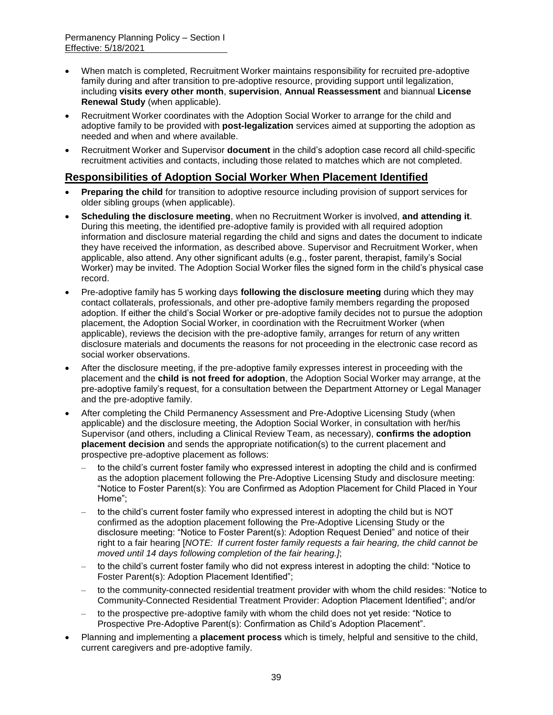- When match is completed, Recruitment Worker maintains responsibility for recruited pre-adoptive family during and after transition to pre-adoptive resource, providing support until legalization, including **visits every other month**, **supervision**, **Annual Reassessment** and biannual **License Renewal Study** (when applicable).
- Recruitment Worker coordinates with the Adoption Social Worker to arrange for the child and adoptive family to be provided with **post-legalization** services aimed at supporting the adoption as needed and when and where available.
- Recruitment Worker and Supervisor **document** in the child's adoption case record all child-specific recruitment activities and contacts, including those related to matches which are not completed.

### **Responsibilities of Adoption Social Worker When Placement Identified**

- **Preparing the child** for transition to adoptive resource including provision of support services for older sibling groups (when applicable).
- **Scheduling the disclosure meeting**, when no Recruitment Worker is involved, **and attending it**. During this meeting, the identified pre-adoptive family is provided with all required adoption information and disclosure material regarding the child and signs and dates the document to indicate they have received the information, as described above. Supervisor and Recruitment Worker, when applicable, also attend. Any other significant adults (e.g., foster parent, therapist, family's Social Worker) may be invited. The Adoption Social Worker files the signed form in the child's physical case record.
- Pre-adoptive family has 5 working days **following the disclosure meeting** during which they may contact collaterals, professionals, and other pre-adoptive family members regarding the proposed adoption. If either the child's Social Worker or pre-adoptive family decides not to pursue the adoption placement, the Adoption Social Worker, in coordination with the Recruitment Worker (when applicable), reviews the decision with the pre-adoptive family, arranges for return of any written disclosure materials and documents the reasons for not proceeding in the electronic case record as social worker observations.
- After the disclosure meeting, if the pre-adoptive family expresses interest in proceeding with the placement and the **child is not freed for adoption**, the Adoption Social Worker may arrange, at the pre-adoptive family's request, for a consultation between the Department Attorney or Legal Manager and the pre-adoptive family.
- After completing the Child Permanency Assessment and Pre-Adoptive Licensing Study (when applicable) and the disclosure meeting, the Adoption Social Worker, in consultation with her/his Supervisor (and others, including a Clinical Review Team, as necessary), **confirms the adoption placement decision** and sends the appropriate notification(s) to the current placement and prospective pre-adoptive placement as follows:
	- to the child's current foster family who expressed interest in adopting the child and is confirmed as the adoption placement following the Pre-Adoptive Licensing Study and disclosure meeting: "Notice to Foster Parent(s): You are Confirmed as Adoption Placement for Child Placed in Your Home";
	- to the child's current foster family who expressed interest in adopting the child but is NOT confirmed as the adoption placement following the Pre-Adoptive Licensing Study or the disclosure meeting: "Notice to Foster Parent(s): Adoption Request Denied" and notice of their right to a fair hearing [*NOTE: If current foster family requests a fair hearing, the child cannot be moved until 14 days following completion of the fair hearing.]*;
	- to the child's current foster family who did not express interest in adopting the child: "Notice to Foster Parent(s): Adoption Placement Identified";
	- to the community-connected residential treatment provider with whom the child resides: "Notice to Community-Connected Residential Treatment Provider: Adoption Placement Identified"; and/or
	- to the prospective pre-adoptive family with whom the child does not yet reside: "Notice to Prospective Pre-Adoptive Parent(s): Confirmation as Child's Adoption Placement".
- Planning and implementing a **placement process** which is timely, helpful and sensitive to the child, current caregivers and pre-adoptive family.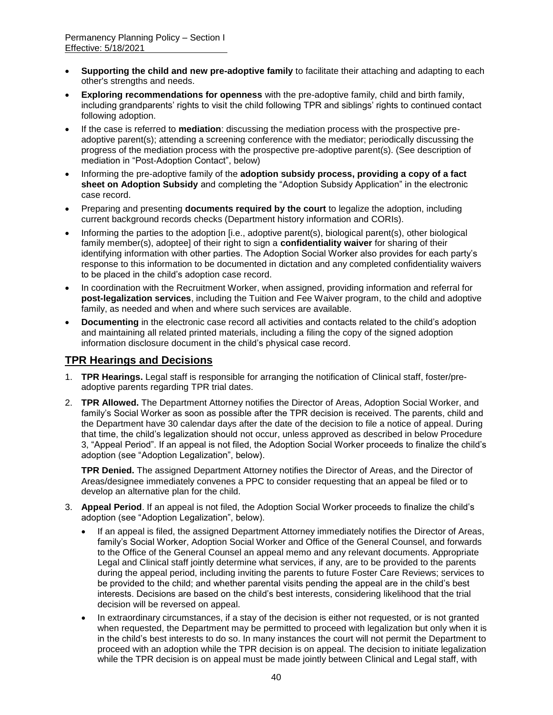- **Supporting the child and new pre-adoptive family** to facilitate their attaching and adapting to each other's strengths and needs.
- **Exploring recommendations for openness** with the pre-adoptive family, child and birth family, including grandparents' rights to visit the child following TPR and siblings' rights to continued contact following adoption.
- If the case is referred to **mediation**: discussing the mediation process with the prospective preadoptive parent(s); attending a screening conference with the mediator; periodically discussing the progress of the mediation process with the prospective pre-adoptive parent(s). (See description of mediation in "Post-Adoption Contact", below)
- Informing the pre-adoptive family of the **adoption subsidy process, providing a copy of a fact sheet on Adoption Subsidy** and completing the "Adoption Subsidy Application" in the electronic case record.
- Preparing and presenting **documents required by the court** to legalize the adoption, including current background records checks (Department history information and CORIs).
- Informing the parties to the adoption [i.e., adoptive parent(s), biological parent(s), other biological family member(s), adoptee] of their right to sign a **confidentiality waiver** for sharing of their identifying information with other parties. The Adoption Social Worker also provides for each party's response to this information to be documented in dictation and any completed confidentiality waivers to be placed in the child's adoption case record.
- In coordination with the Recruitment Worker, when assigned, providing information and referral for **post-legalization services**, including the Tuition and Fee Waiver program, to the child and adoptive family, as needed and when and where such services are available.
- **Documenting** in the electronic case record all activities and contacts related to the child's adoption and maintaining all related printed materials, including a filing the copy of the signed adoption information disclosure document in the child's physical case record.

# **TPR Hearings and Decisions**

- 1. **TPR Hearings.** Legal staff is responsible for arranging the notification of Clinical staff, foster/preadoptive parents regarding TPR trial dates.
- 2. **TPR Allowed.** The Department Attorney notifies the Director of Areas, Adoption Social Worker, and family's Social Worker as soon as possible after the TPR decision is received. The parents, child and the Department have 30 calendar days after the date of the decision to file a notice of appeal. During that time, the child's legalization should not occur, unless approved as described in below Procedure 3, "Appeal Period". If an appeal is not filed, the Adoption Social Worker proceeds to finalize the child's adoption (see "Adoption Legalization", below).

**TPR Denied.** The assigned Department Attorney notifies the Director of Areas, and the Director of Areas/designee immediately convenes a PPC to consider requesting that an appeal be filed or to develop an alternative plan for the child.

- 3. **Appeal Period**. If an appeal is not filed, the Adoption Social Worker proceeds to finalize the child's adoption (see "Adoption Legalization", below).
	- If an appeal is filed, the assigned Department Attorney immediately notifies the Director of Areas, family's Social Worker, Adoption Social Worker and Office of the General Counsel, and forwards to the Office of the General Counsel an appeal memo and any relevant documents. Appropriate Legal and Clinical staff jointly determine what services, if any, are to be provided to the parents during the appeal period, including inviting the parents to future Foster Care Reviews; services to be provided to the child; and whether parental visits pending the appeal are in the child's best interests. Decisions are based on the child's best interests, considering likelihood that the trial decision will be reversed on appeal.
	- In extraordinary circumstances, if a stay of the decision is either not requested, or is not granted when requested, the Department may be permitted to proceed with legalization but only when it is in the child's best interests to do so. In many instances the court will not permit the Department to proceed with an adoption while the TPR decision is on appeal. The decision to initiate legalization while the TPR decision is on appeal must be made jointly between Clinical and Legal staff, with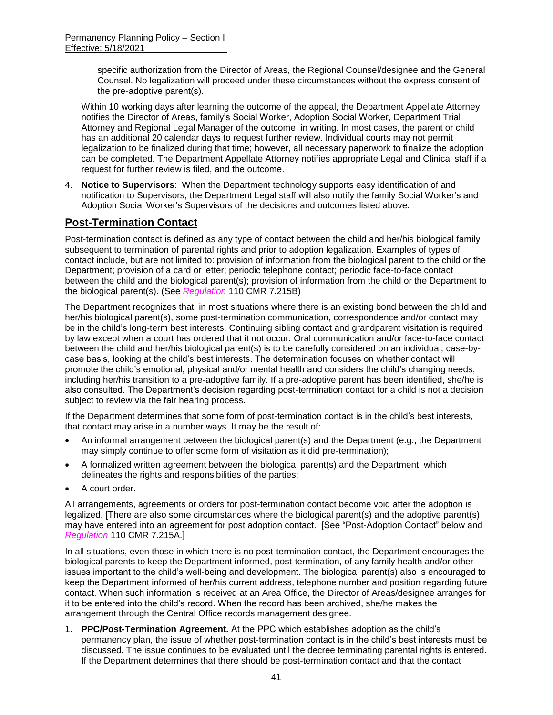specific authorization from the Director of Areas, the Regional Counsel/designee and the General Counsel. No legalization will proceed under these circumstances without the express consent of the pre-adoptive parent(s).

Within 10 working days after learning the outcome of the appeal, the Department Appellate Attorney notifies the Director of Areas, family's Social Worker, Adoption Social Worker, Department Trial Attorney and Regional Legal Manager of the outcome, in writing. In most cases, the parent or child has an additional 20 calendar days to request further review. Individual courts may not permit legalization to be finalized during that time; however, all necessary paperwork to finalize the adoption can be completed. The Department Appellate Attorney notifies appropriate Legal and Clinical staff if a request for further review is filed, and the outcome.

4. **Notice to Supervisors**: When the Department technology supports easy identification of and notification to Supervisors, the Department Legal staff will also notify the family Social Worker's and Adoption Social Worker's Supervisors of the decisions and outcomes listed above.

# **Post-Termination Contact**

Post-termination contact is defined as any type of contact between the child and her/his biological family subsequent to termination of parental rights and prior to adoption legalization. Examples of types of contact include, but are not limited to: provision of information from the biological parent to the child or the Department; provision of a card or letter; periodic telephone contact; periodic face-to-face contact between the child and the biological parent(s); provision of information from the child or the Department to the biological parent(s). (See *Regulation* 110 CMR 7.215B)

The Department recognizes that, in most situations where there is an existing bond between the child and her/his biological parent(s), some post-termination communication, correspondence and/or contact may be in the child's long-term best interests. Continuing sibling contact and grandparent visitation is required by law except when a court has ordered that it not occur. Oral communication and/or face-to-face contact between the child and her/his biological parent(s) is to be carefully considered on an individual, case-bycase basis, looking at the child's best interests. The determination focuses on whether contact will promote the child's emotional, physical and/or mental health and considers the child's changing needs, including her/his transition to a pre-adoptive family. If a pre-adoptive parent has been identified, she/he is also consulted. The Department's decision regarding post-termination contact for a child is not a decision subject to review via the fair hearing process.

If the Department determines that some form of post-termination contact is in the child's best interests, that contact may arise in a number ways. It may be the result of:

- An informal arrangement between the biological parent(s) and the Department (e.g., the Department may simply continue to offer some form of visitation as it did pre-termination);
- A formalized written agreement between the biological parent(s) and the Department, which delineates the rights and responsibilities of the parties;
- A court order.

All arrangements, agreements or orders for post-termination contact become void after the adoption is legalized. [There are also some circumstances where the biological parent(s) and the adoptive parent(s) may have entered into an agreement for post adoption contact. [See "Post-Adoption Contact" below and *Regulation* 110 CMR 7.215A.]

In all situations, even those in which there is no post-termination contact, the Department encourages the biological parents to keep the Department informed, post-termination, of any family health and/or other issues important to the child's well-being and development. The biological parent(s) also is encouraged to keep the Department informed of her/his current address, telephone number and position regarding future contact. When such information is received at an Area Office, the Director of Areas/designee arranges for it to be entered into the child's record. When the record has been archived, she/he makes the arrangement through the Central Office records management designee.

1. **PPC/Post-Termination Agreement.** At the PPC which establishes adoption as the child's permanency plan, the issue of whether post-termination contact is in the child's best interests must be discussed. The issue continues to be evaluated until the decree terminating parental rights is entered. If the Department determines that there should be post-termination contact and that the contact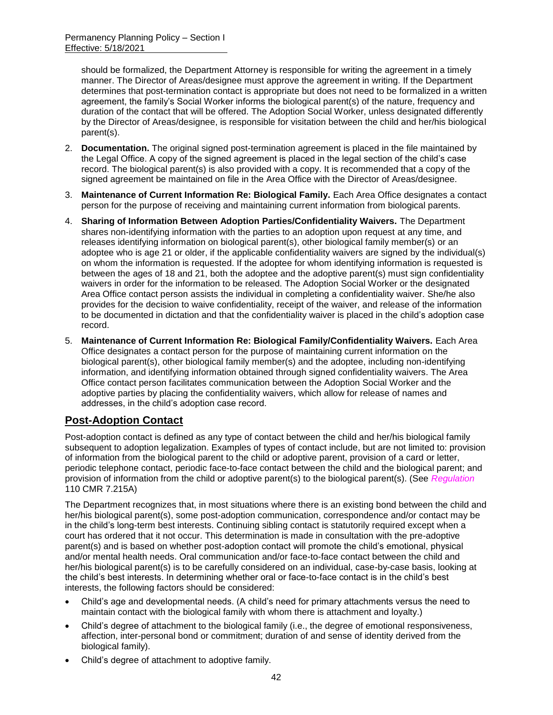should be formalized, the Department Attorney is responsible for writing the agreement in a timely manner. The Director of Areas/designee must approve the agreement in writing. If the Department determines that post-termination contact is appropriate but does not need to be formalized in a written agreement, the family's Social Worker informs the biological parent(s) of the nature, frequency and duration of the contact that will be offered. The Adoption Social Worker, unless designated differently by the Director of Areas/designee, is responsible for visitation between the child and her/his biological parent(s).

- 2. **Documentation.** The original signed post-termination agreement is placed in the file maintained by the Legal Office. A copy of the signed agreement is placed in the legal section of the child's case record. The biological parent(s) is also provided with a copy. It is recommended that a copy of the signed agreement be maintained on file in the Area Office with the Director of Areas/designee.
- 3. **Maintenance of Current Information Re: Biological Family.** Each Area Office designates a contact person for the purpose of receiving and maintaining current information from biological parents.
- 4. **Sharing of Information Between Adoption Parties/Confidentiality Waivers.** The Department shares non-identifying information with the parties to an adoption upon request at any time, and releases identifying information on biological parent(s), other biological family member(s) or an adoptee who is age 21 or older, if the applicable confidentiality waivers are signed by the individual(s) on whom the information is requested. If the adoptee for whom identifying information is requested is between the ages of 18 and 21, both the adoptee and the adoptive parent(s) must sign confidentiality waivers in order for the information to be released. The Adoption Social Worker or the designated Area Office contact person assists the individual in completing a confidentiality waiver. She/he also provides for the decision to waive confidentiality, receipt of the waiver, and release of the information to be documented in dictation and that the confidentiality waiver is placed in the child's adoption case record.
- 5. **Maintenance of Current Information Re: Biological Family/Confidentiality Waivers.** Each Area Office designates a contact person for the purpose of maintaining current information on the biological parent(s), other biological family member(s) and the adoptee, including non-identifying information, and identifying information obtained through signed confidentiality waivers. The Area Office contact person facilitates communication between the Adoption Social Worker and the adoptive parties by placing the confidentiality waivers, which allow for release of names and addresses, in the child's adoption case record.

# **Post-Adoption Contact**

Post-adoption contact is defined as any type of contact between the child and her/his biological family subsequent to adoption legalization. Examples of types of contact include, but are not limited to: provision of information from the biological parent to the child or adoptive parent, provision of a card or letter, periodic telephone contact, periodic face-to-face contact between the child and the biological parent; and provision of information from the child or adoptive parent(s) to the biological parent(s). (See *Regulation* 110 CMR 7.215A)

The Department recognizes that, in most situations where there is an existing bond between the child and her/his biological parent(s), some post-adoption communication, correspondence and/or contact may be in the child's long-term best interests. Continuing sibling contact is statutorily required except when a court has ordered that it not occur. This determination is made in consultation with the pre-adoptive parent(s) and is based on whether post-adoption contact will promote the child's emotional, physical and/or mental health needs. Oral communication and/or face-to-face contact between the child and her/his biological parent(s) is to be carefully considered on an individual, case-by-case basis, looking at the child's best interests. In determining whether oral or face-to-face contact is in the child's best interests, the following factors should be considered:

- Child's age and developmental needs. (A child's need for primary attachments versus the need to maintain contact with the biological family with whom there is attachment and loyalty.)
- Child's degree of attachment to the biological family (i.e., the degree of emotional responsiveness, affection, inter-personal bond or commitment; duration of and sense of identity derived from the biological family).
- Child's degree of attachment to adoptive family.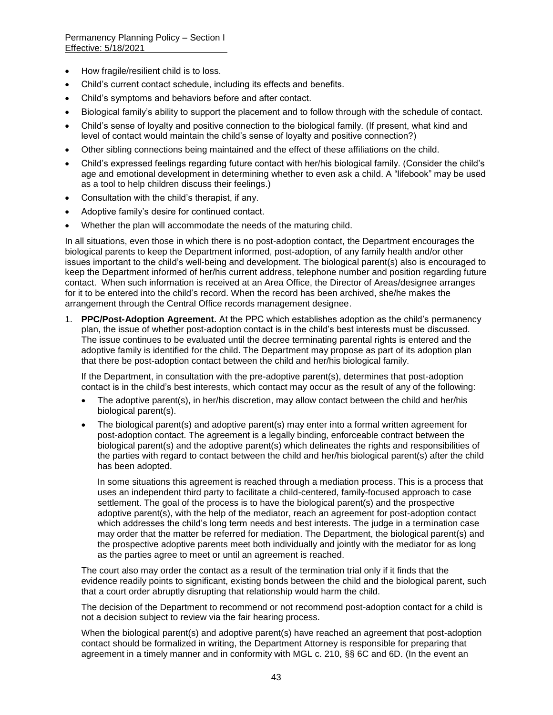- How fragile/resilient child is to loss.
- Child's current contact schedule, including its effects and benefits.
- Child's symptoms and behaviors before and after contact.
- Biological family's ability to support the placement and to follow through with the schedule of contact.
- Child's sense of loyalty and positive connection to the biological family. (If present, what kind and level of contact would maintain the child's sense of loyalty and positive connection?)
- Other sibling connections being maintained and the effect of these affiliations on the child.
- Child's expressed feelings regarding future contact with her/his biological family. (Consider the child's age and emotional development in determining whether to even ask a child. A "lifebook" may be used as a tool to help children discuss their feelings.)
- Consultation with the child's therapist, if any.
- Adoptive family's desire for continued contact.
- Whether the plan will accommodate the needs of the maturing child.

In all situations, even those in which there is no post-adoption contact, the Department encourages the biological parents to keep the Department informed, post-adoption, of any family health and/or other issues important to the child's well-being and development. The biological parent(s) also is encouraged to keep the Department informed of her/his current address, telephone number and position regarding future contact. When such information is received at an Area Office, the Director of Areas/designee arranges for it to be entered into the child's record. When the record has been archived, she/he makes the arrangement through the Central Office records management designee.

1. **PPC/Post-Adoption Agreement.** At the PPC which establishes adoption as the child's permanency plan, the issue of whether post-adoption contact is in the child's best interests must be discussed. The issue continues to be evaluated until the decree terminating parental rights is entered and the adoptive family is identified for the child. The Department may propose as part of its adoption plan that there be post-adoption contact between the child and her/his biological family.

If the Department, in consultation with the pre-adoptive parent(s), determines that post-adoption contact is in the child's best interests, which contact may occur as the result of any of the following:

- The adoptive parent(s), in her/his discretion, may allow contact between the child and her/his biological parent(s).
- The biological parent(s) and adoptive parent(s) may enter into a formal written agreement for post-adoption contact. The agreement is a legally binding, enforceable contract between the biological parent(s) and the adoptive parent(s) which delineates the rights and responsibilities of the parties with regard to contact between the child and her/his biological parent(s) after the child has been adopted.

In some situations this agreement is reached through a mediation process. This is a process that uses an independent third party to facilitate a child-centered, family-focused approach to case settlement. The goal of the process is to have the biological parent(s) and the prospective adoptive parent(s), with the help of the mediator, reach an agreement for post-adoption contact which addresses the child's long term needs and best interests. The judge in a termination case may order that the matter be referred for mediation. The Department, the biological parent(s) and the prospective adoptive parents meet both individually and jointly with the mediator for as long as the parties agree to meet or until an agreement is reached.

The court also may order the contact as a result of the termination trial only if it finds that the evidence readily points to significant, existing bonds between the child and the biological parent, such that a court order abruptly disrupting that relationship would harm the child.

The decision of the Department to recommend or not recommend post-adoption contact for a child is not a decision subject to review via the fair hearing process.

When the biological parent(s) and adoptive parent(s) have reached an agreement that post-adoption contact should be formalized in writing, the Department Attorney is responsible for preparing that agreement in a timely manner and in conformity with MGL c. 210, §§ 6C and 6D. (In the event an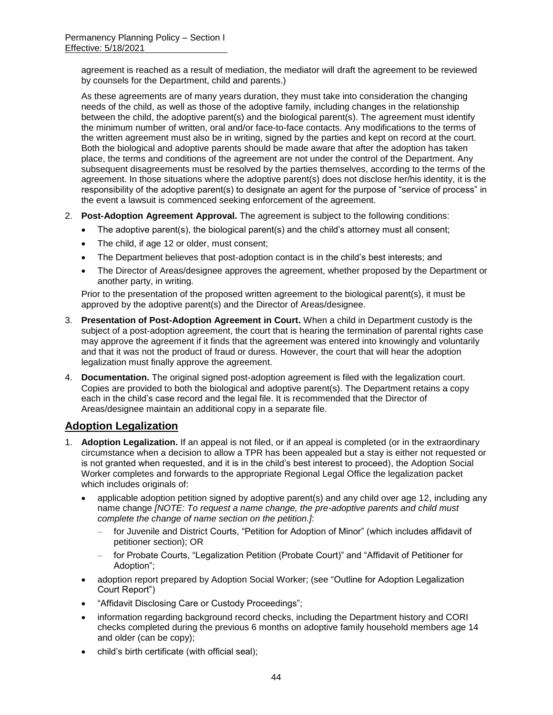agreement is reached as a result of mediation, the mediator will draft the agreement to be reviewed by counsels for the Department, child and parents.)

As these agreements are of many years duration, they must take into consideration the changing needs of the child, as well as those of the adoptive family, including changes in the relationship between the child, the adoptive parent(s) and the biological parent(s). The agreement must identify the minimum number of written, oral and/or face-to-face contacts. Any modifications to the terms of the written agreement must also be in writing, signed by the parties and kept on record at the court. Both the biological and adoptive parents should be made aware that after the adoption has taken place, the terms and conditions of the agreement are not under the control of the Department. Any subsequent disagreements must be resolved by the parties themselves, according to the terms of the agreement. In those situations where the adoptive parent(s) does not disclose her/his identity, it is the responsibility of the adoptive parent(s) to designate an agent for the purpose of "service of process" in the event a lawsuit is commenced seeking enforcement of the agreement.

- 2. **Post-Adoption Agreement Approval.** The agreement is subject to the following conditions:
	- The adoptive parent(s), the biological parent(s) and the child's attorney must all consent;
	- The child, if age 12 or older, must consent;
	- The Department believes that post-adoption contact is in the child's best interests; and
	- The Director of Areas/designee approves the agreement, whether proposed by the Department or another party, in writing.

Prior to the presentation of the proposed written agreement to the biological parent(s), it must be approved by the adoptive parent(s) and the Director of Areas/designee.

- 3. **Presentation of Post-Adoption Agreement in Court.** When a child in Department custody is the subject of a post-adoption agreement, the court that is hearing the termination of parental rights case may approve the agreement if it finds that the agreement was entered into knowingly and voluntarily and that it was not the product of fraud or duress. However, the court that will hear the adoption legalization must finally approve the agreement.
- 4. **Documentation.** The original signed post-adoption agreement is filed with the legalization court. Copies are provided to both the biological and adoptive parent(s). The Department retains a copy each in the child's case record and the legal file. It is recommended that the Director of Areas/designee maintain an additional copy in a separate file.

## **Adoption Legalization**

- 1. **Adoption Legalization.** If an appeal is not filed, or if an appeal is completed (or in the extraordinary circumstance when a decision to allow a TPR has been appealed but a stay is either not requested or is not granted when requested, and it is in the child's best interest to proceed), the Adoption Social Worker completes and forwards to the appropriate Regional Legal Office the legalization packet which includes originals of:
	- applicable adoption petition signed by adoptive parent(s) and any child over age 12, including any name change *[NOTE: To request a name change, the pre-adoptive parents and child must complete the change of name section on the petition.]*:
		- for Juvenile and District Courts, "Petition for Adoption of Minor" (which includes affidavit of petitioner section); OR
		- for Probate Courts, "Legalization Petition (Probate Court)" and "Affidavit of Petitioner for Adoption";
	- adoption report prepared by Adoption Social Worker; (see "Outline for Adoption Legalization Court Report")
	- "Affidavit Disclosing Care or Custody Proceedings";
	- information regarding background record checks, including the Department history and CORI checks completed during the previous 6 months on adoptive family household members age 14 and older (can be copy);
	- child's birth certificate (with official seal);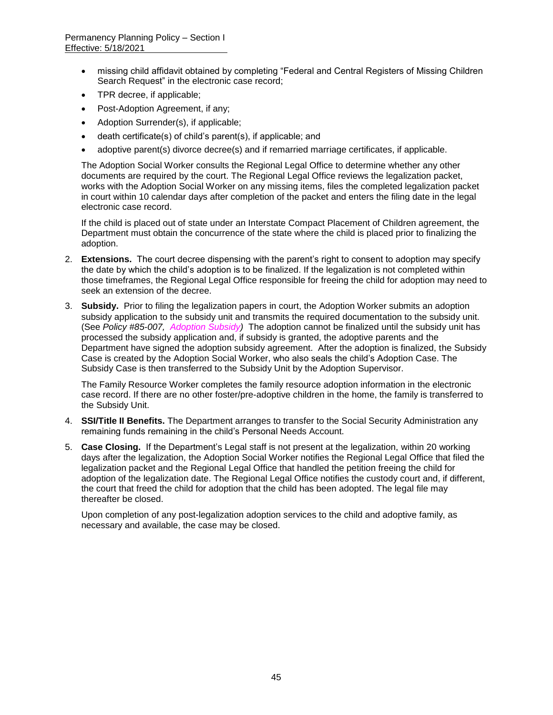- missing child affidavit obtained by completing "Federal and Central Registers of Missing Children Search Request" in the electronic case record;
- TPR decree, if applicable;
- Post-Adoption Agreement, if any;
- Adoption Surrender(s), if applicable;
- death certificate(s) of child's parent(s), if applicable; and
- adoptive parent(s) divorce decree(s) and if remarried marriage certificates, if applicable.

The Adoption Social Worker consults the Regional Legal Office to determine whether any other documents are required by the court. The Regional Legal Office reviews the legalization packet, works with the Adoption Social Worker on any missing items, files the completed legalization packet in court within 10 calendar days after completion of the packet and enters the filing date in the legal electronic case record.

If the child is placed out of state under an Interstate Compact Placement of Children agreement, the Department must obtain the concurrence of the state where the child is placed prior to finalizing the adoption.

- 2. **Extensions.** The court decree dispensing with the parent's right to consent to adoption may specify the date by which the child's adoption is to be finalized. If the legalization is not completed within those timeframes, the Regional Legal Office responsible for freeing the child for adoption may need to seek an extension of the decree.
- 3. **Subsidy.** Prior to filing the legalization papers in court, the Adoption Worker submits an adoption subsidy application to the subsidy unit and transmits the required documentation to the subsidy unit. (See *Policy #85-007, Adoption Subsidy)* The adoption cannot be finalized until the subsidy unit has processed the subsidy application and, if subsidy is granted, the adoptive parents and the Department have signed the adoption subsidy agreement. After the adoption is finalized, the Subsidy Case is created by the Adoption Social Worker, who also seals the child's Adoption Case. The Subsidy Case is then transferred to the Subsidy Unit by the Adoption Supervisor.

The Family Resource Worker completes the family resource adoption information in the electronic case record. If there are no other foster/pre-adoptive children in the home, the family is transferred to the Subsidy Unit.

- 4. **SSI/Title II Benefits.** The Department arranges to transfer to the Social Security Administration any remaining funds remaining in the child's Personal Needs Account.
- 5. **Case Closing.** If the Department's Legal staff is not present at the legalization, within 20 working days after the legalization, the Adoption Social Worker notifies the Regional Legal Office that filed the legalization packet and the Regional Legal Office that handled the petition freeing the child for adoption of the legalization date. The Regional Legal Office notifies the custody court and, if different, the court that freed the child for adoption that the child has been adopted. The legal file may thereafter be closed.

Upon completion of any post-legalization adoption services to the child and adoptive family, as necessary and available, the case may be closed.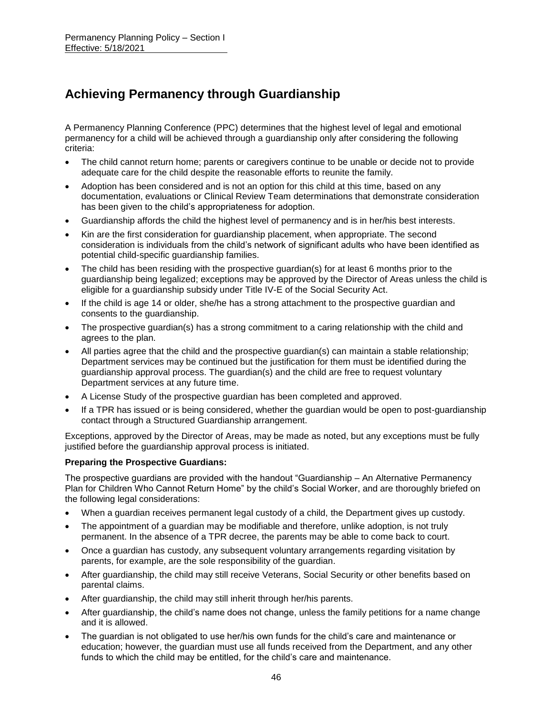# **Achieving Permanency through Guardianship**

A Permanency Planning Conference (PPC) determines that the highest level of legal and emotional permanency for a child will be achieved through a guardianship only after considering the following criteria:

- The child cannot return home; parents or caregivers continue to be unable or decide not to provide adequate care for the child despite the reasonable efforts to reunite the family.
- Adoption has been considered and is not an option for this child at this time, based on any documentation, evaluations or Clinical Review Team determinations that demonstrate consideration has been given to the child's appropriateness for adoption.
- Guardianship affords the child the highest level of permanency and is in her/his best interests.
- Kin are the first consideration for quardianship placement, when appropriate. The second consideration is individuals from the child's network of significant adults who have been identified as potential child-specific guardianship families.
- The child has been residing with the prospective guardian(s) for at least 6 months prior to the guardianship being legalized; exceptions may be approved by the Director of Areas unless the child is eligible for a guardianship subsidy under Title IV-E of the Social Security Act.
- If the child is age 14 or older, she/he has a strong attachment to the prospective guardian and consents to the guardianship.
- The prospective guardian(s) has a strong commitment to a caring relationship with the child and agrees to the plan.
- All parties agree that the child and the prospective guardian(s) can maintain a stable relationship; Department services may be continued but the justification for them must be identified during the guardianship approval process. The guardian(s) and the child are free to request voluntary Department services at any future time.
- A License Study of the prospective guardian has been completed and approved.
- If a TPR has issued or is being considered, whether the guardian would be open to post-guardianship contact through a Structured Guardianship arrangement.

Exceptions, approved by the Director of Areas, may be made as noted, but any exceptions must be fully justified before the guardianship approval process is initiated.

#### **Preparing the Prospective Guardians:**

The prospective guardians are provided with the handout "Guardianship – An Alternative Permanency Plan for Children Who Cannot Return Home" by the child's Social Worker, and are thoroughly briefed on the following legal considerations:

- When a guardian receives permanent legal custody of a child, the Department gives up custody.
- The appointment of a guardian may be modifiable and therefore, unlike adoption, is not truly permanent. In the absence of a TPR decree, the parents may be able to come back to court.
- Once a guardian has custody, any subsequent voluntary arrangements regarding visitation by parents, for example, are the sole responsibility of the guardian.
- After guardianship, the child may still receive Veterans, Social Security or other benefits based on parental claims.
- After guardianship, the child may still inherit through her/his parents.
- After guardianship, the child's name does not change, unless the family petitions for a name change and it is allowed.
- The guardian is not obligated to use her/his own funds for the child's care and maintenance or education; however, the guardian must use all funds received from the Department, and any other funds to which the child may be entitled, for the child's care and maintenance.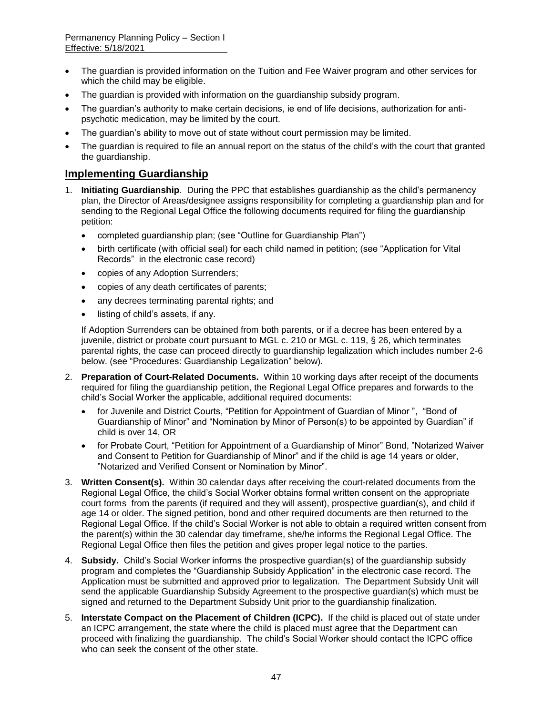- The guardian is provided information on the Tuition and Fee Waiver program and other services for which the child may be eligible.
- The guardian is provided with information on the guardianship subsidy program.
- The guardian's authority to make certain decisions, ie end of life decisions, authorization for antipsychotic medication, may be limited by the court.
- The guardian's ability to move out of state without court permission may be limited.
- The guardian is required to file an annual report on the status of the child's with the court that granted the guardianship.

### **Implementing Guardianship**

- 1. **Initiating Guardianship**. During the PPC that establishes guardianship as the child's permanency plan, the Director of Areas/designee assigns responsibility for completing a guardianship plan and for sending to the Regional Legal Office the following documents required for filing the guardianship petition:
	- completed guardianship plan; (see "Outline for Guardianship Plan")
	- birth certificate (with official seal) for each child named in petition; (see "Application for Vital Records" in the electronic case record)
	- copies of any Adoption Surrenders;
	- copies of any death certificates of parents;
	- any decrees terminating parental rights; and
	- listing of child's assets, if any.

If Adoption Surrenders can be obtained from both parents, or if a decree has been entered by a juvenile, district or probate court pursuant to MGL c. 210 or MGL c. 119, § 26, which terminates parental rights, the case can proceed directly to guardianship legalization which includes number 2-6 below. (see "Procedures: Guardianship Legalization" below).

- 2. **Preparation of Court-Related Documents.** Within 10 working days after receipt of the documents required for filing the guardianship petition, the Regional Legal Office prepares and forwards to the child's Social Worker the applicable, additional required documents:
	- for Juvenile and District Courts, "Petition for Appointment of Guardian of Minor ", "Bond of Guardianship of Minor" and "Nomination by Minor of Person(s) to be appointed by Guardian" if child is over 14, OR
	- for Probate Court, "Petition for Appointment of a Guardianship of Minor" Bond, "Notarized Waiver and Consent to Petition for Guardianship of Minor" and if the child is age 14 years or older, "Notarized and Verified Consent or Nomination by Minor".
- 3. **Written Consent(s).** Within 30 calendar days after receiving the court-related documents from the Regional Legal Office, the child's Social Worker obtains formal written consent on the appropriate court forms from the parents (if required and they will assent), prospective guardian(s), and child if age 14 or older. The signed petition, bond and other required documents are then returned to the Regional Legal Office. If the child's Social Worker is not able to obtain a required written consent from the parent(s) within the 30 calendar day timeframe, she/he informs the Regional Legal Office. The Regional Legal Office then files the petition and gives proper legal notice to the parties.
- 4. **Subsidy.** Child's Social Worker informs the prospective guardian(s) of the guardianship subsidy program and completes the "Guardianship Subsidy Application" in the electronic case record. The Application must be submitted and approved prior to legalization. The Department Subsidy Unit will send the applicable Guardianship Subsidy Agreement to the prospective guardian(s) which must be signed and returned to the Department Subsidy Unit prior to the guardianship finalization.
- 5. **Interstate Compact on the Placement of Children (ICPC).** If the child is placed out of state under an ICPC arrangement, the state where the child is placed must agree that the Department can proceed with finalizing the guardianship. The child's Social Worker should contact the ICPC office who can seek the consent of the other state.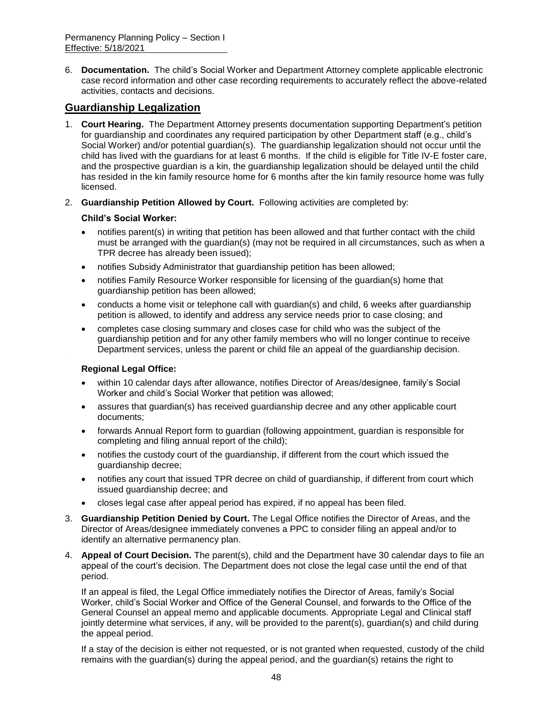6. **Documentation.** The child's Social Worker and Department Attorney complete applicable electronic case record information and other case recording requirements to accurately reflect the above-related activities, contacts and decisions.

# **Guardianship Legalization**

- 1. **Court Hearing.** The Department Attorney presents documentation supporting Department's petition for guardianship and coordinates any required participation by other Department staff (e.g., child's Social Worker) and/or potential guardian(s). The guardianship legalization should not occur until the child has lived with the guardians for at least 6 months. If the child is eligible for Title IV-E foster care, and the prospective guardian is a kin, the guardianship legalization should be delayed until the child has resided in the kin family resource home for 6 months after the kin family resource home was fully licensed.
- 2. **Guardianship Petition Allowed by Court.** Following activities are completed by:

#### **Child's Social Worker:**

- notifies parent(s) in writing that petition has been allowed and that further contact with the child must be arranged with the guardian(s) (may not be required in all circumstances, such as when a TPR decree has already been issued);
- notifies Subsidy Administrator that guardianship petition has been allowed;
- notifies Family Resource Worker responsible for licensing of the guardian(s) home that guardianship petition has been allowed;
- conducts a home visit or telephone call with guardian(s) and child, 6 weeks after guardianship petition is allowed, to identify and address any service needs prior to case closing; and
- completes case closing summary and closes case for child who was the subject of the guardianship petition and for any other family members who will no longer continue to receive Department services, unless the parent or child file an appeal of the guardianship decision.

### **Regional Legal Office:**

- within 10 calendar days after allowance, notifies Director of Areas/designee, family's Social Worker and child's Social Worker that petition was allowed;
- assures that guardian(s) has received guardianship decree and any other applicable court documents;
- forwards Annual Report form to guardian (following appointment, guardian is responsible for completing and filing annual report of the child);
- notifies the custody court of the guardianship, if different from the court which issued the guardianship decree;
- notifies any court that issued TPR decree on child of guardianship, if different from court which issued guardianship decree; and
- closes legal case after appeal period has expired, if no appeal has been filed.
- 3. **Guardianship Petition Denied by Court.** The Legal Office notifies the Director of Areas, and the Director of Areas/designee immediately convenes a PPC to consider filing an appeal and/or to identify an alternative permanency plan.
- 4. **Appeal of Court Decision.** The parent(s), child and the Department have 30 calendar days to file an appeal of the court's decision. The Department does not close the legal case until the end of that period.

If an appeal is filed, the Legal Office immediately notifies the Director of Areas, family's Social Worker, child's Social Worker and Office of the General Counsel, and forwards to the Office of the General Counsel an appeal memo and applicable documents*.* Appropriate Legal and Clinical staff jointly determine what services, if any, will be provided to the parent(s), guardian(s) and child during the appeal period.

If a stay of the decision is either not requested, or is not granted when requested, custody of the child remains with the guardian(s) during the appeal period, and the guardian(s) retains the right to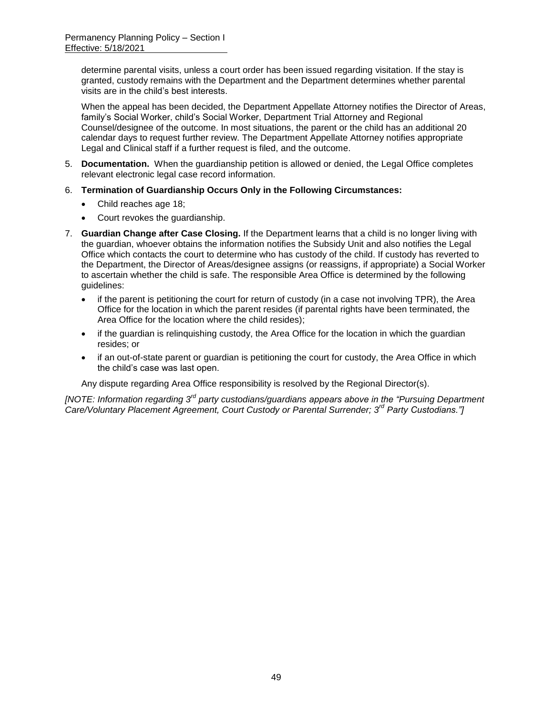determine parental visits, unless a court order has been issued regarding visitation. If the stay is granted, custody remains with the Department and the Department determines whether parental visits are in the child's best interests.

When the appeal has been decided, the Department Appellate Attorney notifies the Director of Areas, family's Social Worker, child's Social Worker, Department Trial Attorney and Regional Counsel/designee of the outcome. In most situations, the parent or the child has an additional 20 calendar days to request further review. The Department Appellate Attorney notifies appropriate Legal and Clinical staff if a further request is filed, and the outcome.

- 5. **Documentation.** When the guardianship petition is allowed or denied, the Legal Office completes relevant electronic legal case record information.
- 6. **Termination of Guardianship Occurs Only in the Following Circumstances:**
	- Child reaches age 18;
	- Court revokes the guardianship.
- 7. **Guardian Change after Case Closing.** If the Department learns that a child is no longer living with the guardian, whoever obtains the information notifies the Subsidy Unit and also notifies the Legal Office which contacts the court to determine who has custody of the child. If custody has reverted to the Department, the Director of Areas/designee assigns (or reassigns, if appropriate) a Social Worker to ascertain whether the child is safe. The responsible Area Office is determined by the following guidelines:
	- if the parent is petitioning the court for return of custody (in a case not involving TPR), the Area Office for the location in which the parent resides (if parental rights have been terminated, the Area Office for the location where the child resides);
	- if the guardian is relinguishing custody, the Area Office for the location in which the guardian resides; or
	- if an out-of-state parent or guardian is petitioning the court for custody, the Area Office in which the child's case was last open.

Any dispute regarding Area Office responsibility is resolved by the Regional Director(s).

*[NOTE: Information regarding 3rd party custodians/guardians appears above in the "Pursuing Department Care/Voluntary Placement Agreement, Court Custody or Parental Surrender; 3rd Party Custodians."]*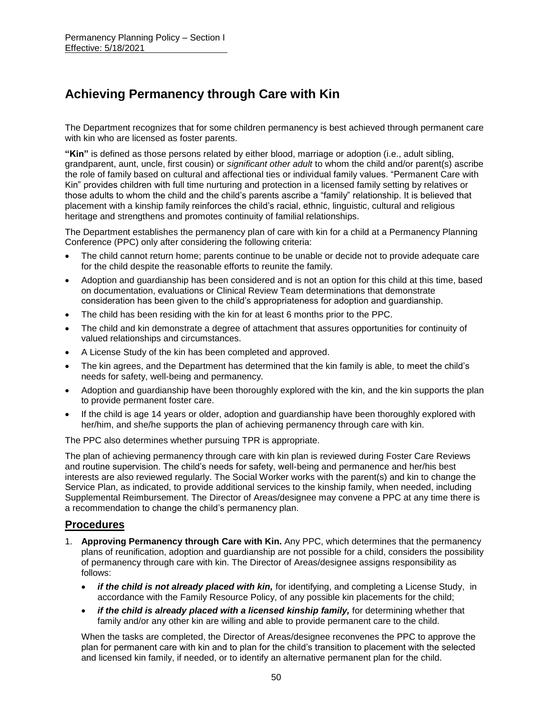# **Achieving Permanency through Care with Kin**

The Department recognizes that for some children permanency is best achieved through permanent care with kin who are licensed as foster parents.

**"Kin"** is defined as those persons related by either blood, marriage or adoption (i.e., adult sibling, grandparent, aunt, uncle, first cousin) or *significant other adult* to whom the child and/or parent(s) ascribe the role of family based on cultural and affectional ties or individual family values. "Permanent Care with Kin" provides children with full time nurturing and protection in a licensed family setting by relatives or those adults to whom the child and the child's parents ascribe a "family" relationship. It is believed that placement with a kinship family reinforces the child's racial, ethnic, linguistic, cultural and religious heritage and strengthens and promotes continuity of familial relationships.

The Department establishes the permanency plan of care with kin for a child at a Permanency Planning Conference (PPC) only after considering the following criteria:

- The child cannot return home; parents continue to be unable or decide not to provide adequate care for the child despite the reasonable efforts to reunite the family.
- Adoption and guardianship has been considered and is not an option for this child at this time, based on documentation, evaluations or Clinical Review Team determinations that demonstrate consideration has been given to the child's appropriateness for adoption and guardianship.
- The child has been residing with the kin for at least 6 months prior to the PPC.
- The child and kin demonstrate a degree of attachment that assures opportunities for continuity of valued relationships and circumstances.
- A License Study of the kin has been completed and approved.
- The kin agrees, and the Department has determined that the kin family is able, to meet the child's needs for safety, well-being and permanency.
- Adoption and guardianship have been thoroughly explored with the kin, and the kin supports the plan to provide permanent foster care.
- If the child is age 14 years or older, adoption and guardianship have been thoroughly explored with her/him, and she/he supports the plan of achieving permanency through care with kin.

The PPC also determines whether pursuing TPR is appropriate.

The plan of achieving permanency through care with kin plan is reviewed during Foster Care Reviews and routine supervision. The child's needs for safety, well-being and permanence and her/his best interests are also reviewed regularly. The Social Worker works with the parent(s) and kin to change the Service Plan, as indicated, to provide additional services to the kinship family, when needed, including Supplemental Reimbursement. The Director of Areas/designee may convene a PPC at any time there is a recommendation to change the child's permanency plan.

### **Procedures**

- 1. **Approving Permanency through Care with Kin.** Any PPC, which determines that the permanency plans of reunification, adoption and guardianship are not possible for a child, considers the possibility of permanency through care with kin. The Director of Areas/designee assigns responsibility as follows:
	- *if the child is not already placed with kin,* for identifying, and completing a License Study, in accordance with the Family Resource Policy, of any possible kin placements for the child;
	- *if the child is already placed with a licensed kinship family,* for determining whether that family and/or any other kin are willing and able to provide permanent care to the child.

When the tasks are completed, the Director of Areas/designee reconvenes the PPC to approve the plan for permanent care with kin and to plan for the child's transition to placement with the selected and licensed kin family, if needed, or to identify an alternative permanent plan for the child.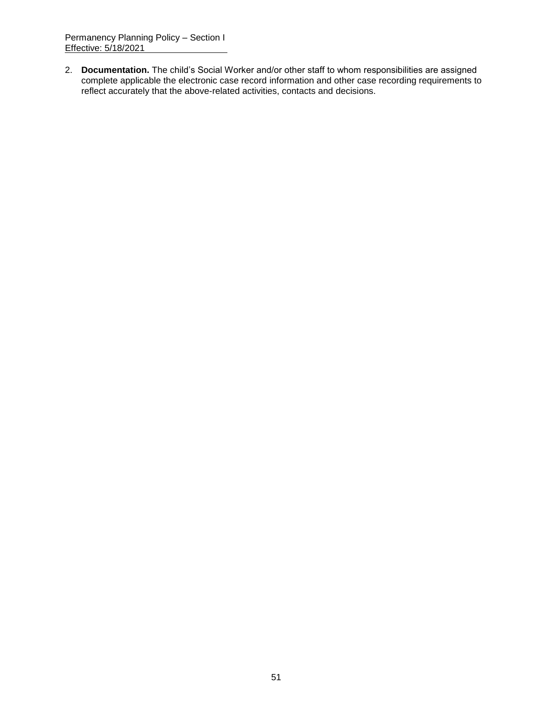2. **Documentation.** The child's Social Worker and/or other staff to whom responsibilities are assigned complete applicable the electronic case record information and other case recording requirements to reflect accurately that the above-related activities, contacts and decisions.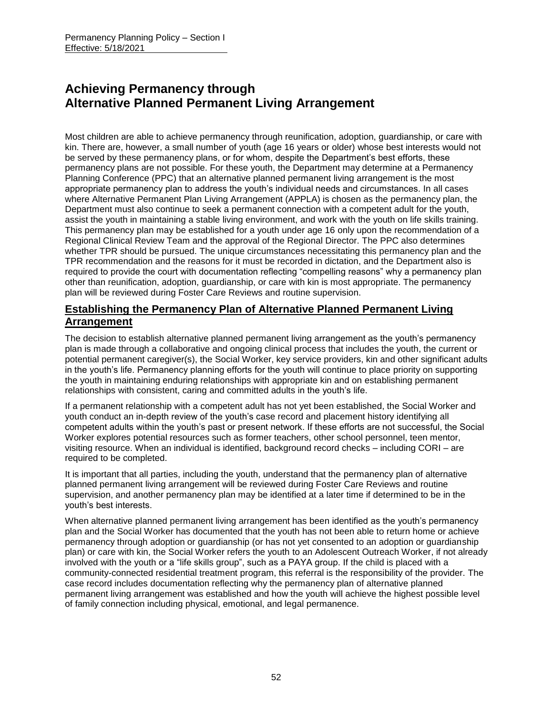# **Achieving Permanency through Alternative Planned Permanent Living Arrangement**

Most children are able to achieve permanency through reunification, adoption, guardianship, or care with kin. There are, however, a small number of youth (age 16 years or older) whose best interests would not be served by these permanency plans, or for whom, despite the Department's best efforts, these permanency plans are not possible. For these youth, the Department may determine at a Permanency Planning Conference (PPC) that an alternative planned permanent living arrangement is the most appropriate permanency plan to address the youth's individual needs and circumstances. In all cases where Alternative Permanent Plan Living Arrangement (APPLA) is chosen as the permanency plan, the Department must also continue to seek a permanent connection with a competent adult for the youth, assist the youth in maintaining a stable living environment, and work with the youth on life skills training. This permanency plan may be established for a youth under age 16 only upon the recommendation of a Regional Clinical Review Team and the approval of the Regional Director. The PPC also determines whether TPR should be pursued. The unique circumstances necessitating this permanency plan and the TPR recommendation and the reasons for it must be recorded in dictation, and the Department also is required to provide the court with documentation reflecting "compelling reasons" why a permanency plan other than reunification, adoption, guardianship, or care with kin is most appropriate. The permanency plan will be reviewed during Foster Care Reviews and routine supervision.

# **Establishing the Permanency Plan of Alternative Planned Permanent Living Arrangement**

The decision to establish alternative planned permanent living arrangement as the youth's permanency plan is made through a collaborative and ongoing clinical process that includes the youth, the current or potential permanent caregiver(s), the Social Worker, key service providers, kin and other significant adults in the youth's life. Permanency planning efforts for the youth will continue to place priority on supporting the youth in maintaining enduring relationships with appropriate kin and on establishing permanent relationships with consistent, caring and committed adults in the youth's life.

If a permanent relationship with a competent adult has not yet been established, the Social Worker and youth conduct an in-depth review of the youth's case record and placement history identifying all competent adults within the youth's past or present network. If these efforts are not successful, the Social Worker explores potential resources such as former teachers, other school personnel, teen mentor, visiting resource. When an individual is identified, background record checks – including CORI – are required to be completed.

It is important that all parties, including the youth, understand that the permanency plan of alternative planned permanent living arrangement will be reviewed during Foster Care Reviews and routine supervision, and another permanency plan may be identified at a later time if determined to be in the youth's best interests.

When alternative planned permanent living arrangement has been identified as the youth's permanency plan and the Social Worker has documented that the youth has not been able to return home or achieve permanency through adoption or guardianship (or has not yet consented to an adoption or guardianship plan) or care with kin, the Social Worker refers the youth to an Adolescent Outreach Worker, if not already involved with the youth or a "life skills group", such as a PAYA group. If the child is placed with a community-connected residential treatment program, this referral is the responsibility of the provider. The case record includes documentation reflecting why the permanency plan of alternative planned permanent living arrangement was established and how the youth will achieve the highest possible level of family connection including physical, emotional, and legal permanence.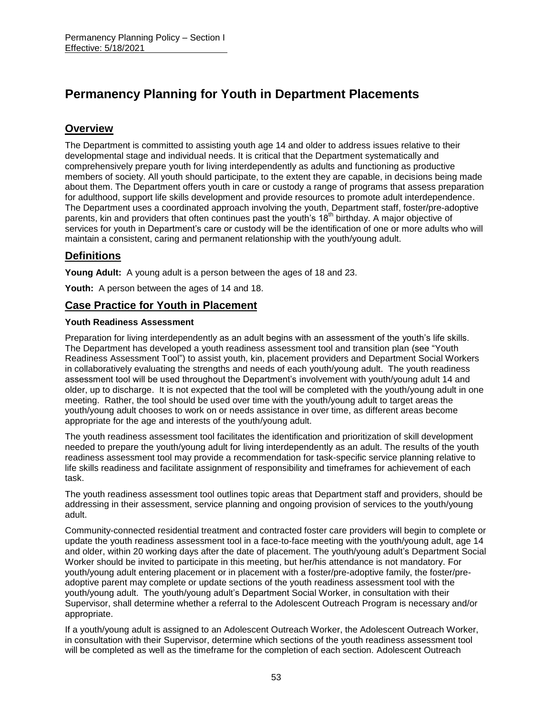# **Permanency Planning for Youth in Department Placements**

# **Overview**

The Department is committed to assisting youth age 14 and older to address issues relative to their developmental stage and individual needs. It is critical that the Department systematically and comprehensively prepare youth for living interdependently as adults and functioning as productive members of society. All youth should participate, to the extent they are capable, in decisions being made about them. The Department offers youth in care or custody a range of programs that assess preparation for adulthood, support life skills development and provide resources to promote adult interdependence. The Department uses a coordinated approach involving the youth, Department staff, foster/pre-adoptive parents, kin and providers that often continues past the youth's 18<sup>th</sup> birthday. A major objective of services for youth in Department's care or custody will be the identification of one or more adults who will maintain a consistent, caring and permanent relationship with the youth/young adult.

# **Definitions**

**Young Adult:** A young adult is a person between the ages of 18 and 23.

**Youth:** A person between the ages of 14 and 18.

### **Case Practice for Youth in Placement**

#### **Youth Readiness Assessment**

Preparation for living interdependently as an adult begins with an assessment of the youth's life skills. The Department has developed a youth readiness assessment tool and transition plan (see "Youth Readiness Assessment Tool") to assist youth, kin, placement providers and Department Social Workers in collaboratively evaluating the strengths and needs of each youth/young adult. The youth readiness assessment tool will be used throughout the Department's involvement with youth/young adult 14 and older, up to discharge. It is not expected that the tool will be completed with the youth/young adult in one meeting. Rather, the tool should be used over time with the youth/young adult to target areas the youth/young adult chooses to work on or needs assistance in over time, as different areas become appropriate for the age and interests of the youth/young adult.

The youth readiness assessment tool facilitates the identification and prioritization of skill development needed to prepare the youth/young adult for living interdependently as an adult. The results of the youth readiness assessment tool may provide a recommendation for task-specific service planning relative to life skills readiness and facilitate assignment of responsibility and timeframes for achievement of each task.

The youth readiness assessment tool outlines topic areas that Department staff and providers, should be addressing in their assessment, service planning and ongoing provision of services to the youth/young adult.

Community-connected residential treatment and contracted foster care providers will begin to complete or update the youth readiness assessment tool in a face-to-face meeting with the youth/young adult, age 14 and older, within 20 working days after the date of placement. The youth/young adult's Department Social Worker should be invited to participate in this meeting, but her/his attendance is not mandatory. For youth/young adult entering placement or in placement with a foster/pre-adoptive family, the foster/preadoptive parent may complete or update sections of the youth readiness assessment tool with the youth/young adult. The youth/young adult's Department Social Worker, in consultation with their Supervisor, shall determine whether a referral to the Adolescent Outreach Program is necessary and/or appropriate.

If a youth/young adult is assigned to an Adolescent Outreach Worker, the Adolescent Outreach Worker, in consultation with their Supervisor, determine which sections of the youth readiness assessment tool will be completed as well as the timeframe for the completion of each section. Adolescent Outreach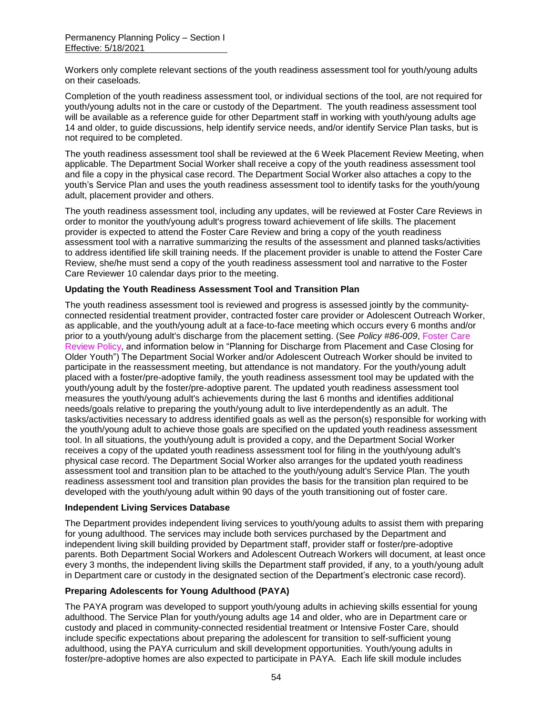Workers only complete relevant sections of the youth readiness assessment tool for youth/young adults on their caseloads.

Completion of the youth readiness assessment tool, or individual sections of the tool, are not required for youth/young adults not in the care or custody of the Department. The youth readiness assessment tool will be available as a reference guide for other Department staff in working with youth/young adults age 14 and older, to guide discussions, help identify service needs, and/or identify Service Plan tasks, but is not required to be completed.

The youth readiness assessment tool shall be reviewed at the 6 Week Placement Review Meeting, when applicable. The Department Social Worker shall receive a copy of the youth readiness assessment tool and file a copy in the physical case record. The Department Social Worker also attaches a copy to the youth's Service Plan and uses the youth readiness assessment tool to identify tasks for the youth/young adult, placement provider and others.

The youth readiness assessment tool, including any updates, will be reviewed at Foster Care Reviews in order to monitor the youth/young adult's progress toward achievement of life skills. The placement provider is expected to attend the Foster Care Review and bring a copy of the youth readiness assessment tool with a narrative summarizing the results of the assessment and planned tasks/activities to address identified life skill training needs. If the placement provider is unable to attend the Foster Care Review, she/he must send a copy of the youth readiness assessment tool and narrative to the Foster Care Reviewer 10 calendar days prior to the meeting.

#### **Updating the Youth Readiness Assessment Tool and Transition Plan**

The youth readiness assessment tool is reviewed and progress is assessed jointly by the communityconnected residential treatment provider, contracted foster care provider or Adolescent Outreach Worker, as applicable, and the youth/young adult at a face-to-face meeting which occurs every 6 months and/or prior to a youth/young adult's discharge from the placement setting. (See *Policy #86-009*, Foster Care Review Policy, and information below in "Planning for Discharge from Placement and Case Closing for Older Youth") The Department Social Worker and/or Adolescent Outreach Worker should be invited to participate in the reassessment meeting, but attendance is not mandatory. For the youth/young adult placed with a foster/pre-adoptive family, the youth readiness assessment tool may be updated with the youth/young adult by the foster/pre-adoptive parent. The updated youth readiness assessment tool measures the youth/young adult's achievements during the last 6 months and identifies additional needs/goals relative to preparing the youth/young adult to live interdependently as an adult. The tasks/activities necessary to address identified goals as well as the person(s) responsible for working with the youth/young adult to achieve those goals are specified on the updated youth readiness assessment tool. In all situations, the youth/young adult is provided a copy, and the Department Social Worker receives a copy of the updated youth readiness assessment tool for filing in the youth/young adult's physical case record. The Department Social Worker also arranges for the updated youth readiness assessment tool and transition plan to be attached to the youth/young adult's Service Plan. The youth readiness assessment tool and transition plan provides the basis for the transition plan required to be developed with the youth/young adult within 90 days of the youth transitioning out of foster care.

#### **Independent Living Services Database**

The Department provides independent living services to youth/young adults to assist them with preparing for young adulthood. The services may include both services purchased by the Department and independent living skill building provided by Department staff, provider staff or foster/pre-adoptive parents. Both Department Social Workers and Adolescent Outreach Workers will document, at least once every 3 months, the independent living skills the Department staff provided, if any, to a youth/young adult in Department care or custody in the designated section of the Department's electronic case record).

### **Preparing Adolescents for Young Adulthood (PAYA)**

The PAYA program was developed to support youth/young adults in achieving skills essential for young adulthood. The Service Plan for youth/young adults age 14 and older, who are in Department care or custody and placed in community-connected residential treatment or Intensive Foster Care, should include specific expectations about preparing the adolescent for transition to self-sufficient young adulthood, using the PAYA curriculum and skill development opportunities. Youth/young adults in foster/pre-adoptive homes are also expected to participate in PAYA. Each life skill module includes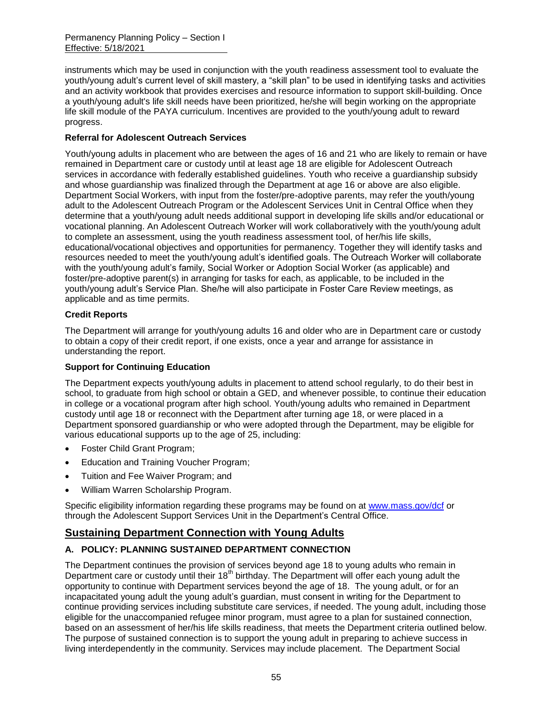instruments which may be used in conjunction with the youth readiness assessment tool to evaluate the youth/young adult's current level of skill mastery, a "skill plan" to be used in identifying tasks and activities and an activity workbook that provides exercises and resource information to support skill-building. Once a youth/young adult's life skill needs have been prioritized, he/she will begin working on the appropriate life skill module of the PAYA curriculum. Incentives are provided to the youth/young adult to reward progress.

### **Referral for Adolescent Outreach Services**

Youth/young adults in placement who are between the ages of 16 and 21 who are likely to remain or have remained in Department care or custody until at least age 18 are eligible for Adolescent Outreach services in accordance with federally established guidelines. Youth who receive a guardianship subsidy and whose guardianship was finalized through the Department at age 16 or above are also eligible. Department Social Workers, with input from the foster/pre-adoptive parents, may refer the youth/young adult to the Adolescent Outreach Program or the Adolescent Services Unit in Central Office when they determine that a youth/young adult needs additional support in developing life skills and/or educational or vocational planning. An Adolescent Outreach Worker will work collaboratively with the youth/young adult to complete an assessment, using the youth readiness assessment tool, of her/his life skills, educational/vocational objectives and opportunities for permanency. Together they will identify tasks and resources needed to meet the youth/young adult's identified goals. The Outreach Worker will collaborate with the youth/young adult's family, Social Worker or Adoption Social Worker (as applicable) and foster/pre-adoptive parent(s) in arranging for tasks for each, as applicable, to be included in the youth/young adult's Service Plan. She/he will also participate in Foster Care Review meetings, as applicable and as time permits.

#### **Credit Reports**

The Department will arrange for youth/young adults 16 and older who are in Department care or custody to obtain a copy of their credit report, if one exists, once a year and arrange for assistance in understanding the report.

### **Support for Continuing Education**

The Department expects youth/young adults in placement to attend school regularly, to do their best in school, to graduate from high school or obtain a GED, and whenever possible, to continue their education in college or a vocational program after high school. Youth/young adults who remained in Department custody until age 18 or reconnect with the Department after turning age 18, or were placed in a Department sponsored guardianship or who were adopted through the Department, may be eligible for various educational supports up to the age of 25, including:

- Foster Child Grant Program;
- Education and Training Voucher Program;
- Tuition and Fee Waiver Program; and
- William Warren Scholarship Program.

Specific eligibility information regarding these programs may be found on at [www.mass.gov/dcf](http://www.mass.gov/dcf) or through the Adolescent Support Services Unit in the Department's Central Office.

## **Sustaining Department Connection with Young Adults**

### **A. POLICY: PLANNING SUSTAINED DEPARTMENT CONNECTION**

The Department continues the provision of services beyond age 18 to young adults who remain in Department care or custody until their  $18<sup>th</sup>$  birthday. The Department will offer each young adult the opportunity to continue with Department services beyond the age of 18. The young adult, or for an incapacitated young adult the young adult's guardian, must consent in writing for the Department to continue providing services including substitute care services, if needed. The young adult, including those eligible for the unaccompanied refugee minor program, must agree to a plan for sustained connection, based on an assessment of her/his life skills readiness, that meets the Department criteria outlined below. The purpose of sustained connection is to support the young adult in preparing to achieve success in living interdependently in the community. Services may include placement. The Department Social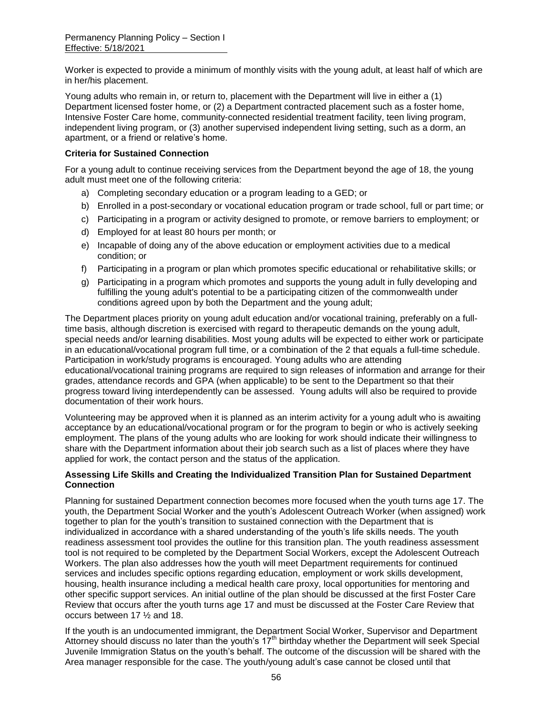Worker is expected to provide a minimum of monthly visits with the young adult, at least half of which are in her/his placement.

Young adults who remain in, or return to, placement with the Department will live in either a (1) Department licensed foster home, or (2) a Department contracted placement such as a foster home, Intensive Foster Care home, community-connected residential treatment facility, teen living program, independent living program, or (3) another supervised independent living setting, such as a dorm, an apartment, or a friend or relative's home.

#### **Criteria for Sustained Connection**

For a young adult to continue receiving services from the Department beyond the age of 18, the young adult must meet one of the following criteria:

- a) Completing secondary education or a program leading to a GED; or
- b) Enrolled in a post-secondary or vocational education program or trade school, full or part time; or
- c) Participating in a program or activity designed to promote, or remove barriers to employment; or
- d) Employed for at least 80 hours per month; or
- e) Incapable of doing any of the above education or employment activities due to a medical condition; or
- f) Participating in a program or plan which promotes specific educational or rehabilitative skills; or
- g) Participating in a program which promotes and supports the young adult in fully developing and fulfilling the young adult's potential to be a participating citizen of the commonwealth under conditions agreed upon by both the Department and the young adult;

The Department places priority on young adult education and/or vocational training, preferably on a fulltime basis, although discretion is exercised with regard to therapeutic demands on the young adult, special needs and/or learning disabilities. Most young adults will be expected to either work or participate in an educational/vocational program full time, or a combination of the 2 that equals a full-time schedule. Participation in work/study programs is encouraged. Young adults who are attending educational/vocational training programs are required to sign releases of information and arrange for their grades, attendance records and GPA (when applicable) to be sent to the Department so that their progress toward living interdependently can be assessed. Young adults will also be required to provide documentation of their work hours.

Volunteering may be approved when it is planned as an interim activity for a young adult who is awaiting acceptance by an educational/vocational program or for the program to begin or who is actively seeking employment. The plans of the young adults who are looking for work should indicate their willingness to share with the Department information about their job search such as a list of places where they have applied for work, the contact person and the status of the application.

#### **Assessing Life Skills and Creating the Individualized Transition Plan for Sustained Department Connection**

Planning for sustained Department connection becomes more focused when the youth turns age 17. The youth, the Department Social Worker and the youth's Adolescent Outreach Worker (when assigned) work together to plan for the youth's transition to sustained connection with the Department that is individualized in accordance with a shared understanding of the youth's life skills needs. The youth readiness assessment tool provides the outline for this transition plan. The youth readiness assessment tool is not required to be completed by the Department Social Workers, except the Adolescent Outreach Workers. The plan also addresses how the youth will meet Department requirements for continued services and includes specific options regarding education, employment or work skills development, housing, health insurance including a medical health care proxy, local opportunities for mentoring and other specific support services. An initial outline of the plan should be discussed at the first Foster Care Review that occurs after the youth turns age 17 and must be discussed at the Foster Care Review that occurs between 17 ½ and 18.

If the youth is an undocumented immigrant, the Department Social Worker, Supervisor and Department Attorney should discuss no later than the youth's  $17<sup>th</sup>$  birthday whether the Department will seek Special Juvenile Immigration Status on the youth's behalf. The outcome of the discussion will be shared with the Area manager responsible for the case. The youth/young adult's case cannot be closed until that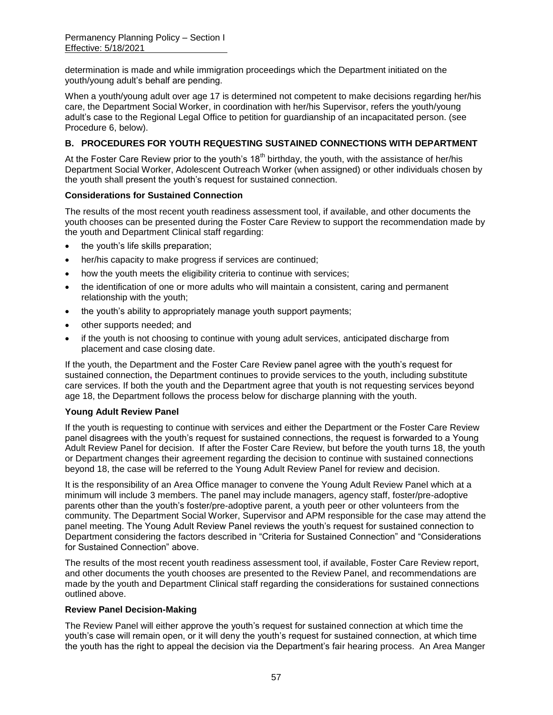determination is made and while immigration proceedings which the Department initiated on the youth/young adult's behalf are pending.

When a youth/young adult over age 17 is determined not competent to make decisions regarding her/his care, the Department Social Worker, in coordination with her/his Supervisor, refers the youth/young adult's case to the Regional Legal Office to petition for guardianship of an incapacitated person. (see Procedure 6, below).

#### **B. PROCEDURES FOR YOUTH REQUESTING SUSTAINED CONNECTIONS WITH DEPARTMENT**

At the Foster Care Review prior to the youth's  $18<sup>th</sup>$  birthday, the youth, with the assistance of her/his Department Social Worker, Adolescent Outreach Worker (when assigned) or other individuals chosen by the youth shall present the youth's request for sustained connection.

#### **Considerations for Sustained Connection**

The results of the most recent youth readiness assessment tool, if available, and other documents the youth chooses can be presented during the Foster Care Review to support the recommendation made by the youth and Department Clinical staff regarding:

- the youth's life skills preparation;
- her/his capacity to make progress if services are continued;
- how the youth meets the eligibility criteria to continue with services;
- the identification of one or more adults who will maintain a consistent, caring and permanent relationship with the youth;
- the youth's ability to appropriately manage youth support payments;
- other supports needed; and
- if the youth is not choosing to continue with young adult services, anticipated discharge from placement and case closing date.

If the youth, the Department and the Foster Care Review panel agree with the youth's request for sustained connection**,** the Department continues to provide services to the youth, including substitute care services. If both the youth and the Department agree that youth is not requesting services beyond age 18, the Department follows the process below for discharge planning with the youth.

### **Young Adult Review Panel**

If the youth is requesting to continue with services and either the Department or the Foster Care Review panel disagrees with the youth's request for sustained connections, the request is forwarded to a Young Adult Review Panel for decision. If after the Foster Care Review, but before the youth turns 18, the youth or Department changes their agreement regarding the decision to continue with sustained connections beyond 18, the case will be referred to the Young Adult Review Panel for review and decision.

It is the responsibility of an Area Office manager to convene the Young Adult Review Panel which at a minimum will include 3 members. The panel may include managers, agency staff, foster/pre-adoptive parents other than the youth's foster/pre-adoptive parent, a youth peer or other volunteers from the community. The Department Social Worker, Supervisor and APM responsible for the case may attend the panel meeting. The Young Adult Review Panel reviews the youth's request for sustained connection to Department considering the factors described in "Criteria for Sustained Connection" and "Considerations for Sustained Connection" above.

The results of the most recent youth readiness assessment tool, if available, Foster Care Review report, and other documents the youth chooses are presented to the Review Panel, and recommendations are made by the youth and Department Clinical staff regarding the considerations for sustained connections outlined above.

#### **Review Panel Decision-Making**

The Review Panel will either approve the youth's request for sustained connection at which time the youth's case will remain open, or it will deny the youth's request for sustained connection, at which time the youth has the right to appeal the decision via the Department's fair hearing process.An Area Manger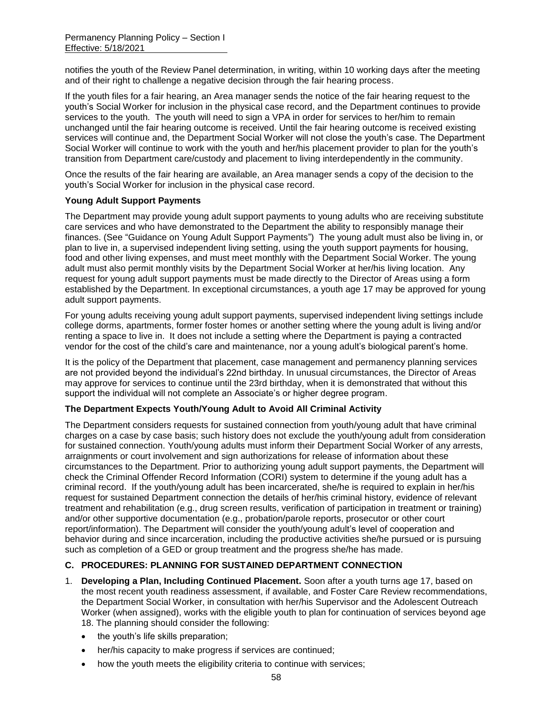notifies the youth of the Review Panel determination, in writing, within 10 working days after the meeting and of their right to challenge a negative decision through the fair hearing process.

If the youth files for a fair hearing, an Area manager sends the notice of the fair hearing request to the youth's Social Worker for inclusion in the physical case record, and the Department continues to provide services to the youth. The youth will need to sign a VPA in order for services to her/him to remain unchanged until the fair hearing outcome is received. Until the fair hearing outcome is received existing services will continue and, the Department Social Worker will not close the youth's case. The Department Social Worker will continue to work with the youth and her/his placement provider to plan for the youth's transition from Department care/custody and placement to living interdependently in the community.

Once the results of the fair hearing are available, an Area manager sends a copy of the decision to the youth's Social Worker for inclusion in the physical case record.

#### **Young Adult Support Payments**

The Department may provide young adult support payments to young adults who are receiving substitute care services and who have demonstrated to the Department the ability to responsibly manage their finances. (See "Guidance on Young Adult Support Payments") The young adult must also be living in, or plan to live in, a supervised independent living setting, using the youth support payments for housing, food and other living expenses, and must meet monthly with the Department Social Worker. The young adult must also permit monthly visits by the Department Social Worker at her/his living location. Any request for young adult support payments must be made directly to the Director of Areas using a form established by the Department. In exceptional circumstances, a youth age 17 may be approved for young adult support payments.

For young adults receiving young adult support payments, supervised independent living settings include college dorms, apartments, former foster homes or another setting where the young adult is living and/or renting a space to live in. It does not include a setting where the Department is paying a contracted vendor for the cost of the child's care and maintenance, nor a young adult's biological parent's home.

It is the policy of the Department that placement, case management and permanency planning services are not provided beyond the individual's 22nd birthday. In unusual circumstances, the Director of Areas may approve for services to continue until the 23rd birthday, when it is demonstrated that without this support the individual will not complete an Associate's or higher degree program.

#### **The Department Expects Youth/Young Adult to Avoid All Criminal Activity**

The Department considers requests for sustained connection from youth/young adult that have criminal charges on a case by case basis; such history does not exclude the youth/young adult from consideration for sustained connection. Youth/young adults must inform their Department Social Worker of any arrests, arraignments or court involvement and sign authorizations for release of information about these circumstances to the Department. Prior to authorizing young adult support payments, the Department will check the Criminal Offender Record Information (CORI) system to determine if the young adult has a criminal record. If the youth/young adult has been incarcerated, she/he is required to explain in her/his request for sustained Department connection the details of her/his criminal history, evidence of relevant treatment and rehabilitation (e.g., drug screen results, verification of participation in treatment or training) and/or other supportive documentation (e.g., probation/parole reports, prosecutor or other court report/information). The Department will consider the youth/young adult's level of cooperation and behavior during and since incarceration, including the productive activities she/he pursued or is pursuing such as completion of a GED or group treatment and the progress she/he has made.

#### **C. PROCEDURES: PLANNING FOR SUSTAINED DEPARTMENT CONNECTION**

- 1. **Developing a Plan, Including Continued Placement.** Soon after a youth turns age 17, based on the most recent youth readiness assessment, if available, and Foster Care Review recommendations, the Department Social Worker, in consultation with her/his Supervisor and the Adolescent Outreach Worker (when assigned), works with the eligible youth to plan for continuation of services beyond age 18. The planning should consider the following:
	- the youth's life skills preparation;
	- her/his capacity to make progress if services are continued;
	- how the youth meets the eligibility criteria to continue with services;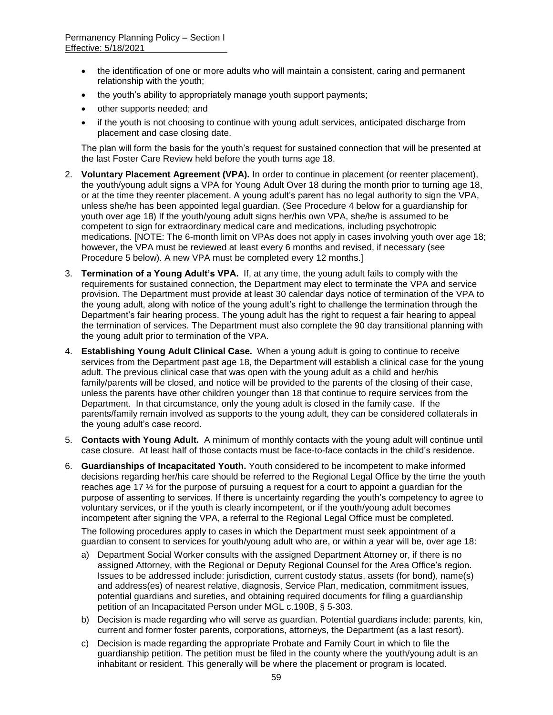- the identification of one or more adults who will maintain a consistent, caring and permanent relationship with the youth;
- the youth's ability to appropriately manage youth support payments;
- other supports needed; and
- if the youth is not choosing to continue with young adult services, anticipated discharge from placement and case closing date.

The plan will form the basis for the youth's request for sustained connection that will be presented at the last Foster Care Review held before the youth turns age 18.

- 2. **Voluntary Placement Agreement (VPA).** In order to continue in placement (or reenter placement), the youth/young adult signs a VPA for Young Adult Over 18 during the month prior to turning age 18, or at the time they reenter placement. A young adult's parent has no legal authority to sign the VPA, unless she/he has been appointed legal guardian. (See Procedure 4 below for a guardianship for youth over age 18) If the youth/young adult signs her/his own VPA, she/he is assumed to be competent to sign for extraordinary medical care and medications, including psychotropic medications. [NOTE: The 6-month limit on VPAs does not apply in cases involving youth over age 18; however, the VPA must be reviewed at least every 6 months and revised, if necessary (see Procedure 5 below). A new VPA must be completed every 12 months.]
- 3. **Termination of a Young Adult's VPA.** If, at any time, the young adult fails to comply with the requirements for sustained connection, the Department may elect to terminate the VPA and service provision. The Department must provide at least 30 calendar days notice of termination of the VPA to the young adult, along with notice of the young adult's right to challenge the termination through the Department's fair hearing process. The young adult has the right to request a fair hearing to appeal the termination of services. The Department must also complete the 90 day transitional planning with the young adult prior to termination of the VPA.
- 4. **Establishing Young Adult Clinical Case.** When a young adult is going to continue to receive services from the Department past age 18, the Department will establish a clinical case for the young adult. The previous clinical case that was open with the young adult as a child and her/his family/parents will be closed, and notice will be provided to the parents of the closing of their case, unless the parents have other children younger than 18 that continue to require services from the Department. In that circumstance, only the young adult is closed in the family case. If the parents/family remain involved as supports to the young adult, they can be considered collaterals in the young adult's case record.
- 5. **Contacts with Young Adult.** A minimum of monthly contacts with the young adult will continue until case closure. At least half of those contacts must be face-to-face contacts in the child's residence.
- 6. **Guardianships of Incapacitated Youth.** Youth considered to be incompetent to make informed decisions regarding her/his care should be referred to the Regional Legal Office by the time the youth reaches age 17 ½ for the purpose of pursuing a request for a court to appoint a guardian for the purpose of assenting to services. If there is uncertainty regarding the youth's competency to agree to voluntary services, or if the youth is clearly incompetent, or if the youth/young adult becomes incompetent after signing the VPA, a referral to the Regional Legal Office must be completed.

The following procedures apply to cases in which the Department must seek appointment of a guardian to consent to services for youth/young adult who are, or within a year will be, over age 18:

- a) Department Social Worker consults with the assigned Department Attorney or, if there is no assigned Attorney, with the Regional or Deputy Regional Counsel for the Area Office's region. Issues to be addressed include: jurisdiction, current custody status, assets (for bond), name(s) and address(es) of nearest relative, diagnosis, Service Plan, medication, commitment issues, potential guardians and sureties, and obtaining required documents for filing a guardianship petition of an Incapacitated Person under MGL c.190B, § 5-303.
- b) Decision is made regarding who will serve as guardian. Potential guardians include: parents, kin, current and former foster parents, corporations, attorneys, the Department (as a last resort).
- c) Decision is made regarding the appropriate Probate and Family Court in which to file the guardianship petition. The petition must be filed in the county where the youth/young adult is an inhabitant or resident. This generally will be where the placement or program is located.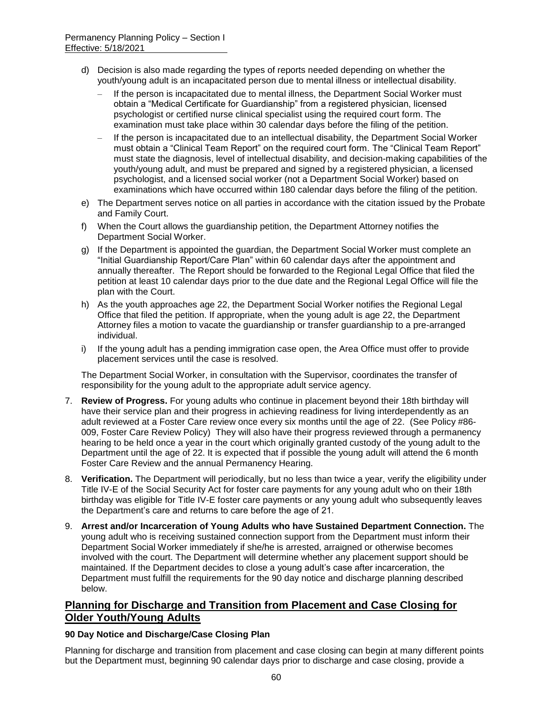- d) Decision is also made regarding the types of reports needed depending on whether the youth/young adult is an incapacitated person due to mental illness or intellectual disability.
	- If the person is incapacitated due to mental illness, the Department Social Worker must obtain a "Medical Certificate for Guardianship" from a registered physician, licensed psychologist or certified nurse clinical specialist using the required court form. The examination must take place within 30 calendar days before the filing of the petition.
	- If the person is incapacitated due to an intellectual disability, the Department Social Worker must obtain a "Clinical Team Report" on the required court form. The "Clinical Team Report" must state the diagnosis, level of intellectual disability, and decision-making capabilities of the youth/young adult, and must be prepared and signed by a registered physician, a licensed psychologist, and a licensed social worker (not a Department Social Worker) based on examinations which have occurred within 180 calendar days before the filing of the petition.
- e) The Department serves notice on all parties in accordance with the citation issued by the Probate and Family Court.
- f) When the Court allows the guardianship petition, the Department Attorney notifies the Department Social Worker.
- g) If the Department is appointed the guardian, the Department Social Worker must complete an "Initial Guardianship Report/Care Plan" within 60 calendar days after the appointment and annually thereafter. The Report should be forwarded to the Regional Legal Office that filed the petition at least 10 calendar days prior to the due date and the Regional Legal Office will file the plan with the Court.
- h) As the youth approaches age 22, the Department Social Worker notifies the Regional Legal Office that filed the petition. If appropriate, when the young adult is age 22, the Department Attorney files a motion to vacate the guardianship or transfer guardianship to a pre-arranged individual.
- i) If the young adult has a pending immigration case open, the Area Office must offer to provide placement services until the case is resolved.

The Department Social Worker, in consultation with the Supervisor, coordinates the transfer of responsibility for the young adult to the appropriate adult service agency.

- 7. **Review of Progress.** For young adults who continue in placement beyond their 18th birthday will have their service plan and their progress in achieving readiness for living interdependently as an adult reviewed at a Foster Care review once every six months until the age of 22. (See Policy #86- 009, Foster Care Review Policy) They will also have their progress reviewed through a permanency hearing to be held once a year in the court which originally granted custody of the young adult to the Department until the age of 22. It is expected that if possible the young adult will attend the 6 month Foster Care Review and the annual Permanency Hearing.
- 8. **Verification.** The Department will periodically, but no less than twice a year, verify the eligibility under Title IV-E of the Social Security Act for foster care payments for any young adult who on their 18th birthday was eligible for Title IV-E foster care payments or any young adult who subsequently leaves the Department's care and returns to care before the age of 21.
- 9. **Arrest and/or Incarceration of Young Adults who have Sustained Department Connection.** The young adult who is receiving sustained connection support from the Department must inform their Department Social Worker immediately if she/he is arrested, arraigned or otherwise becomes involved with the court. The Department will determine whether any placement support should be maintained. If the Department decides to close a young adult's case after incarceration, the Department must fulfill the requirements for the 90 day notice and discharge planning described below.

# **Planning for Discharge and Transition from Placement and Case Closing for Older Youth/Young Adults**

#### **90 Day Notice and Discharge/Case Closing Plan**

Planning for discharge and transition from placement and case closing can begin at many different points but the Department must, beginning 90 calendar days prior to discharge and case closing, provide a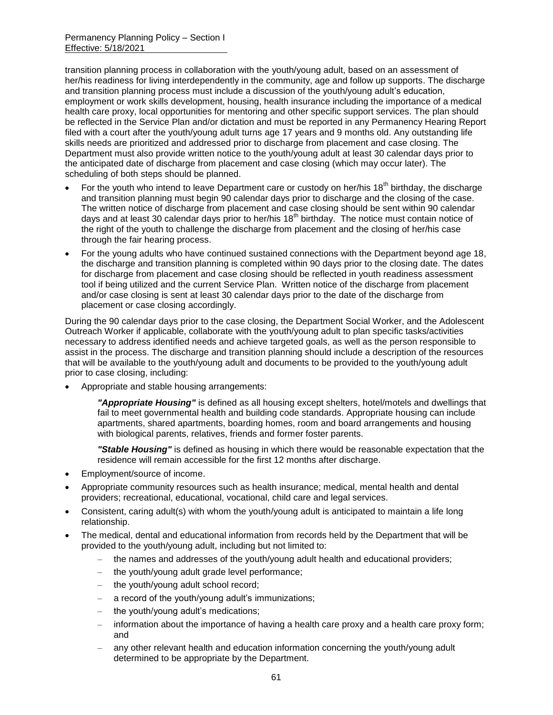transition planning process in collaboration with the youth/young adult, based on an assessment of her/his readiness for living interdependently in the community, age and follow up supports. The discharge and transition planning process must include a discussion of the youth/young adult's education, employment or work skills development, housing, health insurance including the importance of a medical health care proxy, local opportunities for mentoring and other specific support services. The plan should be reflected in the Service Plan and/or dictation and must be reported in any Permanency Hearing Report filed with a court after the youth/young adult turns age 17 years and 9 months old. Any outstanding life skills needs are prioritized and addressed prior to discharge from placement and case closing. The Department must also provide written notice to the youth/young adult at least 30 calendar days prior to the anticipated date of discharge from placement and case closing (which may occur later). The scheduling of both steps should be planned.

- For the youth who intend to leave Department care or custody on her/his 18<sup>th</sup> birthday, the discharge and transition planning must begin 90 calendar days prior to discharge and the closing of the case. The written notice of discharge from placement and case closing should be sent within 90 calendar days and at least 30 calendar days prior to her/his 18<sup>th</sup> birthday. The notice must contain notice of the right of the youth to challenge the discharge from placement and the closing of her/his case through the fair hearing process.
- For the young adults who have continued sustained connections with the Department beyond age 18, the discharge and transition planning is completed within 90 days prior to the closing date. The dates for discharge from placement and case closing should be reflected in youth readiness assessment tool if being utilized and the current Service Plan. Written notice of the discharge from placement and/or case closing is sent at least 30 calendar days prior to the date of the discharge from placement or case closing accordingly.

During the 90 calendar days prior to the case closing, the Department Social Worker, and the Adolescent Outreach Worker if applicable, collaborate with the youth/young adult to plan specific tasks/activities necessary to address identified needs and achieve targeted goals, as well as the person responsible to assist in the process. The discharge and transition planning should include a description of the resources that will be available to the youth/young adult and documents to be provided to the youth/young adult prior to case closing, including:

Appropriate and stable housing arrangements:

*"Appropriate Housing"* is defined as all housing except shelters, hotel/motels and dwellings that fail to meet governmental health and building code standards. Appropriate housing can include apartments, shared apartments, boarding homes, room and board arrangements and housing with biological parents, relatives, friends and former foster parents.

*"Stable Housing"* is defined as housing in which there would be reasonable expectation that the residence will remain accessible for the first 12 months after discharge.

- Employment/source of income.
- Appropriate community resources such as health insurance; medical, mental health and dental providers; recreational, educational, vocational, child care and legal services.
- Consistent, caring adult(s) with whom the youth/young adult is anticipated to maintain a life long relationship.
- The medical, dental and educational information from records held by the Department that will be provided to the youth/young adult, including but not limited to:
	- the names and addresses of the youth/young adult health and educational providers;
	- the youth/young adult grade level performance;
	- the youth/young adult school record;
	- a record of the youth/young adult's immunizations;
	- the youth/young adult's medications;
	- information about the importance of having a health care proxy and a health care proxy form; and
	- any other relevant health and education information concerning the youth/young adult determined to be appropriate by the Department.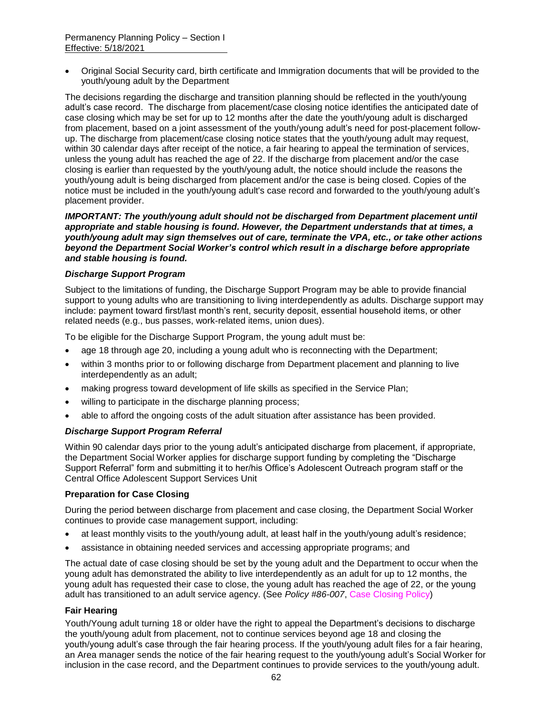Original Social Security card, birth certificate and Immigration documents that will be provided to the youth/young adult by the Department

The decisions regarding the discharge and transition planning should be reflected in the youth/young adult's case record. The discharge from placement/case closing notice identifies the anticipated date of case closing which may be set for up to 12 months after the date the youth/young adult is discharged from placement, based on a joint assessment of the youth/young adult's need for post-placement followup. The discharge from placement/case closing notice states that the youth/young adult may request, within 30 calendar days after receipt of the notice, a fair hearing to appeal the termination of services, unless the young adult has reached the age of 22. If the discharge from placement and/or the case closing is earlier than requested by the youth/young adult, the notice should include the reasons the youth/young adult is being discharged from placement and/or the case is being closed. Copies of the notice must be included in the youth/young adult's case record and forwarded to the youth/young adult's placement provider.

*IMPORTANT: The youth/young adult should not be discharged from Department placement until appropriate and stable housing is found. However, the Department understands that at times, a youth/young adult may sign themselves out of care, terminate the VPA, etc., or take other actions beyond the Department Social Worker's control which result in a discharge before appropriate and stable housing is found.* 

#### *Discharge Support Program*

Subject to the limitations of funding, the Discharge Support Program may be able to provide financial support to young adults who are transitioning to living interdependently as adults. Discharge support may include: payment toward first/last month's rent, security deposit, essential household items, or other related needs (e.g., bus passes, work-related items, union dues).

To be eligible for the Discharge Support Program, the young adult must be:

- age 18 through age 20, including a young adult who is reconnecting with the Department;
- within 3 months prior to or following discharge from Department placement and planning to live interdependently as an adult;
- making progress toward development of life skills as specified in the Service Plan;
- willing to participate in the discharge planning process;
- able to afford the ongoing costs of the adult situation after assistance has been provided.

#### *Discharge Support Program Referral*

Within 90 calendar days prior to the young adult's anticipated discharge from placement, if appropriate, the Department Social Worker applies for discharge support funding by completing the "Discharge Support Referral" form and submitting it to her/his Office's Adolescent Outreach program staff or the Central Office Adolescent Support Services Unit

#### **Preparation for Case Closing**

During the period between discharge from placement and case closing, the Department Social Worker continues to provide case management support, including:

- at least monthly visits to the youth/young adult, at least half in the youth/young adult's residence;
- assistance in obtaining needed services and accessing appropriate programs; and

The actual date of case closing should be set by the young adult and the Department to occur when the young adult has demonstrated the ability to live interdependently as an adult for up to 12 months, the young adult has requested their case to close, the young adult has reached the age of 22, or the young adult has transitioned to an adult service agency. (See *Policy #86-007*, Case Closing Policy)

#### **Fair Hearing**

Youth/Young adult turning 18 or older have the right to appeal the Department's decisions to discharge the youth/young adult from placement, not to continue services beyond age 18 and closing the youth/young adult's case through the fair hearing process. If the youth/young adult files for a fair hearing, an Area manager sends the notice of the fair hearing request to the youth/young adult's Social Worker for inclusion in the case record, and the Department continues to provide services to the youth/young adult.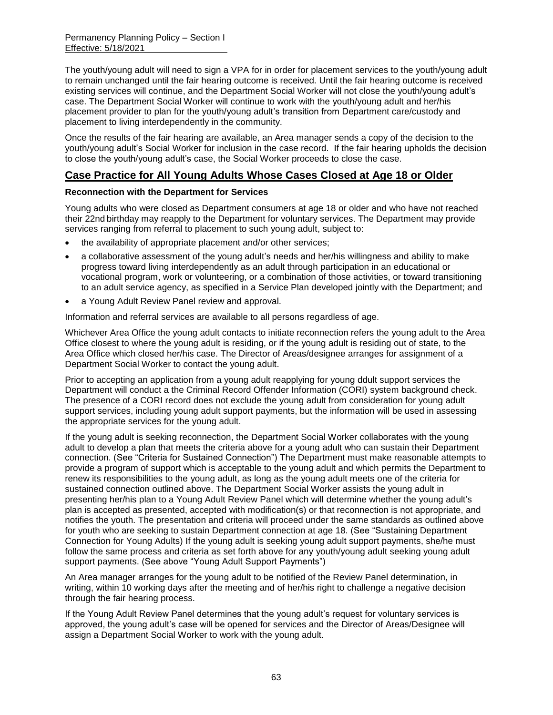The youth/young adult will need to sign a VPA for in order for placement services to the youth/young adult to remain unchanged until the fair hearing outcome is received. Until the fair hearing outcome is received existing services will continue, and the Department Social Worker will not close the youth/young adult's case. The Department Social Worker will continue to work with the youth/young adult and her/his placement provider to plan for the youth/young adult's transition from Department care/custody and placement to living interdependently in the community.

Once the results of the fair hearing are available, an Area manager sends a copy of the decision to the youth/young adult's Social Worker for inclusion in the case record. If the fair hearing upholds the decision to close the youth/young adult's case, the Social Worker proceeds to close the case.

# **Case Practice for All Young Adults Whose Cases Closed at Age 18 or Older**

#### **Reconnection with the Department for Services**

Young adults who were closed as Department consumers at age 18 or older and who have not reached their 22nd birthday may reapply to the Department for voluntary services. The Department may provide services ranging from referral to placement to such young adult, subject to:

- the availability of appropriate placement and/or other services;
- a collaborative assessment of the young adult's needs and her/his willingness and ability to make progress toward living interdependently as an adult through participation in an educational or vocational program, work or volunteering, or a combination of those activities, or toward transitioning to an adult service agency, as specified in a Service Plan developed jointly with the Department; and
- a Young Adult Review Panel review and approval.

Information and referral services are available to all persons regardless of age.

Whichever Area Office the young adult contacts to initiate reconnection refers the young adult to the Area Office closest to where the young adult is residing, or if the young adult is residing out of state, to the Area Office which closed her/his case. The Director of Areas/designee arranges for assignment of a Department Social Worker to contact the young adult.

Prior to accepting an application from a young adult reapplying for young ddult support services the Department will conduct a the Criminal Record Offender Information (CORI) system background check. The presence of a CORI record does not exclude the young adult from consideration for young adult support services, including young adult support payments, but the information will be used in assessing the appropriate services for the young adult.

If the young adult is seeking reconnection, the Department Social Worker collaborates with the young adult to develop a plan that meets the criteria above for a young adult who can sustain their Department connection. (See "Criteria for Sustained Connection") The Department must make reasonable attempts to provide a program of support which is acceptable to the young adult and which permits the Department to renew its responsibilities to the young adult, as long as the young adult meets one of the criteria for sustained connection outlined above. The Department Social Worker assists the young adult in presenting her/his plan to a Young Adult Review Panel which will determine whether the young adult's plan is accepted as presented, accepted with modification(s) or that reconnection is not appropriate, and notifies the youth. The presentation and criteria will proceed under the same standards as outlined above for youth who are seeking to sustain Department connection at age 18. (See "Sustaining Department Connection for Young Adults) If the young adult is seeking young adult support payments, she/he must follow the same process and criteria as set forth above for any youth/young adult seeking young adult support payments. (See above "Young Adult Support Payments")

An Area manager arranges for the young adult to be notified of the Review Panel determination, in writing, within 10 working days after the meeting and of her/his right to challenge a negative decision through the fair hearing process.

If the Young Adult Review Panel determines that the young adult's request for voluntary services is approved, the young adult's case will be opened for services and the Director of Areas/Designee will assign a Department Social Worker to work with the young adult.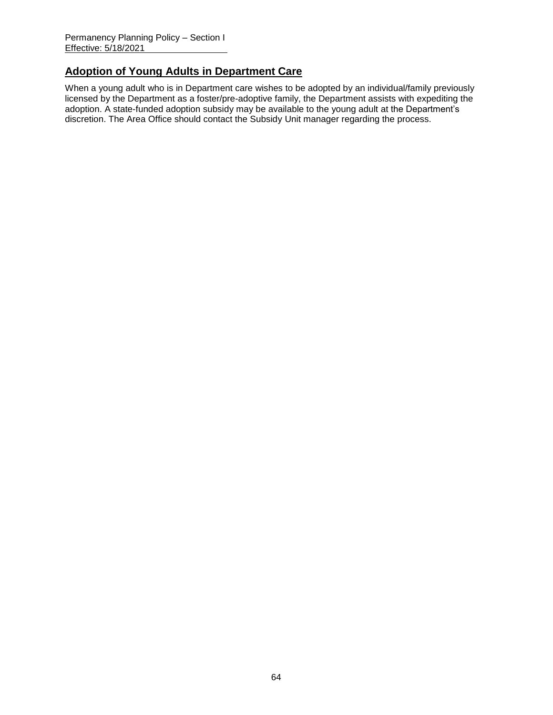# **Adoption of Young Adults in Department Care**

When a young adult who is in Department care wishes to be adopted by an individual/family previously licensed by the Department as a foster/pre-adoptive family, the Department assists with expediting the adoption. A state-funded adoption subsidy may be available to the young adult at the Department's discretion. The Area Office should contact the Subsidy Unit manager regarding the process.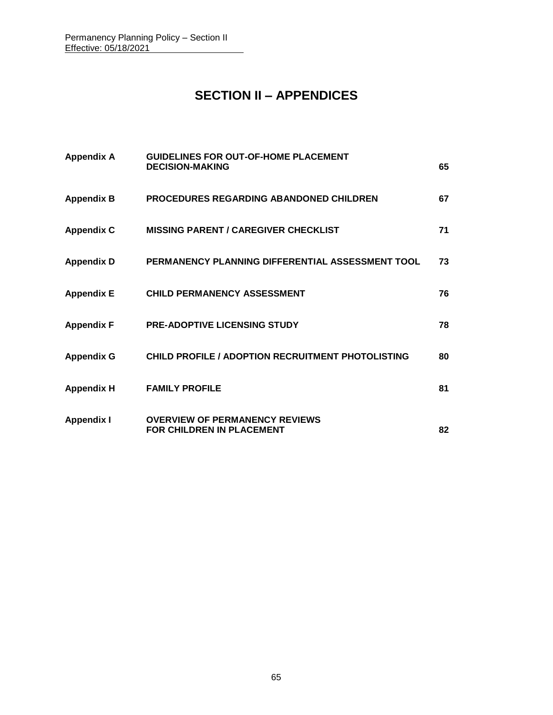# **SECTION II – APPENDICES**

| <b>Appendix A</b> | <b>GUIDELINES FOR OUT-OF-HOME PLACEMENT</b><br><b>DECISION-MAKING</b>     | 65 |
|-------------------|---------------------------------------------------------------------------|----|
| <b>Appendix B</b> | <b>PROCEDURES REGARDING ABANDONED CHILDREN</b>                            | 67 |
| <b>Appendix C</b> | <b>MISSING PARENT / CAREGIVER CHECKLIST</b>                               | 71 |
| <b>Appendix D</b> | PERMANENCY PLANNING DIFFERENTIAL ASSESSMENT TOOL                          | 73 |
| <b>Appendix E</b> | <b>CHILD PERMANENCY ASSESSMENT</b>                                        | 76 |
| <b>Appendix F</b> | PRE-ADOPTIVE LICENSING STUDY                                              | 78 |
| <b>Appendix G</b> | <b>CHILD PROFILE / ADOPTION RECRUITMENT PHOTOLISTING</b>                  | 80 |
| <b>Appendix H</b> | <b>FAMILY PROFILE</b>                                                     | 81 |
| <b>Appendix I</b> | <b>OVERVIEW OF PERMANENCY REVIEWS</b><br><b>FOR CHILDREN IN PLACEMENT</b> | 82 |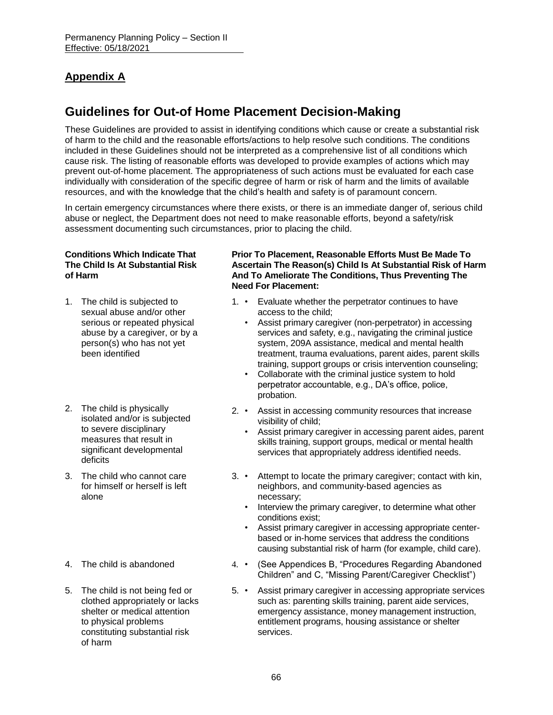# **Appendix A**

# **Guidelines for Out-of Home Placement Decision-Making**

These Guidelines are provided to assist in identifying conditions which cause or create a substantial risk of harm to the child and the reasonable efforts/actions to help resolve such conditions. The conditions included in these Guidelines should not be interpreted as a comprehensive list of all conditions which cause risk. The listing of reasonable efforts was developed to provide examples of actions which may prevent out-of-home placement. The appropriateness of such actions must be evaluated for each case individually with consideration of the specific degree of harm or risk of harm and the limits of available resources, and with the knowledge that the child's health and safety is of paramount concern.

In certain emergency circumstances where there exists, or there is an immediate danger of, serious child abuse or neglect, the Department does not need to make reasonable efforts, beyond a safety/risk assessment documenting such circumstances, prior to placing the child.

#### **Conditions Which Indicate That The Child Is At Substantial Risk of Harm**

- 1. The child is subjected to sexual abuse and/or other serious or repeated physical abuse by a caregiver, or by a person(s) who has not yet been identified
- 2. The child is physically isolated and/or is subjected to severe disciplinary measures that result in significant developmental deficits
- 3. The child who cannot care for himself or herself is left alone
- 
- 5. The child is not being fed or clothed appropriately or lacks shelter or medical attention to physical problems constituting substantial risk of harm

#### **Prior To Placement, Reasonable Efforts Must Be Made To Ascertain The Reason(s) Child Is At Substantial Risk of Harm And To Ameliorate The Conditions, Thus Preventing The Need For Placement:**

- 1. Evaluate whether the perpetrator continues to have access to the child;
	- Assist primary caregiver (non-perpetrator) in accessing services and safety, e.g., navigating the criminal justice system, 209A assistance, medical and mental health treatment, trauma evaluations, parent aides, parent skills training, support groups or crisis intervention counseling;
	- Collaborate with the criminal justice system to hold perpetrator accountable, e.g., DA's office, police, probation.
- 2. Assist in accessing community resources that increase visibility of child;
	- Assist primary caregiver in accessing parent aides, parent skills training, support groups, medical or mental health services that appropriately address identified needs.
- 3. Attempt to locate the primary caregiver; contact with kin, neighbors, and community-based agencies as necessary;
	- Interview the primary caregiver, to determine what other conditions exist;
	- Assist primary caregiver in accessing appropriate centerbased or in-home services that address the conditions causing substantial risk of harm (for example, child care).
- 4. The child is abandoned 4. (See Appendices B, "Procedures Regarding Abandoned Children" and C, "Missing Parent/Caregiver Checklist")
	- 5. Assist primary caregiver in accessing appropriate services such as: parenting skills training, parent aide services, emergency assistance, money management instruction, entitlement programs, housing assistance or shelter services.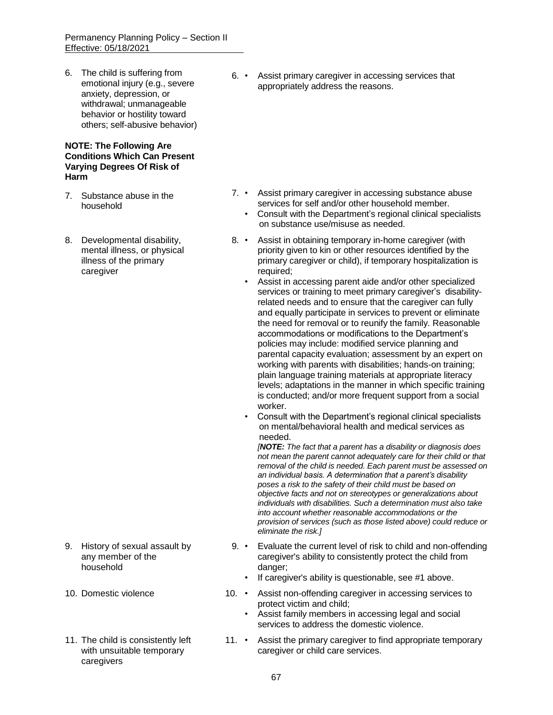6. The child is suffering from emotional injury (e.g., severe anxiety, depression, or withdrawal; unmanageable behavior or hostility toward others; self-abusive behavior)

#### **NOTE: The Following Are Conditions Which Can Present Varying Degrees Of Risk of Harm**

- 7. Substance abuse in the household
- 8. Developmental disability, mental illness, or physical illness of the primary caregiver

- 9. History of sexual assault by any member of the household
- 
- 11. The child is consistently left with unsuitable temporary caregivers

6. • Assist primary caregiver in accessing services that appropriately address the reasons.

- 7. Assist primary caregiver in accessing substance abuse services for self and/or other household member.
	- Consult with the Department's regional clinical specialists on substance use/misuse as needed.
- 8. Assist in obtaining temporary in-home caregiver (with priority given to kin or other resources identified by the primary caregiver or child), if temporary hospitalization is required;
	- Assist in accessing parent aide and/or other specialized services or training to meet primary caregiver's disabilityrelated needs and to ensure that the caregiver can fully and equally participate in services to prevent or eliminate the need for removal or to reunify the family. Reasonable accommodations or modifications to the Department's policies may include: modified service planning and parental capacity evaluation; assessment by an expert on working with parents with disabilities; hands-on training; plain language training materials at appropriate literacy levels; adaptations in the manner in which specific training is conducted; and/or more frequent support from a social worker.
	- Consult with the Department's regional clinical specialists on mental/behavioral health and medical services as needed.

 *[NOTE: The fact that a parent has a disability or diagnosis does not mean the parent cannot adequately care for their child or that removal of the child is needed. Each parent must be assessed on an individual basis. A determination that a parent's disability poses a risk to the safety of their child must be based on objective facts and not on stereotypes or generalizations about individuals with disabilities. Such a determination must also take into account whether reasonable accommodations or the provision of services (such as those listed above) could reduce or eliminate the risk.]*

- 9. Evaluate the current level of risk to child and non-offending caregiver's ability to consistently protect the child from danger;
	- If caregiver's ability is questionable, see #1 above.
- 10. Domestic violence 10. Assist non-offending caregiver in accessing services to protect victim and child;
	- Assist family members in accessing legal and social services to address the domestic violence.
	- 11. Assist the primary caregiver to find appropriate temporary caregiver or child care services.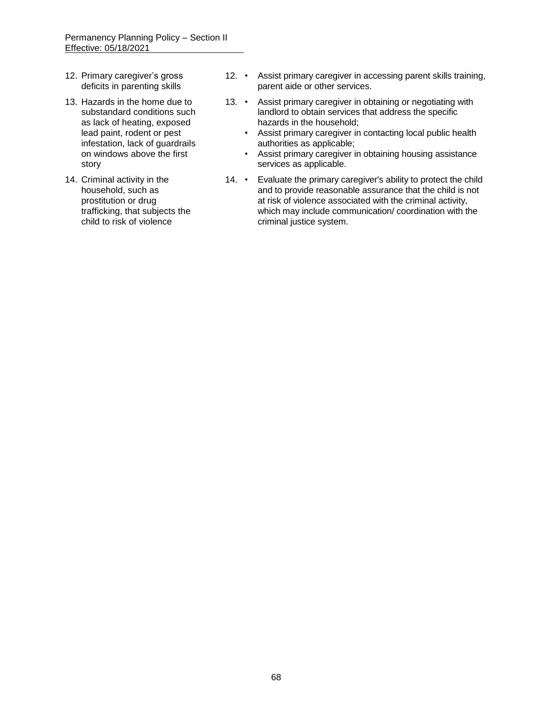- 12. Primary caregiver's gross deficits in parenting skills
- 13. Hazards in the home due to substandard conditions such as lack of heating, exposed lead paint, rodent or pest infestation, lack of guardrails on windows above the first story
- 14. Criminal activity in the household, such as prostitution or drug trafficking, that subjects the child to risk of violence
- 12. Assist primary caregiver in accessing parent skills training, parent aide or other services.
- 13. Assist primary caregiver in obtaining or negotiating with landlord to obtain services that address the specific hazards in the household;
	- Assist primary caregiver in contacting local public health authorities as applicable;
	- Assist primary caregiver in obtaining housing assistance services as applicable.
- 14. Evaluate the primary caregiver's ability to protect the child and to provide reasonable assurance that the child is not at risk of violence associated with the criminal activity, which may include communication/ coordination with the criminal justice system.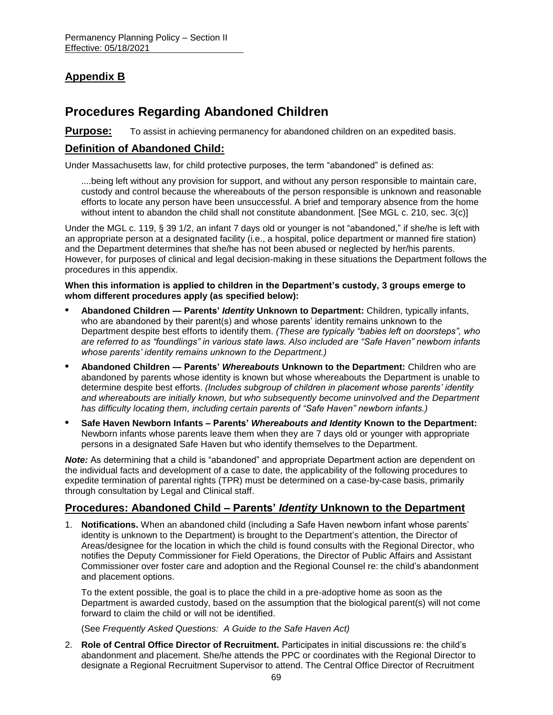# **Appendix B**

# **Procedures Regarding Abandoned Children**

**Purpose:** To assist in achieving permanency for abandoned children on an expedited basis.

### **Definition of Abandoned Child:**

Under Massachusetts law, for child protective purposes, the term "abandoned" is defined as:

....being left without any provision for support, and without any person responsible to maintain care, custody and control because the whereabouts of the person responsible is unknown and reasonable efforts to locate any person have been unsuccessful. A brief and temporary absence from the home without intent to abandon the child shall not constitute abandonment. [See MGL c. 210, sec. 3(c)]

Under the MGL c. 119, § 39 1/2, an infant 7 days old or younger is not "abandoned," if she/he is left with an appropriate person at a designated facility (i.e., a hospital, police department or manned fire station) and the Department determines that she/he has not been abused or neglected by her/his parents. However, for purposes of clinical and legal decision-making in these situations the Department follows the procedures in this appendix.

**When this information is applied to children in the Department's custody, 3 groups emerge to whom different procedures apply (as specified below):**

- **• Abandoned Children — Parents'** *Identity* **Unknown to Department:** Children, typically infants, who are abandoned by their parent(s) and whose parents' identity remains unknown to the Department despite best efforts to identify them. *(These are typically "babies left on doorsteps", who are referred to as "foundlings" in various state laws. Also included are "Safe Haven" newborn infants whose parents' identity remains unknown to the Department.)*
- **• Abandoned Children — Parents'** *Whereabouts* **Unknown to the Department:** Children who are abandoned by parents whose identity is known but whose whereabouts the Department is unable to determine despite best efforts. *(Includes subgroup of children in placement whose parents' identity and whereabouts are initially known, but who subsequently become uninvolved and the Department has difficulty locating them, including certain parents of "Safe Haven" newborn infants.)*
- **• Safe Haven Newborn Infants – Parents'** *Whereabouts and Identity* **Known to the Department:** Newborn infants whose parents leave them when they are 7 days old or younger with appropriate persons in a designated Safe Haven but who identify themselves to the Department.

*Note:* As determining that a child is "abandoned" and appropriate Department action are dependent on the individual facts and development of a case to date, the applicability of the following procedures to expedite termination of parental rights (TPR) must be determined on a case-by-case basis, primarily through consultation by Legal and Clinical staff.

## **Procedures: Abandoned Child – Parents'** *Identity* **Unknown to the Department**

1. **Notifications.** When an abandoned child (including a Safe Haven newborn infant whose parents' identity is unknown to the Department) is brought to the Department's attention, the Director of Areas/designee for the location in which the child is found consults with the Regional Director, who notifies the Deputy Commissioner for Field Operations, the Director of Public Affairs and Assistant Commissioner over foster care and adoption and the Regional Counsel re: the child's abandonment and placement options.

To the extent possible, the goal is to place the child in a pre-adoptive home as soon as the Department is awarded custody, based on the assumption that the biological parent(s) will not come forward to claim the child or will not be identified.

(See *Frequently Asked Questions: A Guide to the Safe Haven Act)*

2. **Role of Central Office Director of Recruitment.** Participates in initial discussions re: the child's abandonment and placement. She/he attends the PPC or coordinates with the Regional Director to designate a Regional Recruitment Supervisor to attend. The Central Office Director of Recruitment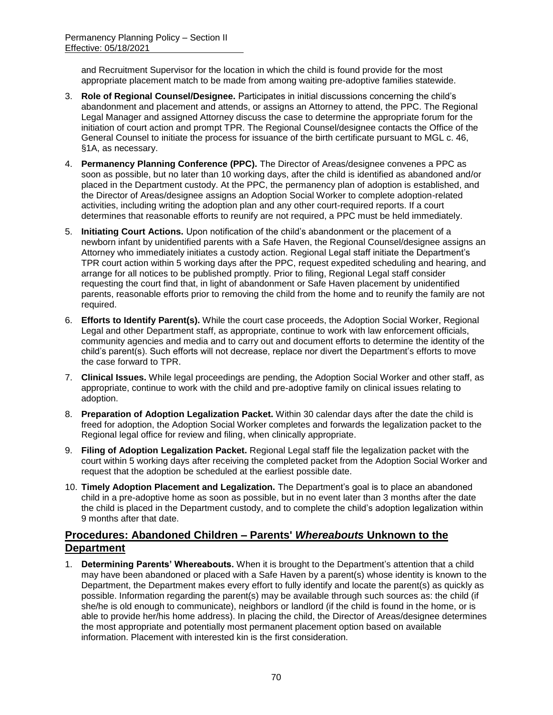and Recruitment Supervisor for the location in which the child is found provide for the most appropriate placement match to be made from among waiting pre-adoptive families statewide.

- 3. **Role of Regional Counsel/Designee.** Participates in initial discussions concerning the child's abandonment and placement and attends, or assigns an Attorney to attend, the PPC. The Regional Legal Manager and assigned Attorney discuss the case to determine the appropriate forum for the initiation of court action and prompt TPR. The Regional Counsel/designee contacts the Office of the General Counsel to initiate the process for issuance of the birth certificate pursuant to MGL c. 46, §1A, as necessary.
- 4. **Permanency Planning Conference (PPC).** The Director of Areas/designee convenes a PPC as soon as possible, but no later than 10 working days, after the child is identified as abandoned and/or placed in the Department custody. At the PPC, the permanency plan of adoption is established, and the Director of Areas/designee assigns an Adoption Social Worker to complete adoption-related activities, including writing the adoption plan and any other court-required reports. If a court determines that reasonable efforts to reunify are not required, a PPC must be held immediately.
- 5. **Initiating Court Actions.** Upon notification of the child's abandonment or the placement of a newborn infant by unidentified parents with a Safe Haven, the Regional Counsel/designee assigns an Attorney who immediately initiates a custody action. Regional Legal staff initiate the Department's TPR court action within 5 working days after the PPC, request expedited scheduling and hearing, and arrange for all notices to be published promptly. Prior to filing, Regional Legal staff consider requesting the court find that, in light of abandonment or Safe Haven placement by unidentified parents, reasonable efforts prior to removing the child from the home and to reunify the family are not required.
- 6. **Efforts to Identify Parent(s).** While the court case proceeds, the Adoption Social Worker, Regional Legal and other Department staff, as appropriate, continue to work with law enforcement officials, community agencies and media and to carry out and document efforts to determine the identity of the child's parent(s). Such efforts will not decrease, replace nor divert the Department's efforts to move the case forward to TPR.
- 7. **Clinical Issues.** While legal proceedings are pending, the Adoption Social Worker and other staff, as appropriate, continue to work with the child and pre-adoptive family on clinical issues relating to adoption.
- 8. **Preparation of Adoption Legalization Packet.** Within 30 calendar days after the date the child is freed for adoption, the Adoption Social Worker completes and forwards the legalization packet to the Regional legal office for review and filing, when clinically appropriate.
- 9. **Filing of Adoption Legalization Packet.** Regional Legal staff file the legalization packet with the court within 5 working days after receiving the completed packet from the Adoption Social Worker and request that the adoption be scheduled at the earliest possible date.
- 10. **Timely Adoption Placement and Legalization.** The Department's goal is to place an abandoned child in a pre-adoptive home as soon as possible, but in no event later than 3 months after the date the child is placed in the Department custody, and to complete the child's adoption legalization within 9 months after that date.

# **Procedures: Abandoned Children – Parents'** *Whereabouts* **Unknown to the Department**

1. **Determining Parents' Whereabouts.** When it is brought to the Department's attention that a child may have been abandoned or placed with a Safe Haven by a parent(s) whose identity is known to the Department, the Department makes every effort to fully identify and locate the parent(s) as quickly as possible. Information regarding the parent(s) may be available through such sources as: the child (if she/he is old enough to communicate), neighbors or landlord (if the child is found in the home, or is able to provide her/his home address). In placing the child, the Director of Areas/designee determines the most appropriate and potentially most permanent placement option based on available information. Placement with interested kin is the first consideration.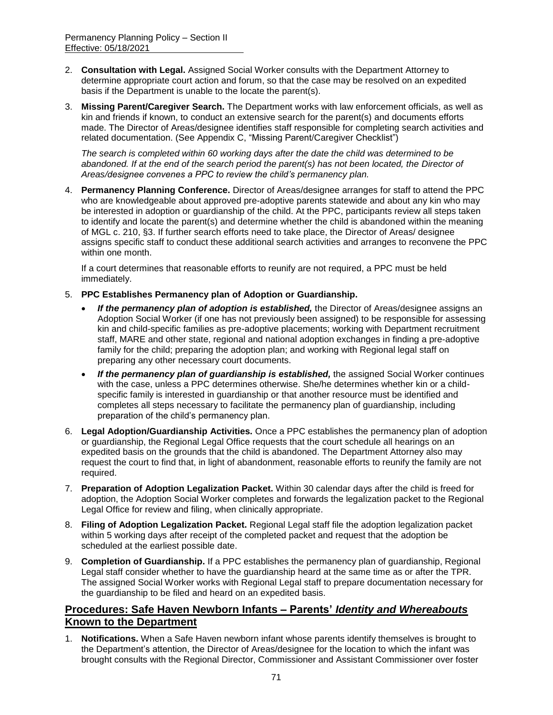- 2. **Consultation with Legal.** Assigned Social Worker consults with the Department Attorney to determine appropriate court action and forum, so that the case may be resolved on an expedited basis if the Department is unable to the locate the parent(s).
- 3. **Missing Parent/Caregiver Search.** The Department works with law enforcement officials, as well as kin and friends if known, to conduct an extensive search for the parent(s) and documents efforts made. The Director of Areas/designee identifies staff responsible for completing search activities and related documentation. (See Appendix C, "Missing Parent/Caregiver Checklist")

*The search is completed within 60 working days after the date the child was determined to be*  abandoned. If at the end of the search period the parent(s) has not been located, the Director of *Areas/designee convenes a PPC to review the child's permanency plan.*

4. **Permanency Planning Conference.** Director of Areas/designee arranges for staff to attend the PPC who are knowledgeable about approved pre-adoptive parents statewide and about any kin who may be interested in adoption or guardianship of the child. At the PPC, participants review all steps taken to identify and locate the parent(s) and determine whether the child is abandoned within the meaning of MGL c. 210, §3. If further search efforts need to take place, the Director of Areas/ designee assigns specific staff to conduct these additional search activities and arranges to reconvene the PPC within one month.

If a court determines that reasonable efforts to reunify are not required, a PPC must be held immediately.

- 5. **PPC Establishes Permanency plan of Adoption or Guardianship.** 
	- *If the permanency plan of adoption is established,* the Director of Areas/designee assigns an Adoption Social Worker (if one has not previously been assigned) to be responsible for assessing kin and child-specific families as pre-adoptive placements; working with Department recruitment staff, MARE and other state, regional and national adoption exchanges in finding a pre-adoptive family for the child; preparing the adoption plan; and working with Regional legal staff on preparing any other necessary court documents.
	- *If the permanency plan of guardianship is established,* the assigned Social Worker continues with the case, unless a PPC determines otherwise. She/he determines whether kin or a childspecific family is interested in guardianship or that another resource must be identified and completes all steps necessary to facilitate the permanency plan of guardianship, including preparation of the child's permanency plan.
- 6. **Legal Adoption/Guardianship Activities.** Once a PPC establishes the permanency plan of adoption or guardianship, the Regional Legal Office requests that the court schedule all hearings on an expedited basis on the grounds that the child is abandoned. The Department Attorney also may request the court to find that, in light of abandonment, reasonable efforts to reunify the family are not required.
- 7. **Preparation of Adoption Legalization Packet.** Within 30 calendar days after the child is freed for adoption, the Adoption Social Worker completes and forwards the legalization packet to the Regional Legal Office for review and filing, when clinically appropriate.
- 8. **Filing of Adoption Legalization Packet.** Regional Legal staff file the adoption legalization packet within 5 working days after receipt of the completed packet and request that the adoption be scheduled at the earliest possible date.
- 9. **Completion of Guardianship.** If a PPC establishes the permanency plan of guardianship, Regional Legal staff consider whether to have the guardianship heard at the same time as or after the TPR. The assigned Social Worker works with Regional Legal staff to prepare documentation necessary for the guardianship to be filed and heard on an expedited basis.

### **Procedures: Safe Haven Newborn Infants – Parents'** *Identity and Whereabouts*  **Known to the Department**

1. **Notifications.** When a Safe Haven newborn infant whose parents identify themselves is brought to the Department's attention, the Director of Areas/designee for the location to which the infant was brought consults with the Regional Director, Commissioner and Assistant Commissioner over foster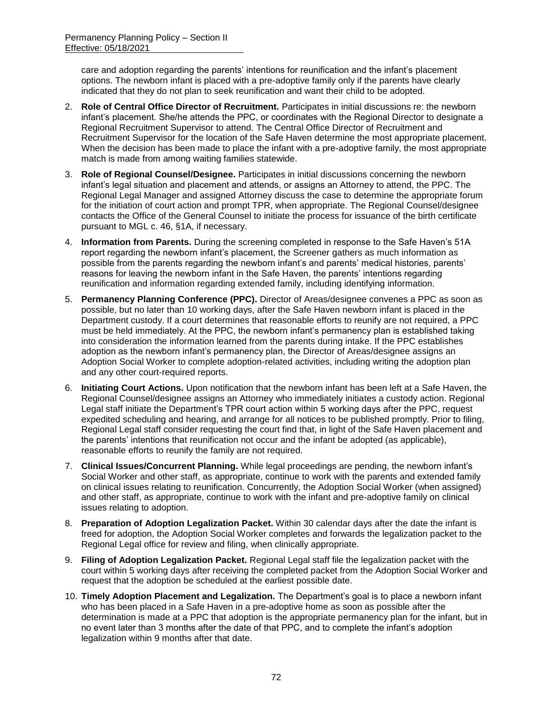care and adoption regarding the parents' intentions for reunification and the infant's placement options. The newborn infant is placed with a pre-adoptive family only if the parents have clearly indicated that they do not plan to seek reunification and want their child to be adopted.

- 2. **Role of Central Office Director of Recruitment.** Participates in initial discussions re: the newborn infant's placement. She/he attends the PPC, or coordinates with the Regional Director to designate a Regional Recruitment Supervisor to attend. The Central Office Director of Recruitment and Recruitment Supervisor for the location of the Safe Haven determine the most appropriate placement. When the decision has been made to place the infant with a pre-adoptive family, the most appropriate match is made from among waiting families statewide.
- 3. **Role of Regional Counsel/Designee.** Participates in initial discussions concerning the newborn infant's legal situation and placement and attends, or assigns an Attorney to attend, the PPC. The Regional Legal Manager and assigned Attorney discuss the case to determine the appropriate forum for the initiation of court action and prompt TPR, when appropriate. The Regional Counsel/designee contacts the Office of the General Counsel to initiate the process for issuance of the birth certificate pursuant to MGL c. 46, §1A, if necessary.
- 4. **Information from Parents.** During the screening completed in response to the Safe Haven's 51A report regarding the newborn infant's placement, the Screener gathers as much information as possible from the parents regarding the newborn infant's and parents' medical histories, parents' reasons for leaving the newborn infant in the Safe Haven, the parents' intentions regarding reunification and information regarding extended family, including identifying information.
- 5. **Permanency Planning Conference (PPC).** Director of Areas/designee convenes a PPC as soon as possible, but no later than 10 working days, after the Safe Haven newborn infant is placed in the Department custody. If a court determines that reasonable efforts to reunify are not required, a PPC must be held immediately. At the PPC, the newborn infant's permanency plan is established taking into consideration the information learned from the parents during intake. If the PPC establishes adoption as the newborn infant's permanency plan, the Director of Areas/designee assigns an Adoption Social Worker to complete adoption-related activities, including writing the adoption plan and any other court-required reports.
- 6. **Initiating Court Actions.** Upon notification that the newborn infant has been left at a Safe Haven, the Regional Counsel/designee assigns an Attorney who immediately initiates a custody action. Regional Legal staff initiate the Department's TPR court action within 5 working days after the PPC, request expedited scheduling and hearing, and arrange for all notices to be published promptly. Prior to filing, Regional Legal staff consider requesting the court find that, in light of the Safe Haven placement and the parents' intentions that reunification not occur and the infant be adopted (as applicable), reasonable efforts to reunify the family are not required.
- 7. **Clinical Issues/Concurrent Planning.** While legal proceedings are pending, the newborn infant's Social Worker and other staff, as appropriate, continue to work with the parents and extended family on clinical issues relating to reunification. Concurrently, the Adoption Social Worker (when assigned) and other staff, as appropriate, continue to work with the infant and pre-adoptive family on clinical issues relating to adoption.
- 8. **Preparation of Adoption Legalization Packet.** Within 30 calendar days after the date the infant is freed for adoption, the Adoption Social Worker completes and forwards the legalization packet to the Regional Legal office for review and filing, when clinically appropriate.
- 9. **Filing of Adoption Legalization Packet.** Regional Legal staff file the legalization packet with the court within 5 working days after receiving the completed packet from the Adoption Social Worker and request that the adoption be scheduled at the earliest possible date.
- 10. **Timely Adoption Placement and Legalization.** The Department's goal is to place a newborn infant who has been placed in a Safe Haven in a pre-adoptive home as soon as possible after the determination is made at a PPC that adoption is the appropriate permanency plan for the infant, but in no event later than 3 months after the date of that PPC, and to complete the infant's adoption legalization within 9 months after that date.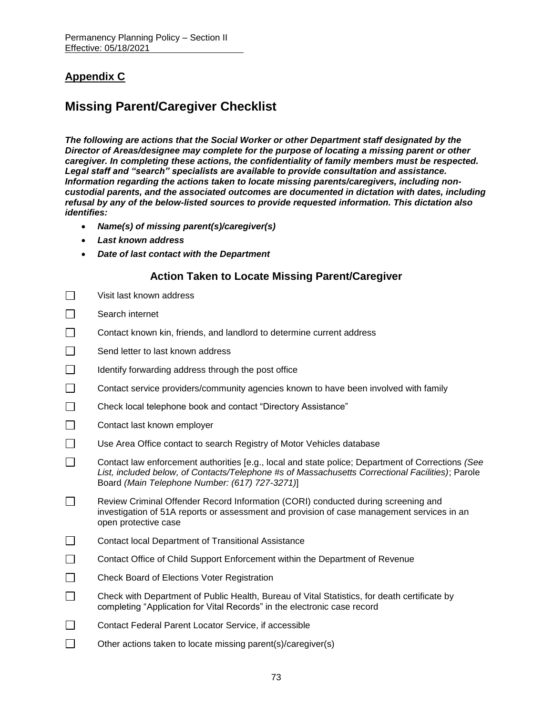# **Appendix C**

# **Missing Parent/Caregiver Checklist**

*The following are actions that the Social Worker or other Department staff designated by the Director of Areas/designee may complete for the purpose of locating a missing parent or other caregiver. In completing these actions, the confidentiality of family members must be respected. Legal staff and "search" specialists are available to provide consultation and assistance. Information regarding the actions taken to locate missing parents/caregivers, including noncustodial parents, and the associated outcomes are documented in dictation with dates, including refusal by any of the below-listed sources to provide requested information. This dictation also identifies:* 

- *Name(s) of missing parent(s)/caregiver(s)*
- *Last known address*
- *Date of last contact with the Department*

## **Action Taken to Locate Missing Parent/Caregiver**

| $\Box$ | Visit last known address                                                                                                                                                                                                                                |
|--------|---------------------------------------------------------------------------------------------------------------------------------------------------------------------------------------------------------------------------------------------------------|
| $\Box$ | Search internet                                                                                                                                                                                                                                         |
| $\Box$ | Contact known kin, friends, and landlord to determine current address                                                                                                                                                                                   |
| $\Box$ | Send letter to last known address                                                                                                                                                                                                                       |
| $\Box$ | Identify forwarding address through the post office                                                                                                                                                                                                     |
| $\Box$ | Contact service providers/community agencies known to have been involved with family                                                                                                                                                                    |
| $\Box$ | Check local telephone book and contact "Directory Assistance"                                                                                                                                                                                           |
| $\Box$ | Contact last known employer                                                                                                                                                                                                                             |
| $\Box$ | Use Area Office contact to search Registry of Motor Vehicles database                                                                                                                                                                                   |
| $\Box$ | Contact law enforcement authorities [e.g., local and state police; Department of Corrections (See<br>List, included below, of Contacts/Telephone #s of Massachusetts Correctional Facilities); Parole<br>Board (Main Telephone Number: (617) 727-3271)] |
| $\Box$ | Review Criminal Offender Record Information (CORI) conducted during screening and<br>investigation of 51A reports or assessment and provision of case management services in an<br>open protective case                                                 |
| $\Box$ | <b>Contact local Department of Transitional Assistance</b>                                                                                                                                                                                              |
| $\Box$ | Contact Office of Child Support Enforcement within the Department of Revenue                                                                                                                                                                            |
| $\Box$ | Check Board of Elections Voter Registration                                                                                                                                                                                                             |
| $\Box$ | Check with Department of Public Health, Bureau of Vital Statistics, for death certificate by<br>completing "Application for Vital Records" in the electronic case record                                                                                |
|        | Contact Federal Parent Locator Service, if accessible                                                                                                                                                                                                   |
|        | Other actions taken to locate missing parent(s)/caregiver(s)                                                                                                                                                                                            |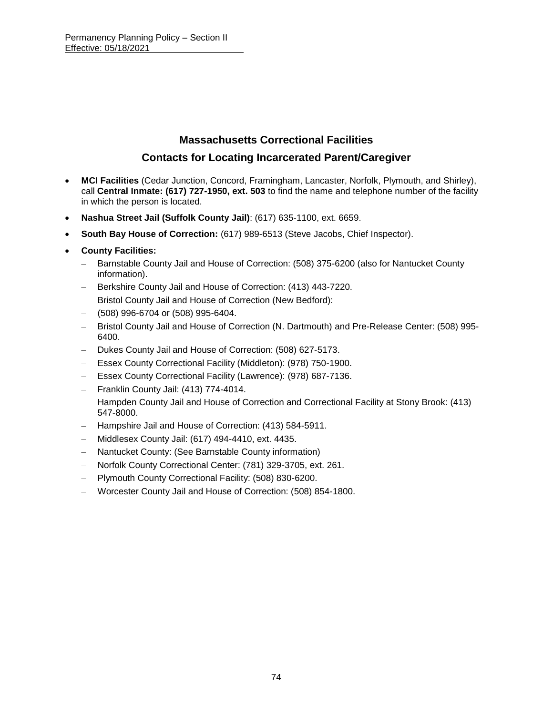## **Massachusetts Correctional Facilities**

## **Contacts for Locating Incarcerated Parent/Caregiver**

- **MCI Facilities** (Cedar Junction, Concord, Framingham, Lancaster, Norfolk, Plymouth, and Shirley), call **Central Inmate: (617) 727-1950, ext. 503** to find the name and telephone number of the facility in which the person is located.
- **Nashua Street Jail (Suffolk County Jail)**: (617) 635-1100, ext. 6659.
- **South Bay House of Correction:** (617) 989-6513 (Steve Jacobs, Chief Inspector).
- **County Facilities:**
	- Barnstable County Jail and House of Correction: (508) 375-6200 (also for Nantucket County information).
	- Berkshire County Jail and House of Correction: (413) 443-7220.
	- Bristol County Jail and House of Correction (New Bedford):
	- (508) 996-6704 or (508) 995-6404.
	- Bristol County Jail and House of Correction (N. Dartmouth) and Pre-Release Center: (508) 995- 6400.
	- Dukes County Jail and House of Correction: (508) 627-5173.
	- Essex County Correctional Facility (Middleton): (978) 750-1900.
	- Essex County Correctional Facility (Lawrence): (978) 687-7136.
	- Franklin County Jail: (413) 774-4014.
	- Hampden County Jail and House of Correction and Correctional Facility at Stony Brook: (413) 547-8000.
	- Hampshire Jail and House of Correction: (413) 584-5911.
	- Middlesex County Jail: (617) 494-4410, ext. 4435.
	- Nantucket County: (See Barnstable County information)
	- Norfolk County Correctional Center: (781) 329-3705, ext. 261.
	- Plymouth County Correctional Facility: (508) 830-6200.
	- Worcester County Jail and House of Correction: (508) 854-1800.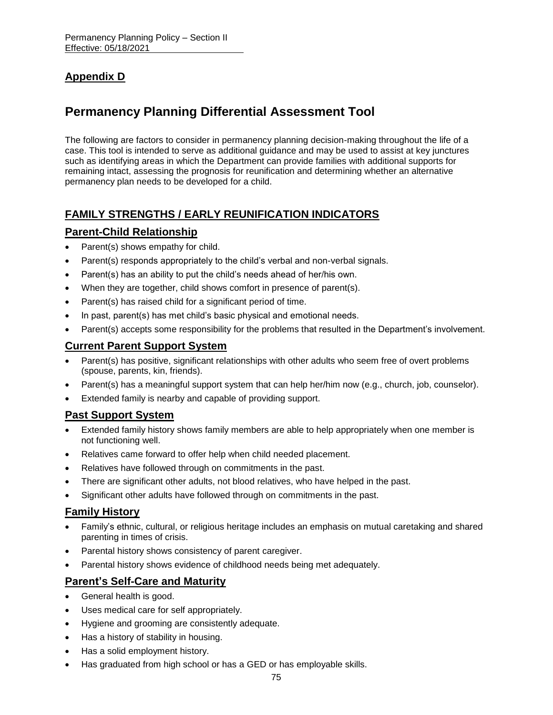# **Appendix D**

# **Permanency Planning Differential Assessment Tool**

The following are factors to consider in permanency planning decision-making throughout the life of a case. This tool is intended to serve as additional guidance and may be used to assist at key junctures such as identifying areas in which the Department can provide families with additional supports for remaining intact, assessing the prognosis for reunification and determining whether an alternative permanency plan needs to be developed for a child.

## **FAMILY STRENGTHS / EARLY REUNIFICATION INDICATORS**

## **Parent-Child Relationship**

- Parent(s) shows empathy for child.
- Parent(s) responds appropriately to the child's verbal and non-verbal signals.
- Parent(s) has an ability to put the child's needs ahead of her/his own.
- When they are together, child shows comfort in presence of parent(s).
- Parent(s) has raised child for a significant period of time.
- In past, parent(s) has met child's basic physical and emotional needs.
- Parent(s) accepts some responsibility for the problems that resulted in the Department's involvement.

## **Current Parent Support System**

- Parent(s) has positive, significant relationships with other adults who seem free of overt problems (spouse, parents, kin, friends).
- Parent(s) has a meaningful support system that can help her/him now (e.g., church, job, counselor).
- Extended family is nearby and capable of providing support.

### **Past Support System**

- Extended family history shows family members are able to help appropriately when one member is not functioning well.
- Relatives came forward to offer help when child needed placement.
- Relatives have followed through on commitments in the past.
- There are significant other adults, not blood relatives, who have helped in the past.
- Significant other adults have followed through on commitments in the past.

### **Family History**

- Family's ethnic, cultural, or religious heritage includes an emphasis on mutual caretaking and shared parenting in times of crisis.
- Parental history shows consistency of parent caregiver.
- Parental history shows evidence of childhood needs being met adequately.

## **Parent's Self-Care and Maturity**

- General health is good.
- Uses medical care for self appropriately.
- Hygiene and grooming are consistently adequate.
- Has a history of stability in housing.
- Has a solid employment history.
- Has graduated from high school or has a GED or has employable skills.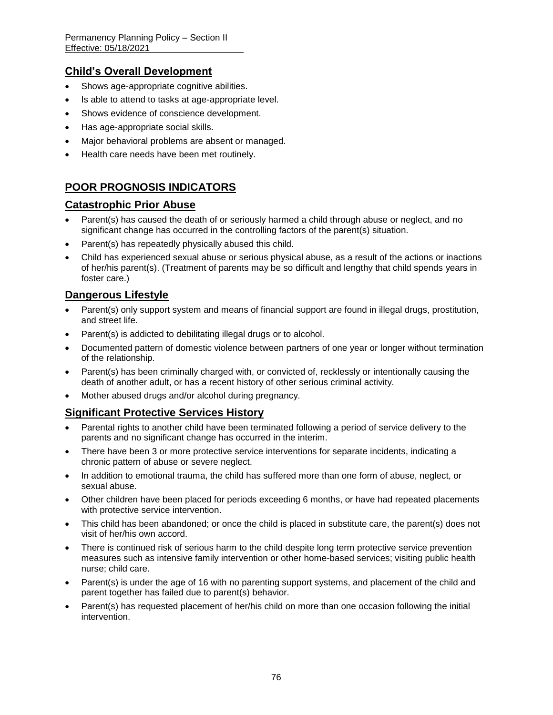## **Child's Overall Development**

- Shows age-appropriate cognitive abilities.
- Is able to attend to tasks at age-appropriate level.
- Shows evidence of conscience development.
- Has age-appropriate social skills.
- Major behavioral problems are absent or managed.
- Health care needs have been met routinely.

## **POOR PROGNOSIS INDICATORS**

## **Catastrophic Prior Abuse**

- Parent(s) has caused the death of or seriously harmed a child through abuse or neglect, and no significant change has occurred in the controlling factors of the parent(s) situation.
- Parent(s) has repeatedly physically abused this child.
- Child has experienced sexual abuse or serious physical abuse, as a result of the actions or inactions of her/his parent(s). (Treatment of parents may be so difficult and lengthy that child spends years in foster care.)

## **Dangerous Lifestyle**

- Parent(s) only support system and means of financial support are found in illegal drugs, prostitution, and street life.
- Parent(s) is addicted to debilitating illegal drugs or to alcohol.
- Documented pattern of domestic violence between partners of one year or longer without termination of the relationship.
- Parent(s) has been criminally charged with, or convicted of, recklessly or intentionally causing the death of another adult, or has a recent history of other serious criminal activity.
- Mother abused drugs and/or alcohol during pregnancy.

## **Significant Protective Services History**

- Parental rights to another child have been terminated following a period of service delivery to the parents and no significant change has occurred in the interim.
- There have been 3 or more protective service interventions for separate incidents, indicating a chronic pattern of abuse or severe neglect.
- In addition to emotional trauma, the child has suffered more than one form of abuse, neglect, or sexual abuse.
- Other children have been placed for periods exceeding 6 months, or have had repeated placements with protective service intervention.
- This child has been abandoned; or once the child is placed in substitute care, the parent(s) does not visit of her/his own accord.
- There is continued risk of serious harm to the child despite long term protective service prevention measures such as intensive family intervention or other home-based services; visiting public health nurse; child care.
- Parent(s) is under the age of 16 with no parenting support systems, and placement of the child and parent together has failed due to parent(s) behavior.
- Parent(s) has requested placement of her/his child on more than one occasion following the initial intervention.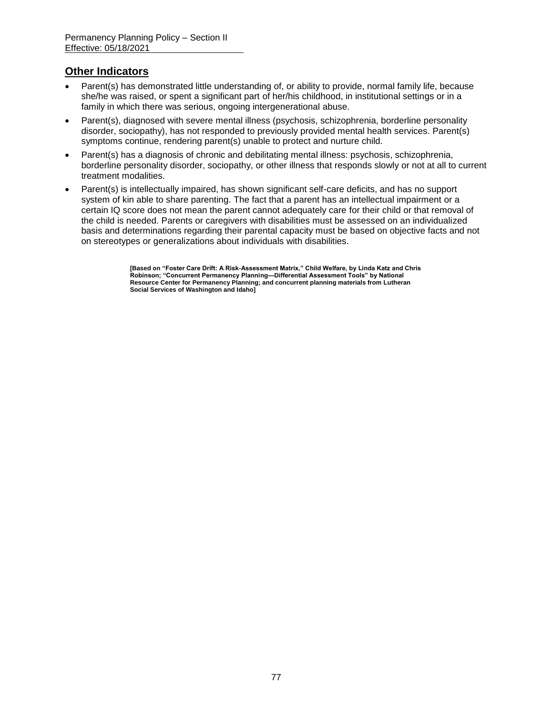## **Other Indicators**

- Parent(s) has demonstrated little understanding of, or ability to provide, normal family life, because she/he was raised, or spent a significant part of her/his childhood, in institutional settings or in a family in which there was serious, ongoing intergenerational abuse.
- Parent(s), diagnosed with severe mental illness (psychosis, schizophrenia, borderline personality disorder, sociopathy), has not responded to previously provided mental health services. Parent(s) symptoms continue, rendering parent(s) unable to protect and nurture child.
- Parent(s) has a diagnosis of chronic and debilitating mental illness: psychosis, schizophrenia, borderline personality disorder, sociopathy, or other illness that responds slowly or not at all to current treatment modalities.
- Parent(s) is intellectually impaired, has shown significant self-care deficits, and has no support system of kin able to share parenting. The fact that a parent has an intellectual impairment or a certain IQ score does not mean the parent cannot adequately care for their child or that removal of the child is needed. Parents or caregivers with disabilities must be assessed on an individualized basis and determinations regarding their parental capacity must be based on objective facts and not on stereotypes or generalizations about individuals with disabilities.

**[Based on "Foster Care Drift: A Risk-Assessment Matrix," Child Welfare, by Linda Katz and Chris Robinson; "Concurrent Permanency Planning—Differential Assessment Tools" by National Resource Center for Permanency Planning; and concurrent planning materials from Lutheran Social Services of Washington and Idaho]**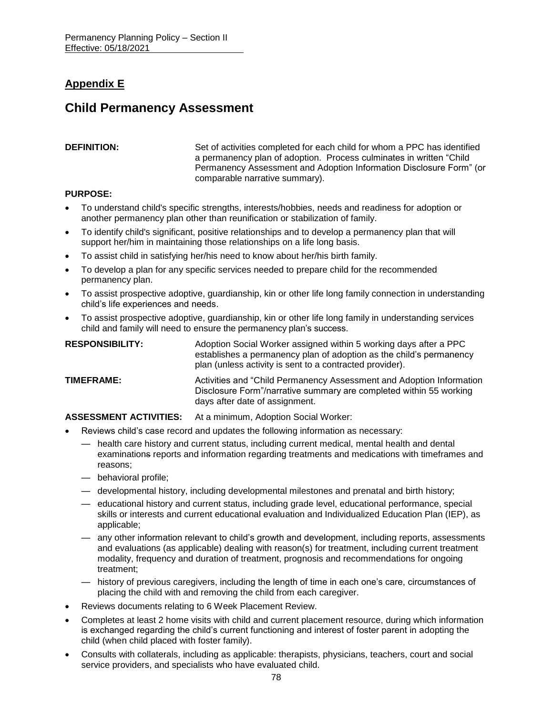# **Appendix E**

# **Child Permanency Assessment**

**DEFINITION:** Set of activities completed for each child for whom a PPC has identified a permanency plan of adoption. Process culminates in written "Child Permanency Assessment and Adoption Information Disclosure Form" (or comparable narrative summary).

### **PURPOSE:**

- To understand child's specific strengths, interests/hobbies, needs and readiness for adoption or another permanency plan other than reunification or stabilization of family.
- To identify child's significant, positive relationships and to develop a permanency plan that will support her/him in maintaining those relationships on a life long basis.
- To assist child in satisfying her/his need to know about her/his birth family.
- To develop a plan for any specific services needed to prepare child for the recommended permanency plan.
- To assist prospective adoptive, guardianship, kin or other life long family connection in understanding child's life experiences and needs.
- To assist prospective adoptive, guardianship, kin or other life long family in understanding services child and family will need to ensure the permanency plan's success.

| <b>RESPONSIBILITY:</b> | Adoption Social Worker assigned within 5 working days after a PPC<br>establishes a permanency plan of adoption as the child's permanency<br>plan (unless activity is sent to a contracted provider). |
|------------------------|------------------------------------------------------------------------------------------------------------------------------------------------------------------------------------------------------|
| TIMEFRAME:             | Activities and "Child Permanency Assessment and Adoption Information<br>Disclosure Form"/narrative summary are completed within 55 working<br>days after date of assignment.                         |

**ASSESSMENT ACTIVITIES:** At a minimum, Adoption Social Worker:

- Reviews child's case record and updates the following information as necessary:
	- health care history and current status, including current medical, mental health and dental examinations reports and information regarding treatments and medications with timeframes and reasons;
	- behavioral profile;
	- developmental history, including developmental milestones and prenatal and birth history;
	- educational history and current status, including grade level, educational performance, special skills or interests and current educational evaluation and Individualized Education Plan (IEP), as applicable;
	- any other information relevant to child's growth and development, including reports, assessments and evaluations (as applicable) dealing with reason(s) for treatment, including current treatment modality, frequency and duration of treatment, prognosis and recommendations for ongoing treatment;
	- history of previous caregivers, including the length of time in each one's care, circumstances of placing the child with and removing the child from each caregiver.
- Reviews documents relating to 6 Week Placement Review.
- Completes at least 2 home visits with child and current placement resource, during which information is exchanged regarding the child's current functioning and interest of foster parent in adopting the child (when child placed with foster family).
- Consults with collaterals, including as applicable: therapists, physicians, teachers, court and social service providers, and specialists who have evaluated child.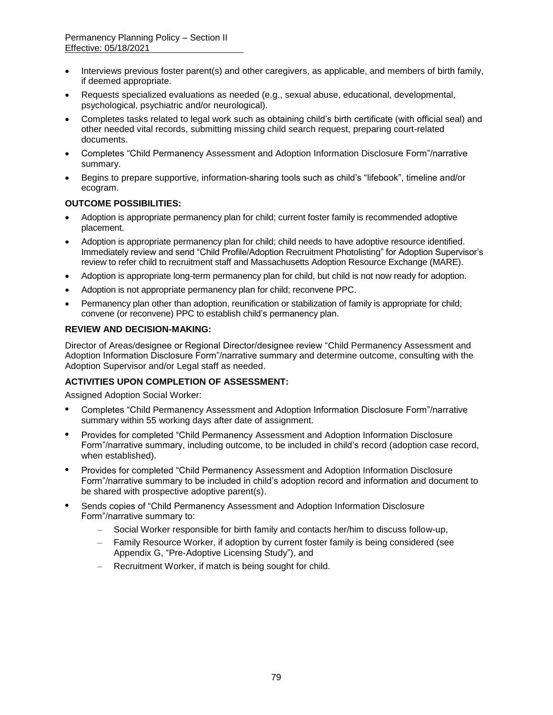- Interviews previous foster parent(s) and other caregivers, as applicable, and members of birth family, if deemed appropriate.
- Requests specialized evaluations as needed (e.g., sexual abuse, educational, developmental, psychological, psychiatric and/or neurological).
- Completes tasks related to legal work such as obtaining child's birth certificate (with official seal) and other needed vital records, submitting missing child search request, preparing court-related documents.
- Completes "Child Permanency Assessment and Adoption Information Disclosure Form"/narrative summary.
- Begins to prepare supportive, information-sharing tools such as child's "lifebook", timeline and/or ecogram.

### **OUTCOME POSSIBILITIES:**

- Adoption is appropriate permanency plan for child; current foster family is recommended adoptive placement.
- Adoption is appropriate permanency plan for child; child needs to have adoptive resource identified. Immediately review and send "Child Profile/Adoption Recruitment Photolisting" for Adoption Supervisor's review to refer child to recruitment staff and Massachusetts Adoption Resource Exchange (MARE).
- Adoption is appropriate long-term permanency plan for child, but child is not now ready for adoption.
- Adoption is not appropriate permanency plan for child; reconvene PPC.
- Permanency plan other than adoption, reunification or stabilization of family is appropriate for child; convene (or reconvene) PPC to establish child's permanency plan.

### **REVIEW AND DECISION-MAKING:**

Director of Areas/designee or Regional Director/designee review "Child Permanency Assessment and Adoption Information Disclosure Form"/narrative summary and determine outcome, consulting with the Adoption Supervisor and/or Legal staff as needed.

### **ACTIVITIES UPON COMPLETION OF ASSESSMENT:**

Assigned Adoption Social Worker:

- **•** Completes "Child Permanency Assessment and Adoption Information Disclosure Form"/narrative summary within 55 working days after date of assignment.
- **•** Provides for completed "Child Permanency Assessment and Adoption Information Disclosure Form"/narrative summary, including outcome, to be included in child's record (adoption case record, when established).
- **•** Provides for completed "Child Permanency Assessment and Adoption Information Disclosure Form"/narrative summary to be included in child's adoption record and information and document to be shared with prospective adoptive parent(s).
- **•** Sends copies of "Child Permanency Assessment and Adoption Information Disclosure Form"/narrative summary to:
	- Social Worker responsible for birth family and contacts her/him to discuss follow-up,
	- Family Resource Worker, if adoption by current foster family is being considered (see Appendix G, "Pre-Adoptive Licensing Study"), and
	- Recruitment Worker, if match is being sought for child.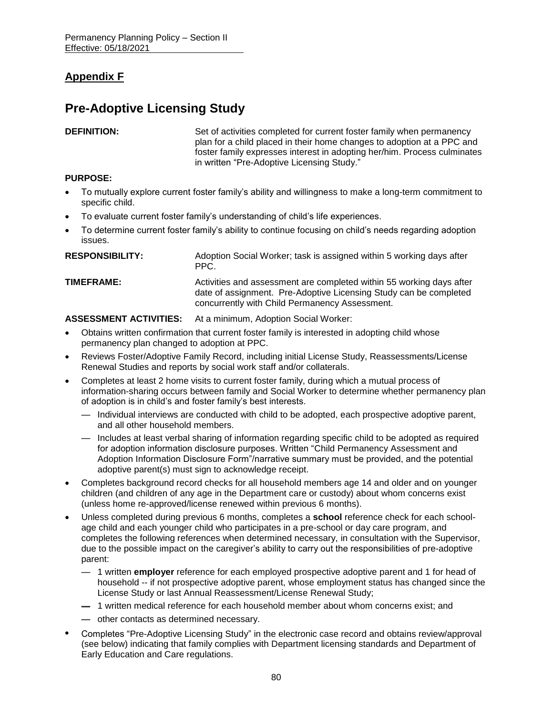# **Appendix F**

# **Pre-Adoptive Licensing Study**

**DEFINITION:** Set of activities completed for current foster family when permanency plan for a child placed in their home changes to adoption at a PPC and foster family expresses interest in adopting her/him. Process culminates in written "Pre-Adoptive Licensing Study."

### **PURPOSE:**

- To mutually explore current foster family's ability and willingness to make a long-term commitment to specific child.
- To evaluate current foster family's understanding of child's life experiences.
- To determine current foster family's ability to continue focusing on child's needs regarding adoption issues.

| <b>RESPONSIBILITY:</b> | Adoption Social Worker; task is assigned within 5 working days after<br>PPC.                                                                                                                |
|------------------------|---------------------------------------------------------------------------------------------------------------------------------------------------------------------------------------------|
| TIMEFRAME:             | Activities and assessment are completed within 55 working days after<br>date of assignment. Pre-Adoptive Licensing Study can be completed<br>concurrently with Child Permanency Assessment. |

### **ASSESSMENT ACTIVITIES:** At a minimum, Adoption Social Worker:

- Obtains written confirmation that current foster family is interested in adopting child whose permanency plan changed to adoption at PPC.
- Reviews Foster/Adoptive Family Record, including initial License Study, Reassessments/License Renewal Studies and reports by social work staff and/or collaterals.
- Completes at least 2 home visits to current foster family, during which a mutual process of information-sharing occurs between family and Social Worker to determine whether permanency plan of adoption is in child's and foster family's best interests.
	- Individual interviews are conducted with child to be adopted, each prospective adoptive parent, and all other household members.
	- Includes at least verbal sharing of information regarding specific child to be adopted as required for adoption information disclosure purposes. Written "Child Permanency Assessment and Adoption Information Disclosure Form"/narrative summary must be provided, and the potential adoptive parent(s) must sign to acknowledge receipt.
- Completes background record checks for all household members age 14 and older and on younger children (and children of any age in the Department care or custody) about whom concerns exist (unless home re-approved/license renewed within previous 6 months).
- Unless completed during previous 6 months, completes a **school** reference check for each schoolage child and each younger child who participates in a pre-school or day care program, and completes the following references when determined necessary, in consultation with the Supervisor, due to the possible impact on the caregiver's ability to carry out the responsibilities of pre-adoptive parent:
	- 1 written **employer** reference for each employed prospective adoptive parent and 1 for head of household -- if not prospective adoptive parent, whose employment status has changed since the License Study or last Annual Reassessment/License Renewal Study;
	- 1 written medical reference for each household member about whom concerns exist; and
	- other contacts as determined necessary.
- **•** Completes "Pre-Adoptive Licensing Study" in the electronic case record and obtains review/approval (see below) indicating that family complies with Department licensing standards and Department of Early Education and Care regulations.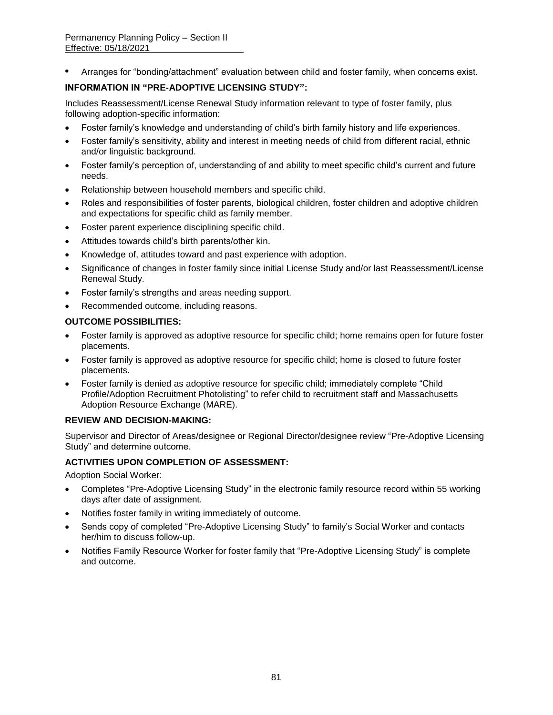**•** Arranges for "bonding/attachment" evaluation between child and foster family, when concerns exist.

### **INFORMATION IN "PRE-ADOPTIVE LICENSING STUDY":**

Includes Reassessment/License Renewal Study information relevant to type of foster family, plus following adoption-specific information:

- Foster family's knowledge and understanding of child's birth family history and life experiences.
- Foster family's sensitivity, ability and interest in meeting needs of child from different racial, ethnic and/or linguistic background.
- Foster family's perception of, understanding of and ability to meet specific child's current and future needs.
- Relationship between household members and specific child.
- Roles and responsibilities of foster parents, biological children, foster children and adoptive children and expectations for specific child as family member.
- Foster parent experience disciplining specific child.
- Attitudes towards child's birth parents/other kin.
- Knowledge of, attitudes toward and past experience with adoption.
- Significance of changes in foster family since initial License Study and/or last Reassessment/License Renewal Study.
- Foster family's strengths and areas needing support.
- Recommended outcome, including reasons.

### **OUTCOME POSSIBILITIES:**

- Foster family is approved as adoptive resource for specific child; home remains open for future foster placements.
- Foster family is approved as adoptive resource for specific child; home is closed to future foster placements.
- Foster family is denied as adoptive resource for specific child; immediately complete "Child Profile/Adoption Recruitment Photolisting" to refer child to recruitment staff and Massachusetts Adoption Resource Exchange (MARE).

### **REVIEW AND DECISION-MAKING:**

Supervisor and Director of Areas/designee or Regional Director/designee review "Pre-Adoptive Licensing Study" and determine outcome.

### **ACTIVITIES UPON COMPLETION OF ASSESSMENT:**

Adoption Social Worker:

- Completes "Pre-Adoptive Licensing Study" in the electronic family resource record within 55 working days after date of assignment.
- Notifies foster family in writing immediately of outcome.
- Sends copy of completed "Pre-Adoptive Licensing Study" to family's Social Worker and contacts her/him to discuss follow-up.
- Notifies Family Resource Worker for foster family that "Pre-Adoptive Licensing Study" is complete and outcome.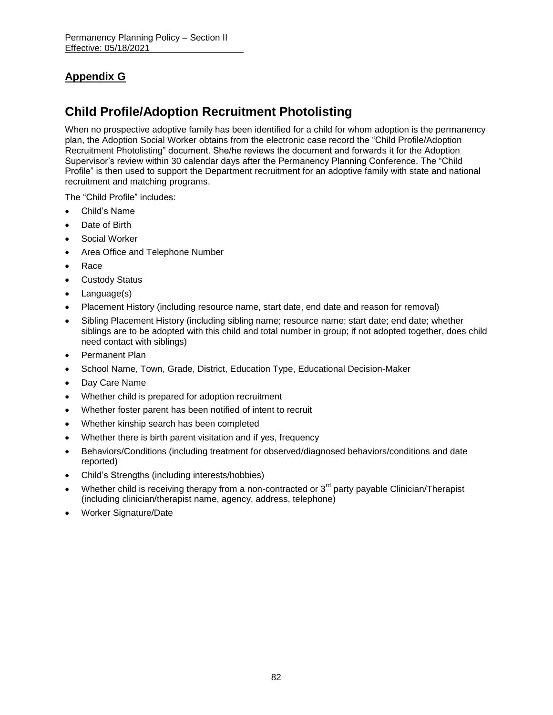# **Appendix G**

# **Child Profile/Adoption Recruitment Photolisting**

When no prospective adoptive family has been identified for a child for whom adoption is the permanency plan, the Adoption Social Worker obtains from the electronic case record the "Child Profile/Adoption Recruitment Photolisting" document. She/he reviews the document and forwards it for the Adoption Supervisor's review within 30 calendar days after the Permanency Planning Conference. The "Child Profile" is then used to support the Department recruitment for an adoptive family with state and national recruitment and matching programs.

The "Child Profile" includes:

- Child's Name
- Date of Birth
- Social Worker
- Area Office and Telephone Number
- Race
- Custody Status
- Language(s)
- Placement History (including resource name, start date, end date and reason for removal)
- Sibling Placement History (including sibling name; resource name; start date; end date; whether siblings are to be adopted with this child and total number in group; if not adopted together, does child need contact with siblings)
- Permanent Plan
- School Name, Town, Grade, District, Education Type, Educational Decision-Maker
- Day Care Name
- Whether child is prepared for adoption recruitment
- Whether foster parent has been notified of intent to recruit
- Whether kinship search has been completed
- Whether there is birth parent visitation and if yes, frequency
- Behaviors/Conditions (including treatment for observed/diagnosed behaviors/conditions and date reported)
- Child's Strengths (including interests/hobbies)
- Whether child is receiving therapy from a non-contracted or  $3<sup>rd</sup>$  party payable Clinician/Therapist (including clinician/therapist name, agency, address, telephone)
- Worker Signature/Date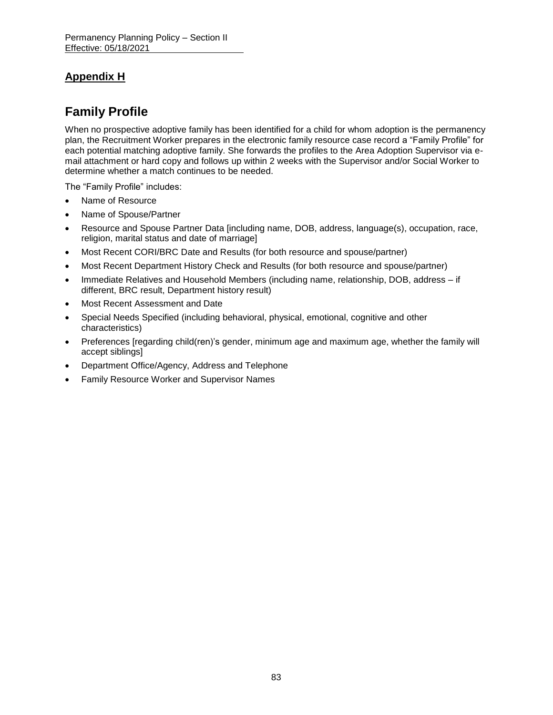# **Appendix H**

# **Family Profile**

When no prospective adoptive family has been identified for a child for whom adoption is the permanency plan, the Recruitment Worker prepares in the electronic family resource case record a "Family Profile" for each potential matching adoptive family. She forwards the profiles to the Area Adoption Supervisor via email attachment or hard copy and follows up within 2 weeks with the Supervisor and/or Social Worker to determine whether a match continues to be needed.

The "Family Profile" includes:

- Name of Resource
- Name of Spouse/Partner
- Resource and Spouse Partner Data [including name, DOB, address, language(s), occupation, race, religion, marital status and date of marriage]
- Most Recent CORI/BRC Date and Results (for both resource and spouse/partner)
- Most Recent Department History Check and Results (for both resource and spouse/partner)
- Immediate Relatives and Household Members (including name, relationship, DOB, address if different, BRC result, Department history result)
- Most Recent Assessment and Date
- Special Needs Specified (including behavioral, physical, emotional, cognitive and other characteristics)
- Preferences [regarding child(ren)'s gender, minimum age and maximum age, whether the family will accept siblings]
- Department Office/Agency, Address and Telephone
- Family Resource Worker and Supervisor Names